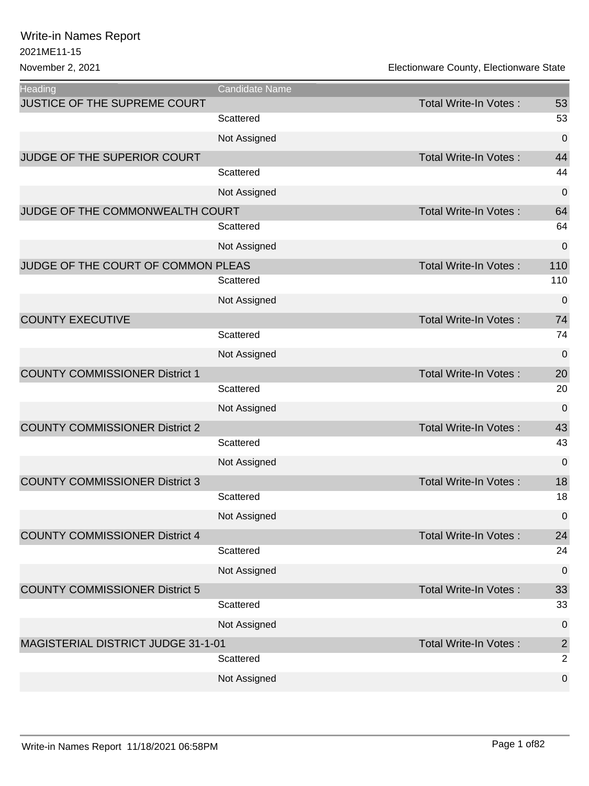| <b>Heading</b>                        | Candidate Name |                              |                |
|---------------------------------------|----------------|------------------------------|----------------|
| JUSTICE OF THE SUPREME COURT          |                | Total Write-In Votes:        | 53             |
|                                       | Scattered      |                              | 53             |
|                                       | Not Assigned   |                              | $\mathbf 0$    |
| JUDGE OF THE SUPERIOR COURT           |                | <b>Total Write-In Votes:</b> | 44             |
|                                       | Scattered      |                              | 44             |
|                                       | Not Assigned   |                              | $\mathbf 0$    |
| JUDGE OF THE COMMONWEALTH COURT       |                | Total Write-In Votes:        | 64             |
|                                       | Scattered      |                              | 64             |
|                                       | Not Assigned   |                              | $\mathbf 0$    |
| JUDGE OF THE COURT OF COMMON PLEAS    |                | <b>Total Write-In Votes:</b> | 110            |
|                                       | Scattered      |                              | 110            |
|                                       | Not Assigned   |                              | $\mathbf 0$    |
| <b>COUNTY EXECUTIVE</b>               |                | Total Write-In Votes:        | 74             |
|                                       | Scattered      |                              | 74             |
|                                       | Not Assigned   |                              | $\mathbf 0$    |
| <b>COUNTY COMMISSIONER District 1</b> |                | <b>Total Write-In Votes:</b> | 20             |
|                                       | Scattered      |                              | 20             |
|                                       | Not Assigned   |                              | $\overline{0}$ |
| <b>COUNTY COMMISSIONER District 2</b> |                | <b>Total Write-In Votes:</b> | 43             |
|                                       | Scattered      |                              | 43             |
|                                       | Not Assigned   |                              | $\mathbf 0$    |
| <b>COUNTY COMMISSIONER District 3</b> |                | <b>Total Write-In Votes:</b> | 18             |
|                                       | Scattered      |                              | 18             |
|                                       | Not Assigned   |                              | 0              |
| <b>COUNTY COMMISSIONER District 4</b> |                | Total Write-In Votes:        | 24             |
|                                       | Scattered      |                              | 24             |
|                                       | Not Assigned   |                              | $\mathbf 0$    |
| <b>COUNTY COMMISSIONER District 5</b> |                | Total Write-In Votes:        | 33             |
|                                       | Scattered      |                              | 33             |
|                                       | Not Assigned   |                              | 0              |
| MAGISTERIAL DISTRICT JUDGE 31-1-01    |                | Total Write-In Votes:        | $\overline{2}$ |
|                                       | Scattered      |                              | 2              |
|                                       | Not Assigned   |                              | $\mathbf 0$    |
|                                       |                |                              |                |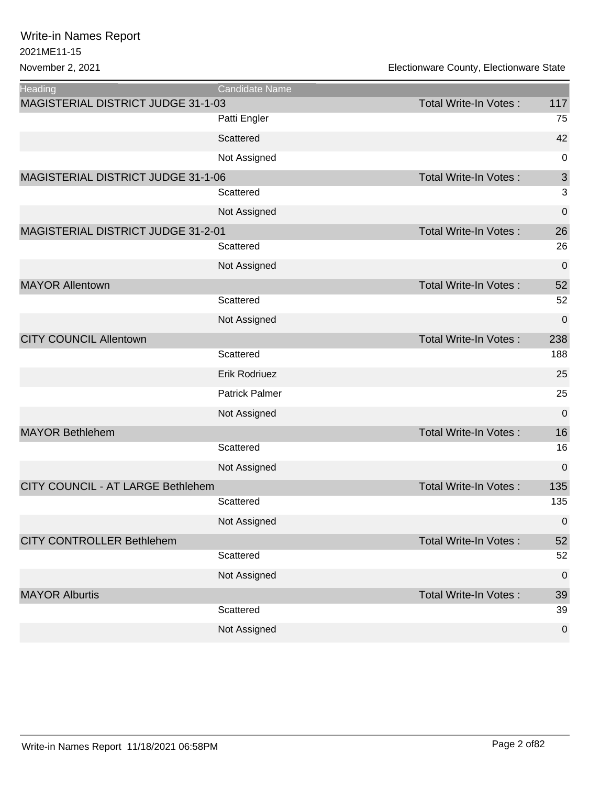| <b>Heading</b>                     | Candidate Name        |                              |                  |
|------------------------------------|-----------------------|------------------------------|------------------|
| MAGISTERIAL DISTRICT JUDGE 31-1-03 |                       | <b>Total Write-In Votes:</b> | 117              |
|                                    | Patti Engler          |                              | 75               |
|                                    | Scattered             |                              | 42               |
|                                    | Not Assigned          |                              | 0                |
| MAGISTERIAL DISTRICT JUDGE 31-1-06 |                       | <b>Total Write-In Votes:</b> | $\mathfrak{S}$   |
|                                    | Scattered             |                              | 3                |
|                                    | Not Assigned          |                              | 0                |
| MAGISTERIAL DISTRICT JUDGE 31-2-01 |                       | Total Write-In Votes:        | 26               |
|                                    | Scattered             |                              | 26               |
|                                    | Not Assigned          |                              | 0                |
| <b>MAYOR Allentown</b>             |                       | <b>Total Write-In Votes:</b> | 52               |
|                                    | Scattered             |                              | 52               |
|                                    | Not Assigned          |                              | 0                |
| <b>CITY COUNCIL Allentown</b>      |                       | <b>Total Write-In Votes:</b> | 238              |
|                                    | Scattered             |                              | 188              |
|                                    | Erik Rodriuez         |                              | 25               |
|                                    | <b>Patrick Palmer</b> |                              | 25               |
|                                    | Not Assigned          |                              | 0                |
| <b>MAYOR Bethlehem</b>             |                       | <b>Total Write-In Votes:</b> | 16               |
|                                    | Scattered             |                              | 16               |
|                                    | Not Assigned          |                              | 0                |
| CITY COUNCIL - AT LARGE Bethlehem  |                       | <b>Total Write-In Votes:</b> | 135              |
|                                    | Scattered             |                              | 135              |
|                                    | Not Assigned          |                              | $\mathbf 0$      |
| <b>CITY CONTROLLER Bethlehem</b>   |                       | <b>Total Write-In Votes:</b> | 52               |
|                                    | Scattered             |                              | 52               |
|                                    | Not Assigned          |                              | $\boldsymbol{0}$ |
| <b>MAYOR Alburtis</b>              |                       | <b>Total Write-In Votes:</b> | 39               |
|                                    | Scattered             |                              | 39               |
|                                    | Not Assigned          |                              | $\pmb{0}$        |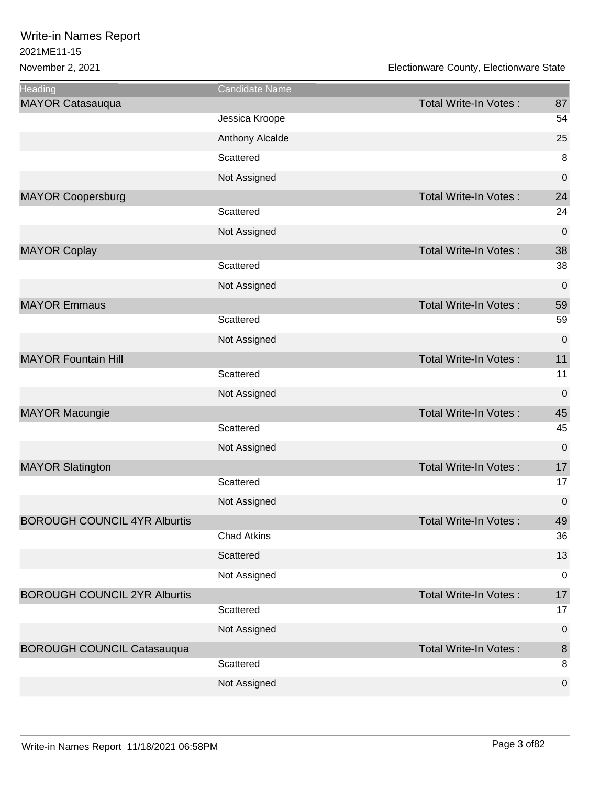| <b>Heading</b>                      | Candidate Name     |                       |             |
|-------------------------------------|--------------------|-----------------------|-------------|
| <b>MAYOR Catasauqua</b>             |                    | Total Write-In Votes: | 87          |
|                                     | Jessica Kroope     |                       | 54          |
|                                     | Anthony Alcalde    |                       | 25          |
|                                     | Scattered          |                       | 8           |
|                                     | Not Assigned       |                       | $\mathbf 0$ |
| <b>MAYOR Coopersburg</b>            |                    | Total Write-In Votes: | 24          |
|                                     | Scattered          |                       | 24          |
|                                     | Not Assigned       |                       | 0           |
| <b>MAYOR Coplay</b>                 |                    | Total Write-In Votes: | 38          |
|                                     | Scattered          |                       | 38          |
|                                     | Not Assigned       |                       | $\mathbf 0$ |
| <b>MAYOR Emmaus</b>                 |                    | Total Write-In Votes: | 59          |
|                                     | Scattered          |                       | 59          |
|                                     | Not Assigned       |                       | $\mathbf 0$ |
| <b>MAYOR Fountain Hill</b>          |                    | Total Write-In Votes: | 11          |
|                                     | Scattered          |                       | 11          |
|                                     | Not Assigned       |                       | $\mathbf 0$ |
| <b>MAYOR Macungie</b>               |                    | Total Write-In Votes: | 45          |
|                                     | Scattered          |                       | 45          |
|                                     | Not Assigned       |                       | $\mathbf 0$ |
| <b>MAYOR Slatington</b>             |                    | Total Write-In Votes: | 17          |
|                                     | Scattered          |                       | 17          |
|                                     | Not Assigned       |                       | 0           |
| <b>BOROUGH COUNCIL 4YR Alburtis</b> |                    | Total Write-In Votes: | 49          |
|                                     | <b>Chad Atkins</b> |                       | 36          |
|                                     | Scattered          |                       | 13          |
|                                     | Not Assigned       |                       | $\mathbf 0$ |
| <b>BOROUGH COUNCIL 2YR Alburtis</b> |                    | Total Write-In Votes: | 17          |
|                                     | Scattered          |                       | 17          |
|                                     | Not Assigned       |                       | $\mathbf 0$ |
| <b>BOROUGH COUNCIL Catasauqua</b>   |                    | Total Write-In Votes: | $\,8\,$     |
|                                     | Scattered          |                       | 8           |
|                                     | Not Assigned       |                       | $\pmb{0}$   |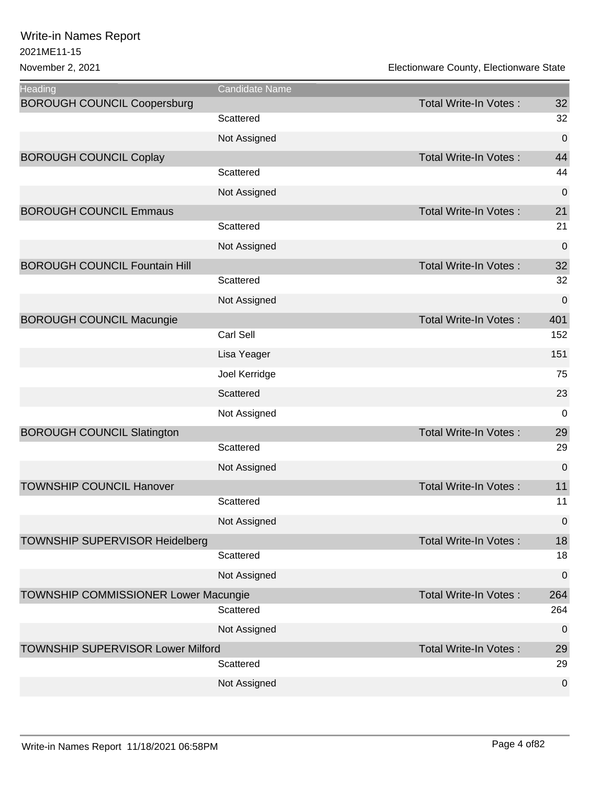| <b>Heading</b>                           | Candidate Name   |                              |                |
|------------------------------------------|------------------|------------------------------|----------------|
| <b>BOROUGH COUNCIL Coopersburg</b>       |                  | Total Write-In Votes:        | 32             |
|                                          | Scattered        |                              | 32             |
|                                          | Not Assigned     |                              | $\pmb{0}$      |
| <b>BOROUGH COUNCIL Coplay</b>            |                  | <b>Total Write-In Votes:</b> | 44             |
|                                          | Scattered        |                              | 44             |
|                                          | Not Assigned     |                              | 0              |
| <b>BOROUGH COUNCIL Emmaus</b>            |                  | <b>Total Write-In Votes:</b> | 21             |
|                                          | Scattered        |                              | 21             |
|                                          | Not Assigned     |                              | $\mathbf 0$    |
| <b>BOROUGH COUNCIL Fountain Hill</b>     |                  | Total Write-In Votes:        | 32             |
|                                          | Scattered        |                              | 32             |
|                                          | Not Assigned     |                              | 0              |
| <b>BOROUGH COUNCIL Macungie</b>          |                  | <b>Total Write-In Votes:</b> | 401            |
|                                          | <b>Carl Sell</b> |                              | 152            |
|                                          | Lisa Yeager      |                              | 151            |
|                                          | Joel Kerridge    |                              | 75             |
|                                          | Scattered        |                              | 23             |
|                                          | Not Assigned     |                              | $\mathbf 0$    |
| <b>BOROUGH COUNCIL Slatington</b>        |                  | <b>Total Write-In Votes:</b> | 29             |
|                                          | Scattered        |                              | 29             |
|                                          | Not Assigned     |                              | $\pmb{0}$      |
| <b>TOWNSHIP COUNCIL Hanover</b>          |                  | <b>Total Write-In Votes:</b> | 11             |
|                                          | Scattered        |                              | 11             |
|                                          | Not Assigned     |                              | $\mathbf 0$    |
| <b>TOWNSHIP SUPERVISOR Heidelberg</b>    |                  | Total Write-In Votes:        | 18             |
|                                          | Scattered        |                              | 18             |
|                                          | Not Assigned     |                              | 0              |
| TOWNSHIP COMMISSIONER Lower Macungie     |                  | Total Write-In Votes:        | 264            |
|                                          | Scattered        |                              | 264            |
|                                          | Not Assigned     |                              | 0              |
| <b>TOWNSHIP SUPERVISOR Lower Milford</b> |                  | Total Write-In Votes:        | 29             |
|                                          | Scattered        |                              | 29             |
|                                          | Not Assigned     |                              | $\overline{0}$ |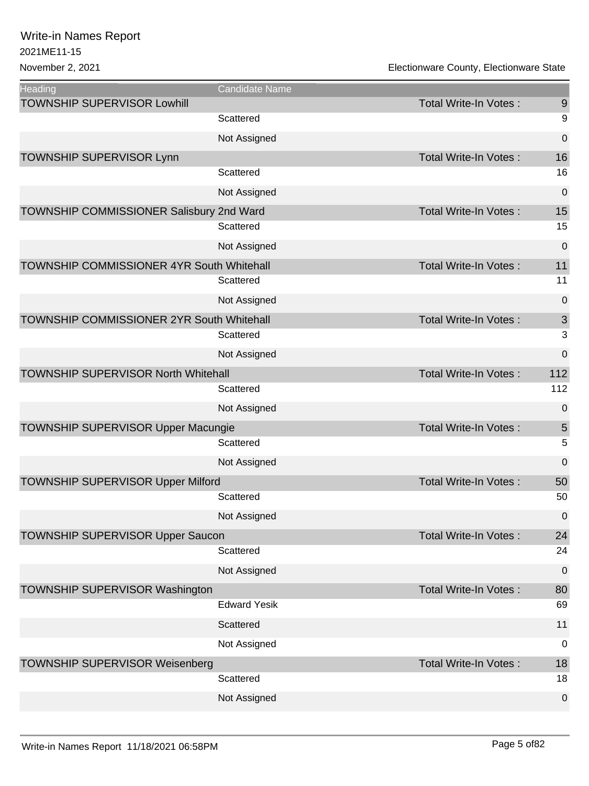| <b>Heading</b>                                   | Candidate Name      |                              |             |
|--------------------------------------------------|---------------------|------------------------------|-------------|
| <b>TOWNSHIP SUPERVISOR Lowhill</b>               |                     | Total Write-In Votes:        | 9           |
|                                                  | Scattered           |                              | 9           |
|                                                  | Not Assigned        |                              | $\mathbf 0$ |
| <b>TOWNSHIP SUPERVISOR Lynn</b>                  |                     | <b>Total Write-In Votes:</b> | 16          |
|                                                  | Scattered           |                              | 16          |
|                                                  | Not Assigned        |                              | $\mathbf 0$ |
| TOWNSHIP COMMISSIONER Salisbury 2nd Ward         |                     | Total Write-In Votes:        | 15          |
|                                                  | Scattered           |                              | 15          |
|                                                  | Not Assigned        |                              | $\mathbf 0$ |
| TOWNSHIP COMMISSIONER 4YR South Whitehall        |                     | Total Write-In Votes:        | 11          |
|                                                  | Scattered           |                              | 11          |
|                                                  | Not Assigned        |                              | 0           |
| <b>TOWNSHIP COMMISSIONER 2YR South Whitehall</b> |                     | Total Write-In Votes:        | 3           |
|                                                  | Scattered           |                              | 3           |
|                                                  | Not Assigned        |                              | $\mathbf 0$ |
| <b>TOWNSHIP SUPERVISOR North Whitehall</b>       |                     | <b>Total Write-In Votes:</b> | 112         |
|                                                  | Scattered           |                              | 112         |
|                                                  | Not Assigned        |                              | $\mathbf 0$ |
| <b>TOWNSHIP SUPERVISOR Upper Macungie</b>        |                     | <b>Total Write-In Votes:</b> | 5           |
|                                                  | Scattered           |                              | 5           |
|                                                  | Not Assigned        |                              | $\mathbf 0$ |
| <b>TOWNSHIP SUPERVISOR Upper Milford</b>         |                     | Total Write-In Votes:        | 50          |
|                                                  | Scattered           |                              | 50          |
|                                                  | Not Assigned        |                              | $\mathbf 0$ |
| TOWNSHIP SUPERVISOR Upper Saucon                 |                     | Total Write-In Votes:        | 24          |
|                                                  | Scattered           |                              | 24          |
|                                                  | Not Assigned        |                              | $\mathbf 0$ |
| <b>TOWNSHIP SUPERVISOR Washington</b>            |                     | Total Write-In Votes:        | 80          |
|                                                  | <b>Edward Yesik</b> |                              | 69          |
|                                                  | Scattered           |                              | 11          |
|                                                  | Not Assigned        |                              | 0           |
| <b>TOWNSHIP SUPERVISOR Weisenberg</b>            |                     | <b>Total Write-In Votes:</b> | 18          |
|                                                  | Scattered           |                              | 18          |
|                                                  | Not Assigned        |                              | $\pmb{0}$   |
|                                                  |                     |                              |             |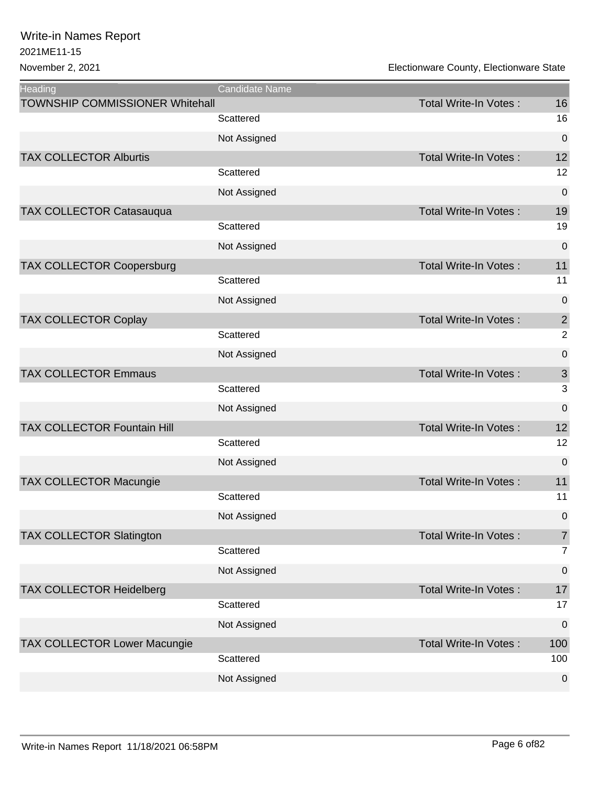| <b>Heading</b>                         | Candidate Name |                              |                  |
|----------------------------------------|----------------|------------------------------|------------------|
| <b>TOWNSHIP COMMISSIONER Whitehall</b> |                | Total Write-In Votes:        | 16               |
|                                        | Scattered      |                              | 16               |
|                                        | Not Assigned   |                              | $\boldsymbol{0}$ |
| <b>TAX COLLECTOR Alburtis</b>          |                | <b>Total Write-In Votes:</b> | 12               |
|                                        | Scattered      |                              | 12               |
|                                        | Not Assigned   |                              | $\mathbf 0$      |
| <b>TAX COLLECTOR Catasauqua</b>        |                | <b>Total Write-In Votes:</b> | 19               |
|                                        | Scattered      |                              | 19               |
|                                        | Not Assigned   |                              | $\mathbf 0$      |
| <b>TAX COLLECTOR Coopersburg</b>       |                | <b>Total Write-In Votes:</b> | 11               |
|                                        | Scattered      |                              | 11               |
|                                        | Not Assigned   |                              | 0                |
| <b>TAX COLLECTOR Coplay</b>            |                | <b>Total Write-In Votes:</b> | $\overline{2}$   |
|                                        | Scattered      |                              | $\overline{2}$   |
|                                        | Not Assigned   |                              | 0                |
| <b>TAX COLLECTOR Emmaus</b>            |                | <b>Total Write-In Votes:</b> | $\mathsf 3$      |
|                                        | Scattered      |                              | 3                |
|                                        | Not Assigned   |                              | $\mathbf 0$      |
| <b>TAX COLLECTOR Fountain Hill</b>     |                | <b>Total Write-In Votes:</b> | 12               |
|                                        | Scattered      |                              | 12               |
|                                        | Not Assigned   |                              | $\pmb{0}$        |
| <b>TAX COLLECTOR Macungie</b>          |                | <b>Total Write-In Votes:</b> | 11               |
|                                        | Scattered      |                              | 11               |
|                                        | Not Assigned   |                              | $\mathbf 0$      |
| <b>TAX COLLECTOR Slatington</b>        |                | <b>Total Write-In Votes:</b> | $\overline{7}$   |
|                                        | Scattered      |                              | $\overline{7}$   |
|                                        | Not Assigned   |                              | $\pmb{0}$        |
| <b>TAX COLLECTOR Heidelberg</b>        |                | <b>Total Write-In Votes:</b> | 17               |
|                                        | Scattered      |                              | 17               |
|                                        | Not Assigned   |                              | $\boldsymbol{0}$ |
| <b>TAX COLLECTOR Lower Macungie</b>    |                | <b>Total Write-In Votes:</b> | 100              |
|                                        | Scattered      |                              | 100              |
|                                        | Not Assigned   |                              | $\boldsymbol{0}$ |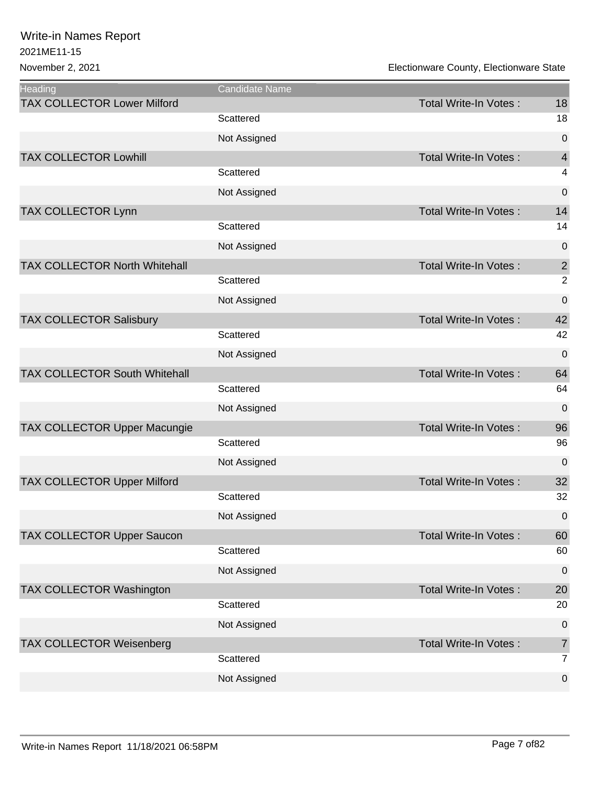| <b>Heading</b>                       | <b>Candidate Name</b> |                              |                |
|--------------------------------------|-----------------------|------------------------------|----------------|
| <b>TAX COLLECTOR Lower Milford</b>   |                       | Total Write-In Votes:        | 18             |
|                                      | Scattered             |                              | 18             |
|                                      | Not Assigned          |                              | $\mathbf 0$    |
| <b>TAX COLLECTOR Lowhill</b>         |                       | <b>Total Write-In Votes:</b> | $\overline{4}$ |
|                                      | Scattered             |                              | 4              |
|                                      | Not Assigned          |                              | $\pmb{0}$      |
| TAX COLLECTOR Lynn                   |                       | <b>Total Write-In Votes:</b> | 14             |
|                                      | Scattered             |                              | 14             |
|                                      | Not Assigned          |                              | $\mathbf 0$    |
| TAX COLLECTOR North Whitehall        |                       | <b>Total Write-In Votes:</b> | $\sqrt{2}$     |
|                                      | Scattered             |                              | $\overline{2}$ |
|                                      | Not Assigned          |                              | $\mathbf 0$    |
| <b>TAX COLLECTOR Salisbury</b>       |                       | <b>Total Write-In Votes:</b> | 42             |
|                                      | Scattered             |                              | 42             |
|                                      | Not Assigned          |                              | $\overline{0}$ |
| <b>TAX COLLECTOR South Whitehall</b> |                       | <b>Total Write-In Votes:</b> | 64             |
|                                      | Scattered             |                              | 64             |
|                                      | Not Assigned          |                              | $\mathbf 0$    |
| TAX COLLECTOR Upper Macungie         |                       | <b>Total Write-In Votes:</b> | 96             |
|                                      | Scattered             |                              | 96             |
|                                      | Not Assigned          |                              | $\overline{0}$ |
| <b>TAX COLLECTOR Upper Milford</b>   |                       | <b>Total Write-In Votes:</b> | 32             |
|                                      | Scattered             |                              | 32             |
|                                      | Not Assigned          |                              | 0              |
| <b>TAX COLLECTOR Upper Saucon</b>    |                       | <b>Total Write-In Votes:</b> | 60             |
|                                      | Scattered             |                              | 60             |
|                                      | Not Assigned          |                              | $\mathbf 0$    |
| TAX COLLECTOR Washington             |                       | <b>Total Write-In Votes:</b> | 20             |
|                                      | Scattered             |                              | 20             |
|                                      | Not Assigned          |                              | $\mathbf 0$    |
| <b>TAX COLLECTOR Weisenberg</b>      |                       | <b>Total Write-In Votes:</b> | $\overline{7}$ |
|                                      | Scattered             |                              | $\overline{7}$ |
|                                      | Not Assigned          |                              | $\mathbf 0$    |
|                                      |                       |                              |                |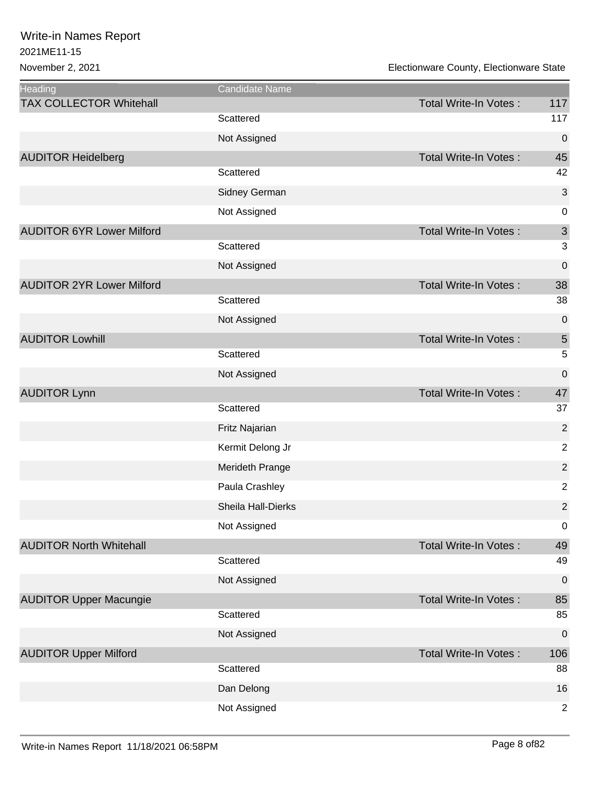| <b>Heading</b>                   | Candidate Name     |                              |                           |
|----------------------------------|--------------------|------------------------------|---------------------------|
| <b>TAX COLLECTOR Whitehall</b>   |                    | Total Write-In Votes:        | 117                       |
|                                  | Scattered          |                              | 117                       |
|                                  | Not Assigned       |                              | $\mathbf 0$               |
| <b>AUDITOR Heidelberg</b>        |                    | <b>Total Write-In Votes:</b> | 45                        |
|                                  | Scattered          |                              | 42                        |
|                                  | Sidney German      |                              | $\mathbf{3}$              |
|                                  | Not Assigned       |                              | $\mathbf 0$               |
| <b>AUDITOR 6YR Lower Milford</b> |                    | <b>Total Write-In Votes:</b> | $\ensuremath{\mathsf{3}}$ |
|                                  | Scattered          |                              | $\sqrt{3}$                |
|                                  | Not Assigned       |                              | $\mathbf 0$               |
| <b>AUDITOR 2YR Lower Milford</b> |                    | <b>Total Write-In Votes:</b> | 38                        |
|                                  | Scattered          |                              | 38                        |
|                                  | Not Assigned       |                              | $\mathbf 0$               |
| <b>AUDITOR Lowhill</b>           |                    | <b>Total Write-In Votes:</b> | $\sqrt{5}$                |
|                                  | Scattered          |                              | 5                         |
|                                  | Not Assigned       |                              | $\mathbf 0$               |
| <b>AUDITOR Lynn</b>              |                    | <b>Total Write-In Votes:</b> | 47                        |
|                                  | Scattered          |                              | 37                        |
|                                  | Fritz Najarian     |                              | $\overline{2}$            |
|                                  | Kermit Delong Jr   |                              | $\overline{2}$            |
|                                  | Merideth Prange    |                              | $\overline{2}$            |
|                                  | Paula Crashley     |                              | $\overline{2}$            |
|                                  | Sheila Hall-Dierks |                              | $\overline{2}$            |
|                                  | Not Assigned       |                              | 0                         |
| <b>AUDITOR North Whitehall</b>   |                    | <b>Total Write-In Votes:</b> | 49                        |
|                                  | Scattered          |                              | 49                        |
|                                  | Not Assigned       |                              | $\overline{0}$            |
| <b>AUDITOR Upper Macungie</b>    |                    | <b>Total Write-In Votes:</b> | 85                        |
|                                  | Scattered          |                              | 85                        |
|                                  | Not Assigned       |                              | $\boldsymbol{0}$          |
| <b>AUDITOR Upper Milford</b>     |                    | <b>Total Write-In Votes:</b> | 106                       |
|                                  | Scattered          |                              | 88                        |
|                                  | Dan Delong         |                              | 16                        |
|                                  | Not Assigned       |                              | $\overline{2}$            |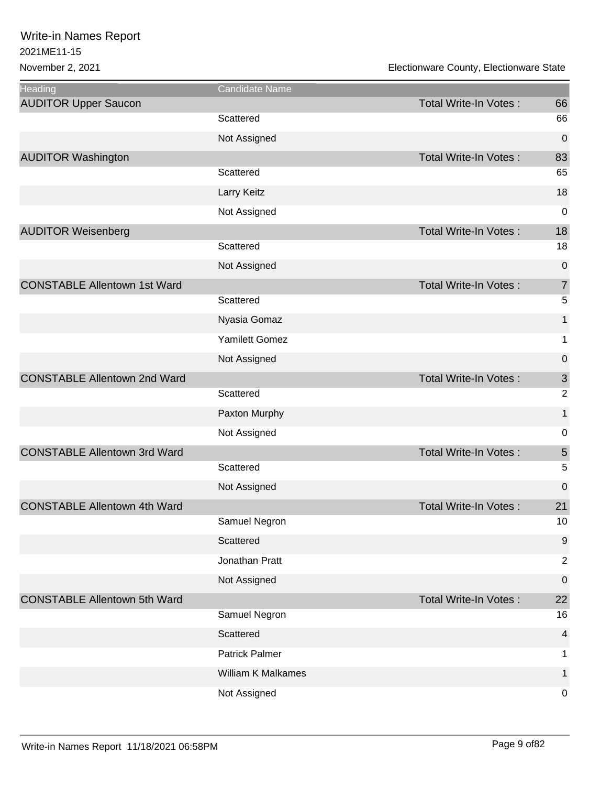| Heading                             | Candidate Name            |                              |                  |
|-------------------------------------|---------------------------|------------------------------|------------------|
| <b>AUDITOR Upper Saucon</b>         |                           | Total Write-In Votes:        | 66               |
|                                     | Scattered                 |                              | 66               |
|                                     | Not Assigned              |                              | 0                |
| <b>AUDITOR Washington</b>           |                           | Total Write-In Votes:        | 83               |
|                                     | Scattered                 |                              | 65               |
|                                     | Larry Keitz               |                              | 18               |
|                                     | Not Assigned              |                              | 0                |
| <b>AUDITOR Weisenberg</b>           |                           | Total Write-In Votes:        | 18               |
|                                     | Scattered                 |                              | 18               |
|                                     | Not Assigned              |                              | 0                |
| <b>CONSTABLE Allentown 1st Ward</b> |                           | Total Write-In Votes:        | $\overline{7}$   |
|                                     | Scattered                 |                              | 5                |
|                                     | Nyasia Gomaz              |                              | 1                |
|                                     | Yamilett Gomez            |                              | 1                |
|                                     | Not Assigned              |                              | 0                |
| <b>CONSTABLE Allentown 2nd Ward</b> |                           | <b>Total Write-In Votes:</b> | $\sqrt{3}$       |
|                                     | Scattered                 |                              | $\overline{2}$   |
|                                     | Paxton Murphy             |                              | 1                |
|                                     | Not Assigned              |                              | $\mathbf 0$      |
| <b>CONSTABLE Allentown 3rd Ward</b> |                           | <b>Total Write-In Votes:</b> | $\sqrt{5}$       |
|                                     | Scattered                 |                              | 5                |
|                                     | Not Assigned              |                              | $\mathbf 0$      |
| <b>CONSTABLE Allentown 4th Ward</b> |                           | Total Write-In Votes:        | 21               |
|                                     | Samuel Negron             |                              | 10               |
|                                     | Scattered                 |                              | $\boldsymbol{9}$ |
|                                     | Jonathan Pratt            |                              | $\overline{2}$   |
|                                     | Not Assigned              |                              | $\pmb{0}$        |
| <b>CONSTABLE Allentown 5th Ward</b> |                           | Total Write-In Votes:        | 22               |
|                                     | Samuel Negron             |                              | 16               |
|                                     | Scattered                 |                              | $\overline{4}$   |
|                                     | Patrick Palmer            |                              | 1                |
|                                     | <b>William K Malkames</b> |                              | 1                |
|                                     | Not Assigned              |                              | 0                |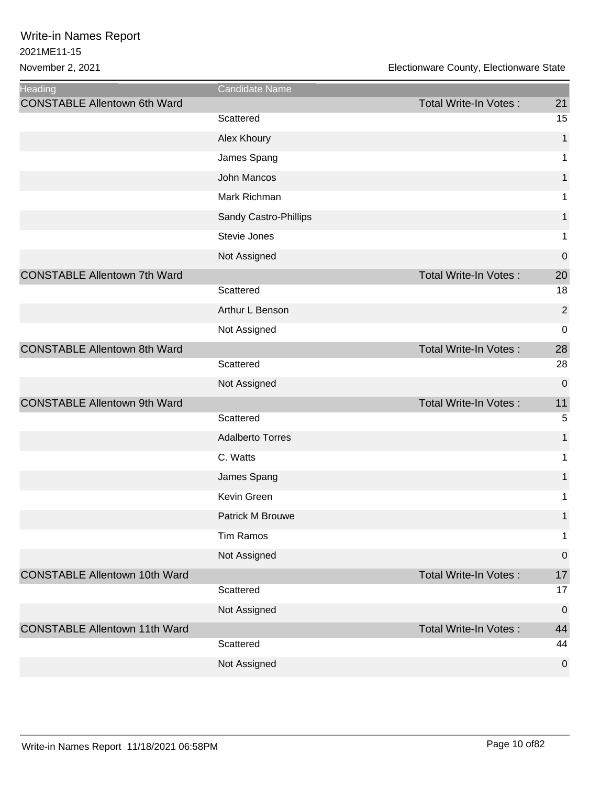| Heading                              | Candidate Name          |                              |                  |
|--------------------------------------|-------------------------|------------------------------|------------------|
| <b>CONSTABLE Allentown 6th Ward</b>  |                         | Total Write-In Votes:        | 21               |
|                                      | Scattered               |                              | 15               |
|                                      | Alex Khoury             |                              | 1                |
|                                      | James Spang             |                              | 1                |
|                                      | John Mancos             |                              | $\mathbf{1}$     |
|                                      | Mark Richman            |                              | 1                |
|                                      | Sandy Castro-Phillips   |                              | $\mathbf{1}$     |
|                                      | Stevie Jones            |                              | 1                |
|                                      | Not Assigned            |                              | 0                |
| <b>CONSTABLE Allentown 7th Ward</b>  |                         | <b>Total Write-In Votes:</b> | 20               |
|                                      | Scattered               |                              | 18               |
|                                      | Arthur L Benson         |                              | $\mathbf 2$      |
|                                      | Not Assigned            |                              | $\boldsymbol{0}$ |
| <b>CONSTABLE Allentown 8th Ward</b>  |                         | <b>Total Write-In Votes:</b> | 28               |
|                                      | Scattered               |                              | 28               |
|                                      | Not Assigned            |                              | $\mathbf 0$      |
| <b>CONSTABLE Allentown 9th Ward</b>  |                         | Total Write-In Votes:        | 11               |
|                                      | Scattered               |                              | $\overline{5}$   |
|                                      | <b>Adalberto Torres</b> |                              | 1                |
|                                      | C. Watts                |                              | 1                |
|                                      | James Spang             |                              | 1                |
|                                      | Kevin Green             |                              | 1                |
|                                      | Patrick M Brouwe        |                              | $\mathbf{1}$     |
|                                      | <b>Tim Ramos</b>        |                              | $\mathbf 1$      |
|                                      | Not Assigned            |                              | $\mathbf 0$      |
| <b>CONSTABLE Allentown 10th Ward</b> |                         | Total Write-In Votes:        | 17               |
|                                      | Scattered               |                              | 17               |
|                                      | Not Assigned            |                              | $\overline{0}$   |
| <b>CONSTABLE Allentown 11th Ward</b> |                         | <b>Total Write-In Votes:</b> | 44               |
|                                      | Scattered               |                              | 44               |
|                                      | Not Assigned            |                              | $\mathbf 0$      |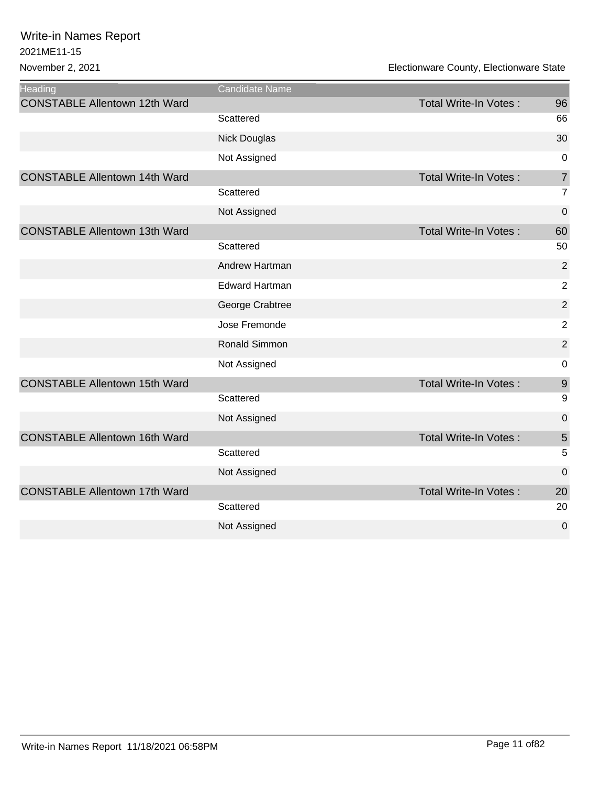| <b>Heading</b>                       | <b>Candidate Name</b> |                              |                  |
|--------------------------------------|-----------------------|------------------------------|------------------|
| <b>CONSTABLE Allentown 12th Ward</b> |                       | <b>Total Write-In Votes:</b> | 96               |
|                                      | Scattered             |                              | 66               |
|                                      | <b>Nick Douglas</b>   |                              | 30               |
|                                      | Not Assigned          |                              | 0                |
| <b>CONSTABLE Allentown 14th Ward</b> |                       | <b>Total Write-In Votes:</b> | $\overline{7}$   |
|                                      | Scattered             |                              | $\overline{7}$   |
|                                      | Not Assigned          |                              | 0                |
| <b>CONSTABLE Allentown 13th Ward</b> |                       | <b>Total Write-In Votes:</b> | 60               |
|                                      | Scattered             |                              | 50               |
|                                      | Andrew Hartman        |                              | $\overline{2}$   |
|                                      | <b>Edward Hartman</b> |                              | $\overline{2}$   |
|                                      | George Crabtree       |                              | $\overline{2}$   |
|                                      | Jose Fremonde         |                              | $\overline{2}$   |
|                                      | Ronald Simmon         |                              | $\overline{2}$   |
|                                      | Not Assigned          |                              | $\boldsymbol{0}$ |
| <b>CONSTABLE Allentown 15th Ward</b> |                       | <b>Total Write-In Votes:</b> | 9                |
|                                      | Scattered             |                              | 9                |
|                                      | Not Assigned          |                              | 0                |
| <b>CONSTABLE Allentown 16th Ward</b> |                       | <b>Total Write-In Votes:</b> | 5                |
|                                      | Scattered             |                              | 5                |
|                                      | Not Assigned          |                              | $\mathbf 0$      |
| <b>CONSTABLE Allentown 17th Ward</b> |                       | <b>Total Write-In Votes:</b> | 20               |
|                                      | Scattered             |                              | 20               |
|                                      | Not Assigned          |                              | 0                |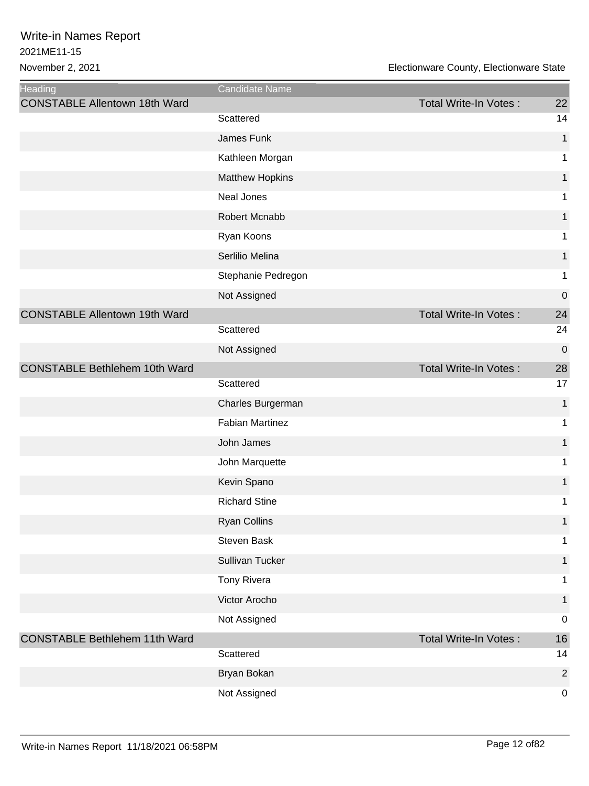| Heading                              | Candidate Name         |                              |                |
|--------------------------------------|------------------------|------------------------------|----------------|
| <b>CONSTABLE Allentown 18th Ward</b> |                        | Total Write-In Votes:        | 22             |
|                                      | Scattered              |                              | 14             |
|                                      | James Funk             |                              | 1              |
|                                      | Kathleen Morgan        |                              | 1              |
|                                      | <b>Matthew Hopkins</b> |                              | $\mathbf{1}$   |
|                                      | Neal Jones             |                              | 1              |
|                                      | Robert Mcnabb          |                              | $\mathbf{1}$   |
|                                      | Ryan Koons             |                              | 1              |
|                                      | Serlilio Melina        |                              | 1              |
|                                      | Stephanie Pedregon     |                              | 1              |
|                                      | Not Assigned           |                              | $\pmb{0}$      |
| <b>CONSTABLE Allentown 19th Ward</b> |                        | <b>Total Write-In Votes:</b> | 24             |
|                                      | Scattered              |                              | 24             |
|                                      | Not Assigned           |                              | $\mathbf 0$    |
| <b>CONSTABLE Bethlehem 10th Ward</b> |                        | <b>Total Write-In Votes:</b> | 28             |
|                                      | Scattered              |                              | 17             |
|                                      | Charles Burgerman      |                              | 1              |
|                                      | <b>Fabian Martinez</b> |                              | 1              |
|                                      | John James             |                              | 1              |
|                                      | John Marquette         |                              | 1              |
|                                      | Kevin Spano            |                              | $\mathbf{1}$   |
|                                      | <b>Richard Stine</b>   |                              | 1              |
|                                      | <b>Ryan Collins</b>    |                              | 1              |
|                                      | Steven Bask            |                              | 1              |
|                                      | Sullivan Tucker        |                              | $\mathbf{1}$   |
|                                      | Tony Rivera            |                              | 1              |
|                                      | Victor Arocho          |                              | $\mathbf{1}$   |
|                                      | Not Assigned           |                              | $\pmb{0}$      |
| <b>CONSTABLE Bethlehem 11th Ward</b> |                        | <b>Total Write-In Votes:</b> | 16             |
|                                      | Scattered              |                              | 14             |
|                                      | Bryan Bokan            |                              | $\overline{2}$ |
|                                      | Not Assigned           |                              | $\pmb{0}$      |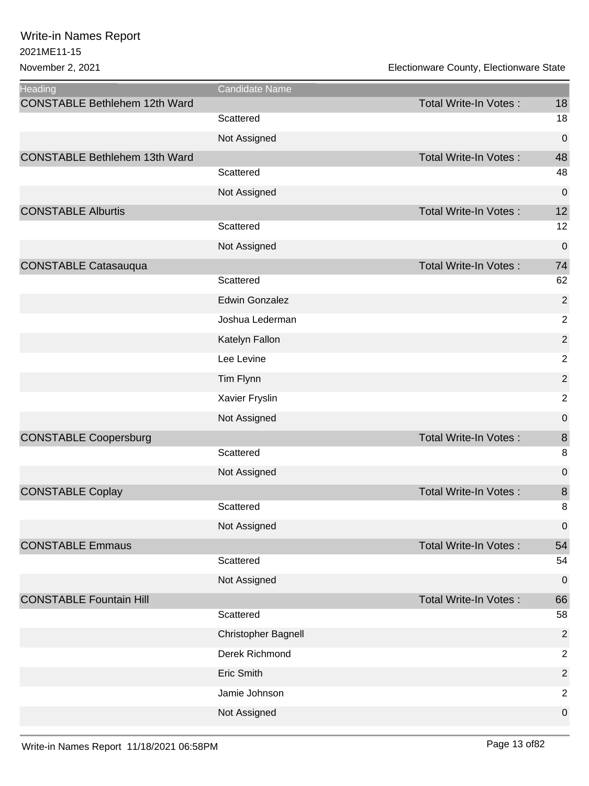| Heading                              | Candidate Name        |                              |                |
|--------------------------------------|-----------------------|------------------------------|----------------|
| <b>CONSTABLE Bethlehem 12th Ward</b> |                       | Total Write-In Votes:        | 18             |
|                                      | Scattered             |                              | 18             |
|                                      | Not Assigned          |                              | $\pmb{0}$      |
| <b>CONSTABLE Bethlehem 13th Ward</b> |                       | <b>Total Write-In Votes:</b> | 48             |
|                                      | Scattered             |                              | 48             |
|                                      | Not Assigned          |                              | $\pmb{0}$      |
| <b>CONSTABLE Alburtis</b>            |                       | <b>Total Write-In Votes:</b> | 12             |
|                                      | Scattered             |                              | 12             |
|                                      | Not Assigned          |                              | $\mathbf 0$    |
| <b>CONSTABLE Catasauqua</b>          |                       | <b>Total Write-In Votes:</b> | 74             |
|                                      | Scattered             |                              | 62             |
|                                      | <b>Edwin Gonzalez</b> |                              | $\overline{2}$ |
|                                      | Joshua Lederman       |                              | $\overline{2}$ |
|                                      | Katelyn Fallon        |                              | $\sqrt{2}$     |
|                                      | Lee Levine            |                              | $\sqrt{2}$     |
|                                      | Tim Flynn             |                              | $\overline{2}$ |
|                                      | Xavier Fryslin        |                              | $\overline{2}$ |
|                                      | Not Assigned          |                              | $\mathbf 0$    |
| <b>CONSTABLE Coopersburg</b>         |                       | <b>Total Write-In Votes:</b> | $\bf 8$        |
|                                      | Scattered             |                              | 8              |
|                                      | Not Assigned          |                              | 0              |
| <b>CONSTABLE Coplay</b>              |                       | <b>Total Write-In Votes:</b> | $\bf 8$        |
|                                      | Scattered             |                              | 8              |
|                                      | Not Assigned          |                              | 0              |
| <b>CONSTABLE Emmaus</b>              |                       | <b>Total Write-In Votes:</b> | 54             |
|                                      | Scattered             |                              | 54             |
|                                      | Not Assigned          |                              | $\mathbf 0$    |
| <b>CONSTABLE Fountain Hill</b>       |                       | <b>Total Write-In Votes:</b> | 66             |
|                                      | Scattered             |                              | 58             |
|                                      | Christopher Bagnell   |                              | $\overline{2}$ |
|                                      | Derek Richmond        |                              | $\overline{2}$ |
|                                      | Eric Smith            |                              | $\overline{2}$ |
|                                      | Jamie Johnson         |                              | $\overline{2}$ |
|                                      | Not Assigned          |                              | $\pmb{0}$      |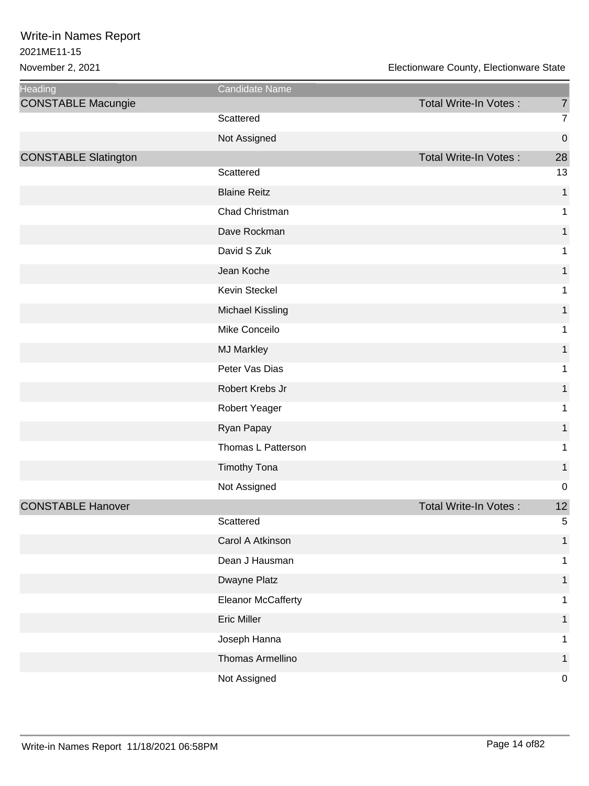| <b>Heading</b>              | Candidate Name            |                              |                  |
|-----------------------------|---------------------------|------------------------------|------------------|
| <b>CONSTABLE Macungie</b>   |                           | Total Write-In Votes:        | $\overline{7}$   |
|                             | Scattered                 |                              | $\overline{7}$   |
|                             | Not Assigned              |                              | $\boldsymbol{0}$ |
| <b>CONSTABLE Slatington</b> |                           | <b>Total Write-In Votes:</b> | 28               |
|                             | Scattered                 |                              | 13               |
|                             | <b>Blaine Reitz</b>       |                              | $\mathbf 1$      |
|                             | Chad Christman            |                              | 1                |
|                             | Dave Rockman              |                              | 1                |
|                             | David S Zuk               |                              | 1                |
|                             | Jean Koche                |                              | 1                |
|                             | Kevin Steckel             |                              | 1                |
|                             | <b>Michael Kissling</b>   |                              | $\mathbf{1}$     |
|                             | Mike Conceilo             |                              | 1                |
|                             | <b>MJ Markley</b>         |                              | 1                |
|                             | Peter Vas Dias            |                              | 1                |
|                             | Robert Krebs Jr           |                              | 1                |
|                             | Robert Yeager             |                              | 1                |
|                             | Ryan Papay                |                              | $\mathbf{1}$     |
|                             | Thomas L Patterson        |                              | 1                |
|                             | <b>Timothy Tona</b>       |                              | 1                |
|                             | Not Assigned              |                              | $\mathbf 0$      |
| <b>CONSTABLE Hanover</b>    |                           | Total Write-In Votes:        | 12               |
|                             | Scattered                 |                              | 5                |
|                             | Carol A Atkinson          |                              | 1                |
|                             | Dean J Hausman            |                              | 1                |
|                             | Dwayne Platz              |                              | 1                |
|                             | <b>Eleanor McCafferty</b> |                              | 1                |
|                             | <b>Eric Miller</b>        |                              | 1                |
|                             | Joseph Hanna              |                              | 1                |
|                             | Thomas Armellino          |                              | 1                |
|                             | Not Assigned              |                              | $\boldsymbol{0}$ |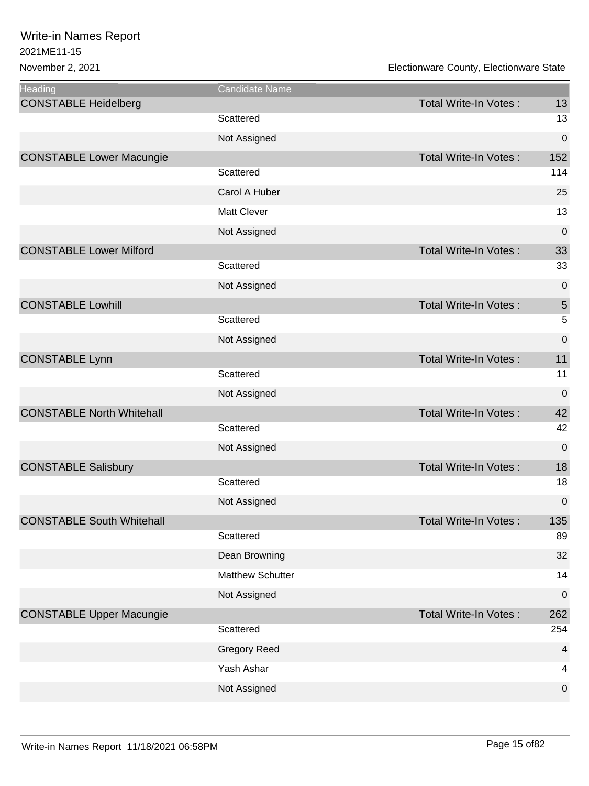| <b>Heading</b>                   | <b>Candidate Name</b>   |                              |                |
|----------------------------------|-------------------------|------------------------------|----------------|
| <b>CONSTABLE Heidelberg</b>      |                         | Total Write-In Votes:        | 13             |
|                                  | Scattered               |                              | 13             |
|                                  | Not Assigned            |                              | 0              |
| <b>CONSTABLE Lower Macungie</b>  |                         | Total Write-In Votes:        | 152            |
|                                  | Scattered               |                              | 114            |
|                                  | Carol A Huber           |                              | 25             |
|                                  | <b>Matt Clever</b>      |                              | 13             |
|                                  | Not Assigned            |                              | 0              |
| <b>CONSTABLE Lower Milford</b>   |                         | Total Write-In Votes:        | 33             |
|                                  | Scattered               |                              | 33             |
|                                  | Not Assigned            |                              | 0              |
| <b>CONSTABLE Lowhill</b>         |                         | <b>Total Write-In Votes:</b> | $\sqrt{5}$     |
|                                  | Scattered               |                              | 5              |
|                                  | Not Assigned            |                              | $\pmb{0}$      |
| <b>CONSTABLE Lynn</b>            |                         | <b>Total Write-In Votes:</b> | 11             |
|                                  | Scattered               |                              | 11             |
|                                  | Not Assigned            |                              | $\pmb{0}$      |
| <b>CONSTABLE North Whitehall</b> |                         | <b>Total Write-In Votes:</b> | 42             |
|                                  | Scattered               |                              | 42             |
|                                  | Not Assigned            |                              | $\mathbf 0$    |
| <b>CONSTABLE Salisbury</b>       |                         | <b>Total Write-In Votes:</b> | 18             |
|                                  | Scattered               |                              | 18             |
|                                  | Not Assigned            |                              | $\pmb{0}$      |
| <b>CONSTABLE South Whitehall</b> |                         | Total Write-In Votes :       | 135            |
|                                  | Scattered               |                              | 89             |
|                                  | Dean Browning           |                              | 32             |
|                                  | <b>Matthew Schutter</b> |                              | 14             |
|                                  | Not Assigned            |                              | $\pmb{0}$      |
| <b>CONSTABLE Upper Macungie</b>  |                         | Total Write-In Votes:        | 262            |
|                                  | Scattered               |                              | 254            |
|                                  | <b>Gregory Reed</b>     |                              | $\overline{4}$ |
|                                  | Yash Ashar              |                              | 4              |
|                                  | Not Assigned            |                              | 0              |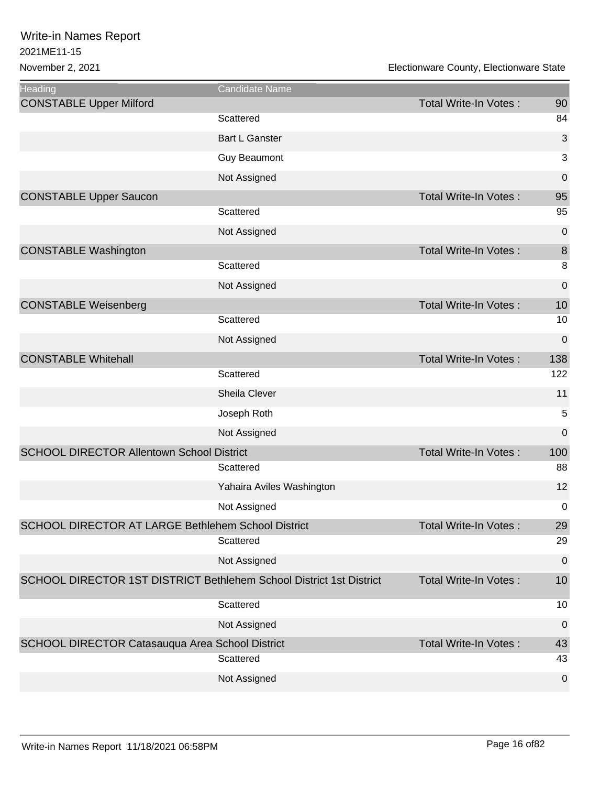| <b>Heading</b>                                                      | Candidate Name            |                              |                  |
|---------------------------------------------------------------------|---------------------------|------------------------------|------------------|
| <b>CONSTABLE Upper Milford</b>                                      |                           | Total Write-In Votes:        | 90               |
|                                                                     | Scattered                 |                              | 84               |
|                                                                     | <b>Bart L Ganster</b>     |                              | 3                |
|                                                                     | <b>Guy Beaumont</b>       |                              | 3                |
|                                                                     | Not Assigned              |                              | 0                |
| <b>CONSTABLE Upper Saucon</b>                                       |                           | <b>Total Write-In Votes:</b> | 95               |
|                                                                     | Scattered                 |                              | 95               |
|                                                                     | Not Assigned              |                              | 0                |
| <b>CONSTABLE Washington</b>                                         |                           | <b>Total Write-In Votes:</b> | $\bf 8$          |
|                                                                     | Scattered                 |                              | 8                |
|                                                                     | Not Assigned              |                              | 0                |
| <b>CONSTABLE Weisenberg</b>                                         |                           | <b>Total Write-In Votes:</b> | 10               |
|                                                                     | Scattered                 |                              | 10               |
|                                                                     | Not Assigned              |                              | $\boldsymbol{0}$ |
| <b>CONSTABLE Whitehall</b>                                          |                           | <b>Total Write-In Votes:</b> | 138              |
|                                                                     | Scattered                 |                              | 122              |
|                                                                     | Sheila Clever             |                              | 11               |
|                                                                     | Joseph Roth               |                              | 5                |
|                                                                     | Not Assigned              |                              | 0                |
| <b>SCHOOL DIRECTOR Allentown School District</b>                    |                           | <b>Total Write-In Votes:</b> | 100              |
|                                                                     | Scattered                 |                              | 88               |
|                                                                     | Yahaira Aviles Washington |                              | 12               |
|                                                                     | Not Assigned              |                              | 0                |
| SCHOOL DIRECTOR AT LARGE Bethlehem School District                  |                           | <b>Total Write-In Votes:</b> | 29               |
|                                                                     | Scattered                 |                              | 29               |
|                                                                     | Not Assigned              |                              | 0                |
| SCHOOL DIRECTOR 1ST DISTRICT Bethlehem School District 1st District |                           | Total Write-In Votes:        | 10               |
|                                                                     | Scattered                 |                              | 10               |
|                                                                     | Not Assigned              |                              | 0                |
| SCHOOL DIRECTOR Catasauqua Area School District                     | Scattered                 | <b>Total Write-In Votes:</b> | 43<br>43         |
|                                                                     | Not Assigned              |                              | 0                |
|                                                                     |                           |                              |                  |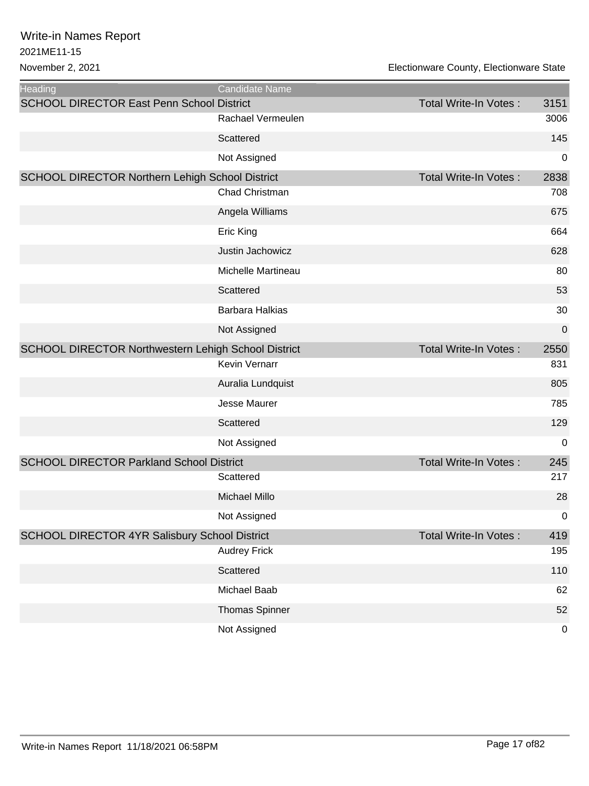| <b>Heading</b>                                             | Candidate Name        |                              |      |
|------------------------------------------------------------|-----------------------|------------------------------|------|
| <b>SCHOOL DIRECTOR East Penn School District</b>           |                       | <b>Total Write-In Votes:</b> | 3151 |
|                                                            | Rachael Vermeulen     |                              | 3006 |
|                                                            | Scattered             |                              | 145  |
|                                                            | Not Assigned          |                              | 0    |
| SCHOOL DIRECTOR Northern Lehigh School District            |                       | <b>Total Write-In Votes:</b> | 2838 |
|                                                            | Chad Christman        |                              | 708  |
|                                                            | Angela Williams       |                              | 675  |
|                                                            | Eric King             |                              | 664  |
|                                                            | Justin Jachowicz      |                              | 628  |
|                                                            | Michelle Martineau    |                              | 80   |
|                                                            | Scattered             |                              | 53   |
|                                                            | Barbara Halkias       |                              | 30   |
|                                                            | Not Assigned          |                              | 0    |
| <b>SCHOOL DIRECTOR Northwestern Lehigh School District</b> |                       | <b>Total Write-In Votes:</b> | 2550 |
|                                                            | Kevin Vernarr         |                              | 831  |
|                                                            | Auralia Lundquist     |                              | 805  |
|                                                            | <b>Jesse Maurer</b>   |                              | 785  |
|                                                            | Scattered             |                              | 129  |
|                                                            | Not Assigned          |                              | 0    |
| <b>SCHOOL DIRECTOR Parkland School District</b>            |                       | <b>Total Write-In Votes:</b> | 245  |
|                                                            | Scattered             |                              | 217  |
|                                                            | <b>Michael Millo</b>  |                              | 28   |
|                                                            | Not Assigned          |                              | 0    |
| SCHOOL DIRECTOR 4YR Salisbury School District              |                       | <b>Total Write-In Votes:</b> | 419  |
|                                                            | <b>Audrey Frick</b>   |                              | 195  |
|                                                            | Scattered             |                              | 110  |
|                                                            | Michael Baab          |                              | 62   |
|                                                            | <b>Thomas Spinner</b> |                              | 52   |
|                                                            | Not Assigned          |                              | 0    |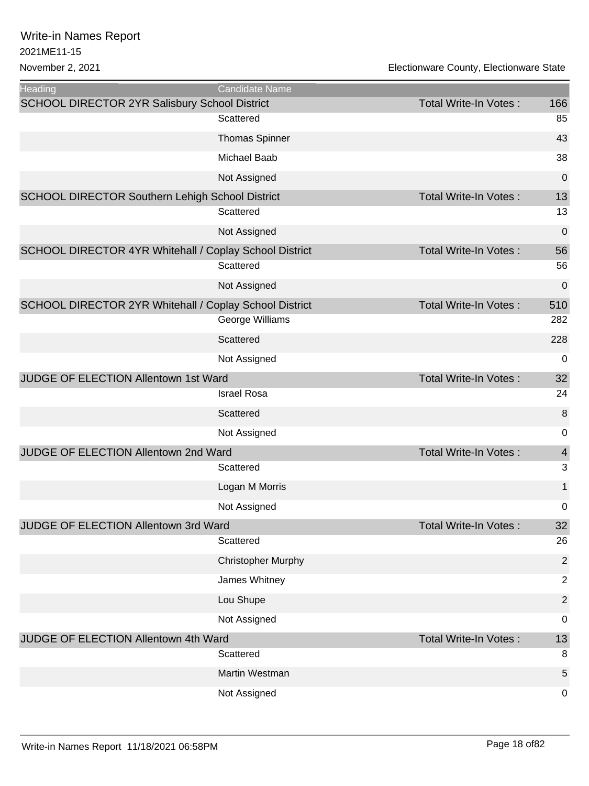| <b>Heading</b>                                         | Candidate Name            |                              |                |
|--------------------------------------------------------|---------------------------|------------------------------|----------------|
| <b>SCHOOL DIRECTOR 2YR Salisbury School District</b>   |                           | Total Write-In Votes:        | 166            |
|                                                        | Scattered                 |                              | 85             |
|                                                        | <b>Thomas Spinner</b>     |                              | 43             |
|                                                        | Michael Baab              |                              | 38             |
|                                                        | Not Assigned              |                              | 0              |
| SCHOOL DIRECTOR Southern Lehigh School District        |                           | <b>Total Write-In Votes:</b> | 13             |
|                                                        | Scattered                 |                              | 13             |
|                                                        | Not Assigned              |                              | $\mathbf 0$    |
| SCHOOL DIRECTOR 4YR Whitehall / Coplay School District |                           | <b>Total Write-In Votes:</b> | 56             |
|                                                        | Scattered                 |                              | 56             |
|                                                        | Not Assigned              |                              | 0              |
| SCHOOL DIRECTOR 2YR Whitehall / Coplay School District |                           | <b>Total Write-In Votes:</b> | 510            |
|                                                        | George Williams           |                              | 282            |
|                                                        | Scattered                 |                              | 228            |
|                                                        | Not Assigned              |                              | 0              |
| JUDGE OF ELECTION Allentown 1st Ward                   |                           | <b>Total Write-In Votes:</b> | 32             |
|                                                        | <b>Israel Rosa</b>        |                              | 24             |
|                                                        | Scattered                 |                              | 8              |
|                                                        | Not Assigned              |                              | 0              |
| JUDGE OF ELECTION Allentown 2nd Ward                   |                           | <b>Total Write-In Votes:</b> | $\overline{4}$ |
|                                                        | Scattered                 |                              | 3              |
|                                                        | Logan M Morris            |                              | 1              |
|                                                        | Not Assigned              |                              | 0              |
| JUDGE OF ELECTION Allentown 3rd Ward                   |                           | <b>Total Write-In Votes:</b> | 32             |
|                                                        | Scattered                 |                              | 26             |
|                                                        | <b>Christopher Murphy</b> |                              | $\overline{2}$ |
|                                                        | James Whitney             |                              | $\overline{2}$ |
|                                                        | Lou Shupe                 |                              | $\overline{2}$ |
|                                                        | Not Assigned              |                              | 0              |
| JUDGE OF ELECTION Allentown 4th Ward                   |                           | <b>Total Write-In Votes:</b> | 13             |
|                                                        | Scattered                 |                              | 8              |
|                                                        | Martin Westman            |                              | 5              |
|                                                        | Not Assigned              |                              | 0              |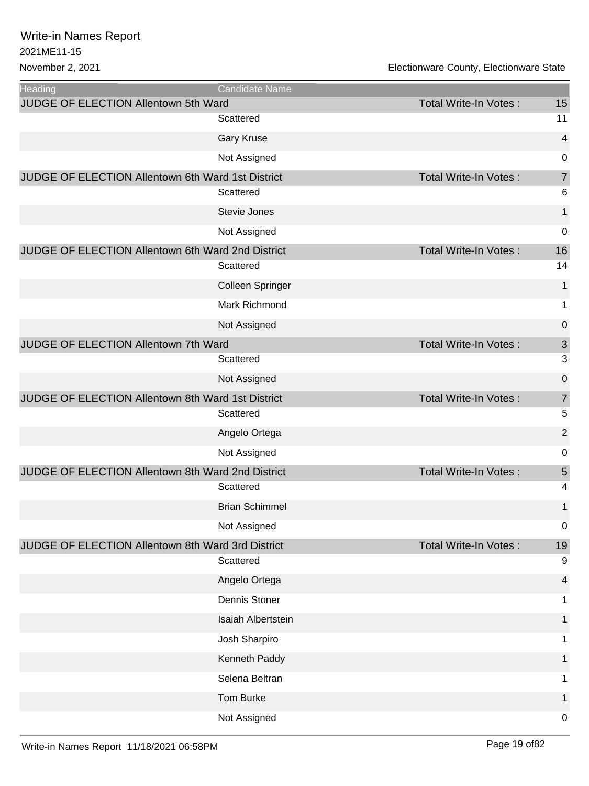| Heading                                           | <b>Candidate Name</b> |                              |                |
|---------------------------------------------------|-----------------------|------------------------------|----------------|
| JUDGE OF ELECTION Allentown 5th Ward              |                       | <b>Total Write-In Votes:</b> | 15             |
|                                                   | Scattered             |                              | 11             |
|                                                   | <b>Gary Kruse</b>     |                              | 4              |
|                                                   | Not Assigned          |                              | 0              |
| JUDGE OF ELECTION Allentown 6th Ward 1st District |                       | <b>Total Write-In Votes:</b> | $\overline{7}$ |
|                                                   | Scattered             |                              | 6              |
|                                                   | Stevie Jones          |                              | $\mathbf{1}$   |
|                                                   | Not Assigned          |                              | 0              |
| JUDGE OF ELECTION Allentown 6th Ward 2nd District |                       | <b>Total Write-In Votes:</b> | 16             |
|                                                   | Scattered             |                              | 14             |
|                                                   | Colleen Springer      |                              | 1              |
|                                                   | <b>Mark Richmond</b>  |                              | 1              |
|                                                   | Not Assigned          |                              | 0              |
| JUDGE OF ELECTION Allentown 7th Ward              |                       | <b>Total Write-In Votes:</b> | $\mathfrak{S}$ |
|                                                   | Scattered             |                              | 3              |
|                                                   | Not Assigned          |                              | 0              |
| JUDGE OF ELECTION Allentown 8th Ward 1st District |                       | <b>Total Write-In Votes:</b> | $\overline{7}$ |
|                                                   | Scattered             |                              | 5              |
|                                                   | Angelo Ortega         |                              | $\overline{2}$ |
|                                                   | Not Assigned          |                              | 0              |
| JUDGE OF ELECTION Allentown 8th Ward 2nd District |                       | <b>Total Write-In Votes:</b> | 5              |
|                                                   | Scattered             |                              | 4              |
|                                                   | <b>Brian Schimmel</b> |                              | 1              |
|                                                   | Not Assigned          |                              | 0              |
| JUDGE OF ELECTION Allentown 8th Ward 3rd District |                       | <b>Total Write-In Votes:</b> | 19             |
|                                                   | Scattered             |                              | $9\,$          |
|                                                   | Angelo Ortega         |                              | 4              |
|                                                   | Dennis Stoner         |                              | 1              |
|                                                   | Isaiah Albertstein    |                              | 1              |
|                                                   | Josh Sharpiro         |                              | 1              |
|                                                   | Kenneth Paddy         |                              | 1              |
|                                                   | Selena Beltran        |                              | 1              |
|                                                   | Tom Burke             |                              | 1              |
|                                                   | Not Assigned          |                              | 0              |
|                                                   |                       |                              |                |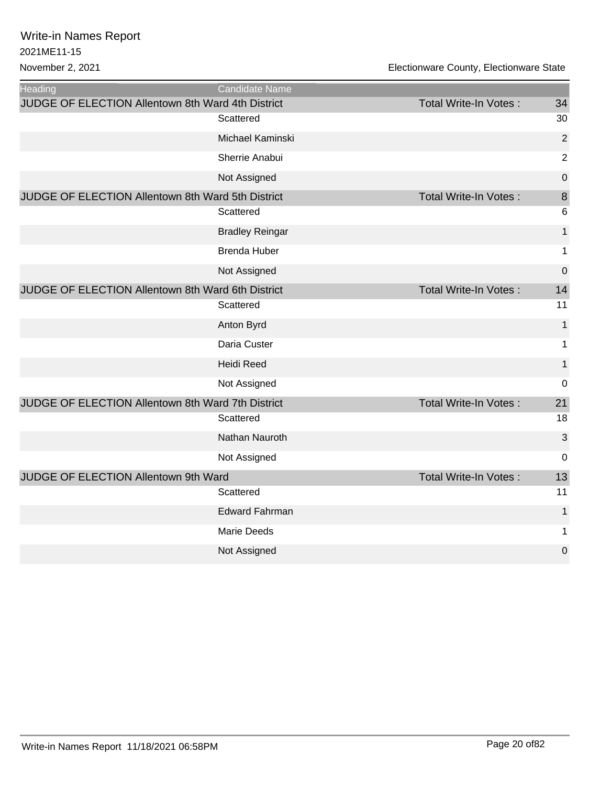| <b>Heading</b>                                    | <b>Candidate Name</b>  |                              |                |
|---------------------------------------------------|------------------------|------------------------------|----------------|
| JUDGE OF ELECTION Allentown 8th Ward 4th District |                        | <b>Total Write-In Votes:</b> | 34             |
|                                                   | Scattered              |                              | 30             |
|                                                   | Michael Kaminski       |                              | $\overline{2}$ |
|                                                   | Sherrie Anabui         |                              | $\overline{2}$ |
|                                                   | Not Assigned           |                              | 0              |
| JUDGE OF ELECTION Allentown 8th Ward 5th District |                        | <b>Total Write-In Votes:</b> | 8              |
|                                                   | Scattered              |                              | 6              |
|                                                   | <b>Bradley Reingar</b> |                              | $\mathbf{1}$   |
|                                                   | <b>Brenda Huber</b>    |                              | 1              |
|                                                   | Not Assigned           |                              | $\mathbf 0$    |
| JUDGE OF ELECTION Allentown 8th Ward 6th District |                        | <b>Total Write-In Votes:</b> | 14             |
|                                                   | Scattered              |                              | 11             |
|                                                   | Anton Byrd             |                              | $\mathbf{1}$   |
|                                                   | Daria Custer           |                              | 1              |
|                                                   | <b>Heidi Reed</b>      |                              | 1              |
|                                                   | Not Assigned           |                              | 0              |
| JUDGE OF ELECTION Allentown 8th Ward 7th District |                        | <b>Total Write-In Votes:</b> | 21             |
|                                                   | Scattered              |                              | 18             |
|                                                   | Nathan Nauroth         |                              | 3              |
|                                                   | Not Assigned           |                              | 0              |
| JUDGE OF ELECTION Allentown 9th Ward              |                        | <b>Total Write-In Votes:</b> | 13             |
|                                                   | Scattered              |                              | 11             |
|                                                   | <b>Edward Fahrman</b>  |                              | $\mathbf{1}$   |
|                                                   | <b>Marie Deeds</b>     |                              | 1              |
|                                                   | Not Assigned           |                              | 0              |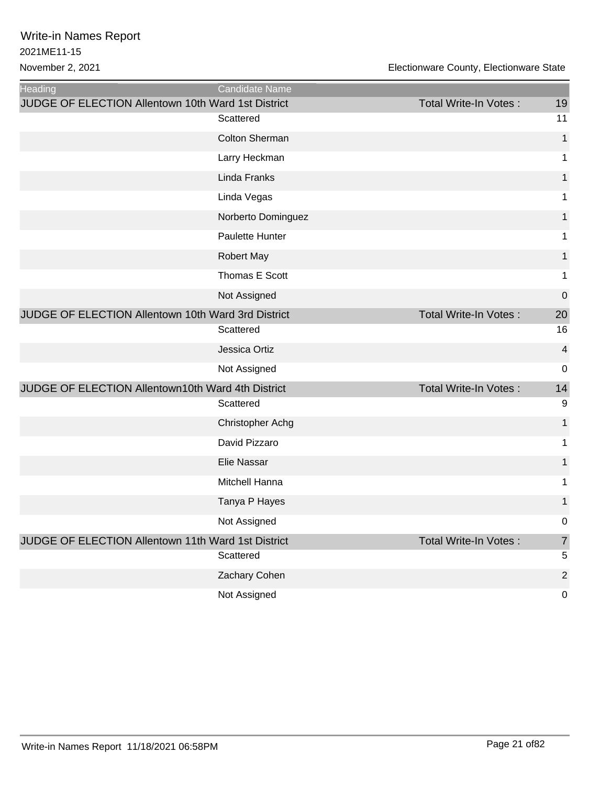| Heading                                                   | Candidate Name          |                       |                         |
|-----------------------------------------------------------|-------------------------|-----------------------|-------------------------|
| <b>JUDGE OF ELECTION Allentown 10th Ward 1st District</b> |                         | Total Write-In Votes: | 19                      |
|                                                           | Scattered               |                       | 11                      |
|                                                           | <b>Colton Sherman</b>   |                       | $\mathbf{1}$            |
|                                                           | Larry Heckman           |                       | 1                       |
|                                                           | Linda Franks            |                       | 1                       |
|                                                           | Linda Vegas             |                       | 1                       |
|                                                           | Norberto Dominguez      |                       | 1                       |
|                                                           | Paulette Hunter         |                       | 1                       |
|                                                           | Robert May              |                       | 1                       |
|                                                           | Thomas E Scott          |                       | 1                       |
|                                                           | Not Assigned            |                       | $\mathbf 0$             |
| JUDGE OF ELECTION Allentown 10th Ward 3rd District        |                         | Total Write-In Votes: | 20                      |
|                                                           | Scattered               |                       | 16                      |
|                                                           | Jessica Ortiz           |                       | $\overline{\mathbf{4}}$ |
|                                                           | Not Assigned            |                       | $\mathbf 0$             |
| JUDGE OF ELECTION Allentown10th Ward 4th District         |                         | Total Write-In Votes: | 14                      |
|                                                           | Scattered               |                       | 9                       |
|                                                           | <b>Christopher Achg</b> |                       | 1                       |
|                                                           | David Pizzaro           |                       | 1                       |
|                                                           | Elie Nassar             |                       | 1                       |
|                                                           | Mitchell Hanna          |                       | 1                       |
|                                                           | Tanya P Hayes           |                       | 1                       |
|                                                           | Not Assigned            |                       | $\boldsymbol{0}$        |
| JUDGE OF ELECTION Allentown 11th Ward 1st District        |                         | Total Write-In Votes: | $\overline{7}$          |
|                                                           | Scattered               |                       | 5                       |
|                                                           | Zachary Cohen           |                       | $\overline{2}$          |
|                                                           | Not Assigned            |                       | $\mathbf 0$             |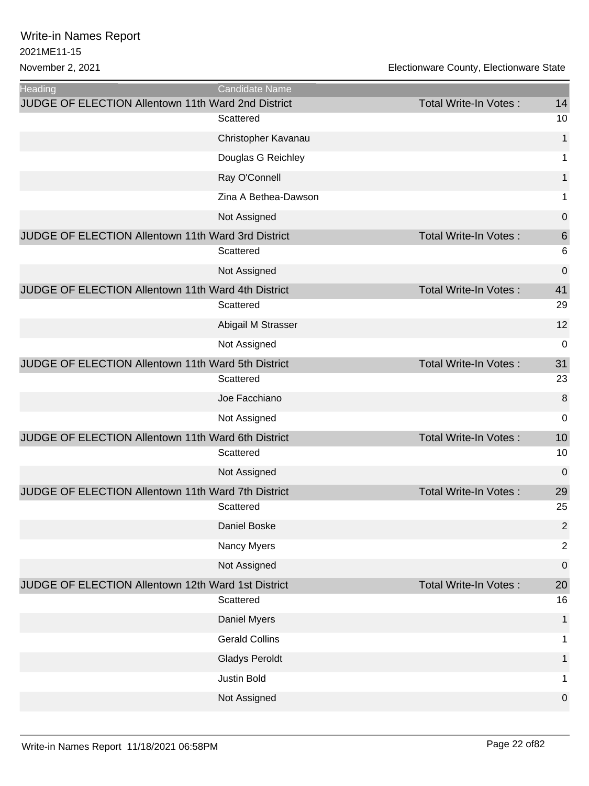| <b>Heading</b>                                     | Candidate Name        |                              |                 |
|----------------------------------------------------|-----------------------|------------------------------|-----------------|
| JUDGE OF ELECTION Allentown 11th Ward 2nd District | Scattered             | Total Write-In Votes:        | 14<br>10        |
|                                                    |                       |                              | $\mathbf{1}$    |
|                                                    | Christopher Kavanau   |                              |                 |
|                                                    | Douglas G Reichley    |                              | 1               |
|                                                    | Ray O'Connell         |                              | $\mathbf{1}$    |
|                                                    | Zina A Bethea-Dawson  |                              | 1               |
|                                                    | Not Assigned          |                              | 0               |
| JUDGE OF ELECTION Allentown 11th Ward 3rd District |                       | <b>Total Write-In Votes:</b> | $6\phantom{1}6$ |
|                                                    | Scattered             |                              | 6               |
|                                                    | Not Assigned          |                              | 0               |
| JUDGE OF ELECTION Allentown 11th Ward 4th District |                       | <b>Total Write-In Votes:</b> | 41              |
|                                                    | Scattered             |                              | 29              |
|                                                    | Abigail M Strasser    |                              | 12              |
|                                                    | Not Assigned          |                              | 0               |
| JUDGE OF ELECTION Allentown 11th Ward 5th District |                       | <b>Total Write-In Votes:</b> | 31              |
|                                                    | Scattered             |                              | 23              |
|                                                    | Joe Facchiano         |                              | 8               |
|                                                    | Not Assigned          |                              | 0               |
| JUDGE OF ELECTION Allentown 11th Ward 6th District |                       | <b>Total Write-In Votes:</b> | 10              |
|                                                    | Scattered             |                              | 10              |
|                                                    | Not Assigned          |                              | 0               |
| JUDGE OF ELECTION Allentown 11th Ward 7th District |                       | <b>Total Write-In Votes:</b> | 29              |
|                                                    | Scattered             |                              | 25              |
|                                                    | Daniel Boske          |                              | 2               |
|                                                    | Nancy Myers           |                              | $\overline{2}$  |
|                                                    | Not Assigned          |                              | 0               |
| JUDGE OF ELECTION Allentown 12th Ward 1st District |                       | <b>Total Write-In Votes:</b> | 20              |
|                                                    | Scattered             |                              | 16              |
|                                                    | Daniel Myers          |                              | $\mathbf 1$     |
|                                                    | <b>Gerald Collins</b> |                              | 1               |
|                                                    | <b>Gladys Peroldt</b> |                              | 1               |
|                                                    | Justin Bold           |                              | 1               |
|                                                    | Not Assigned          |                              | 0               |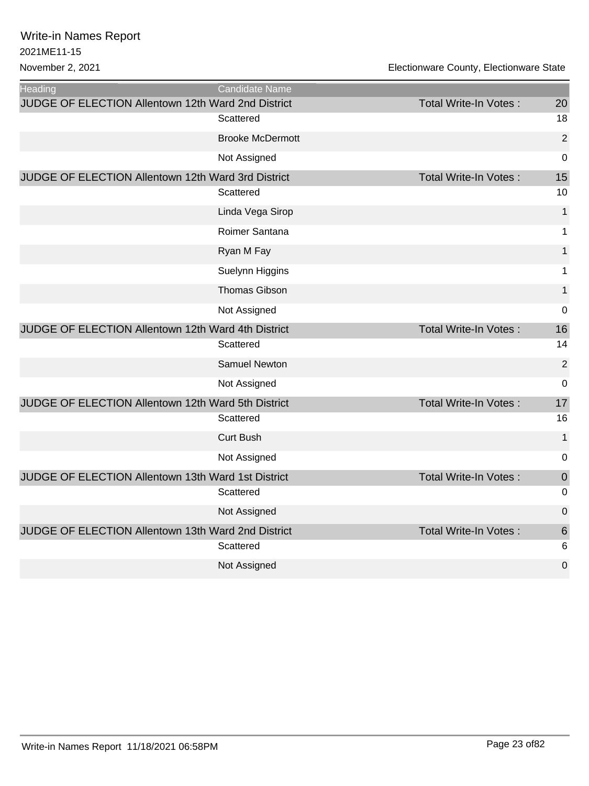| <b>Heading</b>                                     | Candidate Name          |                              |                |
|----------------------------------------------------|-------------------------|------------------------------|----------------|
| JUDGE OF ELECTION Allentown 12th Ward 2nd District |                         | Total Write-In Votes:        | 20             |
|                                                    | Scattered               |                              | 18             |
|                                                    | <b>Brooke McDermott</b> |                              | $\overline{2}$ |
|                                                    | Not Assigned            |                              | 0              |
| JUDGE OF ELECTION Allentown 12th Ward 3rd District |                         | Total Write-In Votes:        | 15             |
|                                                    | Scattered               |                              | 10             |
|                                                    | Linda Vega Sirop        |                              | 1              |
|                                                    | Roimer Santana          |                              | 1              |
|                                                    | Ryan M Fay              |                              | 1              |
|                                                    | Suelynn Higgins         |                              | 1              |
|                                                    | <b>Thomas Gibson</b>    |                              | 1              |
|                                                    | Not Assigned            |                              | $\mathbf 0$    |
| JUDGE OF ELECTION Allentown 12th Ward 4th District |                         | <b>Total Write-In Votes:</b> | 16             |
|                                                    | Scattered               |                              | 14             |
|                                                    | <b>Samuel Newton</b>    |                              | $\overline{2}$ |
|                                                    | Not Assigned            |                              | $\mathbf 0$    |
| JUDGE OF ELECTION Allentown 12th Ward 5th District |                         | Total Write-In Votes:        | 17             |
|                                                    | Scattered               |                              | 16             |
|                                                    | <b>Curt Bush</b>        |                              | $\mathbf 1$    |
|                                                    | Not Assigned            |                              | $\mathbf 0$    |
| JUDGE OF ELECTION Allentown 13th Ward 1st District |                         | Total Write-In Votes:        | $\mathbf 0$    |
|                                                    | Scattered               |                              | $\mathbf 0$    |
|                                                    | Not Assigned            |                              | $\mathbf 0$    |
| JUDGE OF ELECTION Allentown 13th Ward 2nd District |                         | Total Write-In Votes:        | 6              |
|                                                    | Scattered               |                              | 6              |
|                                                    | Not Assigned            |                              | $\overline{0}$ |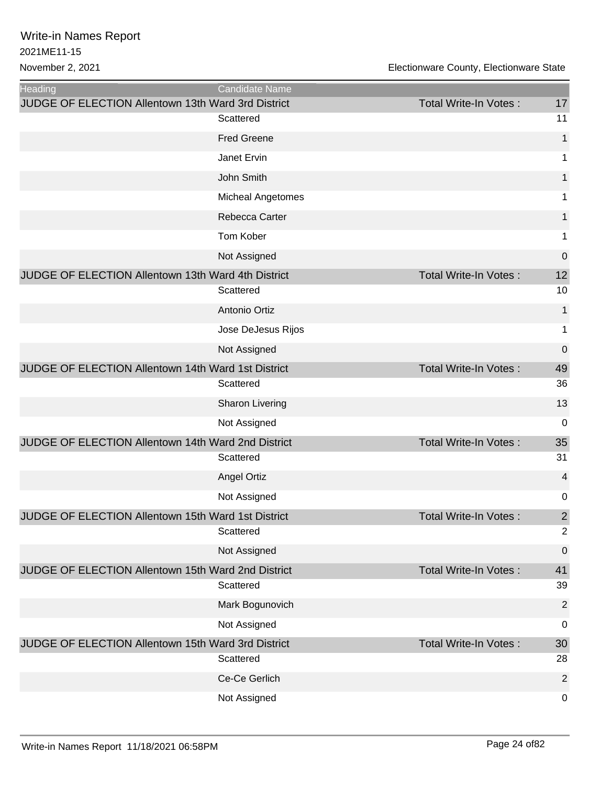| <b>Heading</b>                                            | Candidate Name     |                              |                |
|-----------------------------------------------------------|--------------------|------------------------------|----------------|
| <b>JUDGE OF ELECTION Allentown 13th Ward 3rd District</b> |                    | Total Write-In Votes:        | 17<br>11       |
|                                                           | Scattered          |                              |                |
|                                                           | <b>Fred Greene</b> |                              | $\mathbf{1}$   |
|                                                           | Janet Ervin        |                              | $\mathbf{1}$   |
|                                                           | John Smith         |                              | $\mathbf{1}$   |
|                                                           | Micheal Angetomes  |                              | 1              |
|                                                           | Rebecca Carter     |                              | 1              |
|                                                           | Tom Kober          |                              | $\mathbf{1}$   |
|                                                           | Not Assigned       |                              | $\pmb{0}$      |
| JUDGE OF ELECTION Allentown 13th Ward 4th District        |                    | <b>Total Write-In Votes:</b> | 12             |
|                                                           | Scattered          |                              | 10             |
|                                                           | Antonio Ortiz      |                              | $\mathbf{1}$   |
|                                                           | Jose DeJesus Rijos |                              | $\mathbf{1}$   |
|                                                           | Not Assigned       |                              | $\pmb{0}$      |
| JUDGE OF ELECTION Allentown 14th Ward 1st District        |                    | <b>Total Write-In Votes:</b> | 49             |
|                                                           | Scattered          |                              | 36             |
|                                                           | Sharon Livering    |                              | 13             |
|                                                           | Not Assigned       |                              | 0              |
| JUDGE OF ELECTION Allentown 14th Ward 2nd District        |                    | <b>Total Write-In Votes:</b> | 35             |
|                                                           | Scattered          |                              | 31             |
|                                                           | <b>Angel Ortiz</b> |                              | 4              |
|                                                           | Not Assigned       |                              | $\pmb{0}$      |
| JUDGE OF ELECTION Allentown 15th Ward 1st District        |                    | Total Write-In Votes:        | $\overline{2}$ |
|                                                           | Scattered          |                              | $\overline{2}$ |
|                                                           | Not Assigned       |                              | 0              |
| JUDGE OF ELECTION Allentown 15th Ward 2nd District        |                    | <b>Total Write-In Votes:</b> | 41             |
|                                                           | Scattered          |                              | 39             |
|                                                           | Mark Bogunovich    |                              | $\overline{2}$ |
|                                                           | Not Assigned       |                              | $\pmb{0}$      |
| JUDGE OF ELECTION Allentown 15th Ward 3rd District        |                    | <b>Total Write-In Votes:</b> | 30             |
|                                                           | Scattered          |                              | 28             |
|                                                           | Ce-Ce Gerlich      |                              | $\overline{2}$ |
|                                                           | Not Assigned       |                              | $\pmb{0}$      |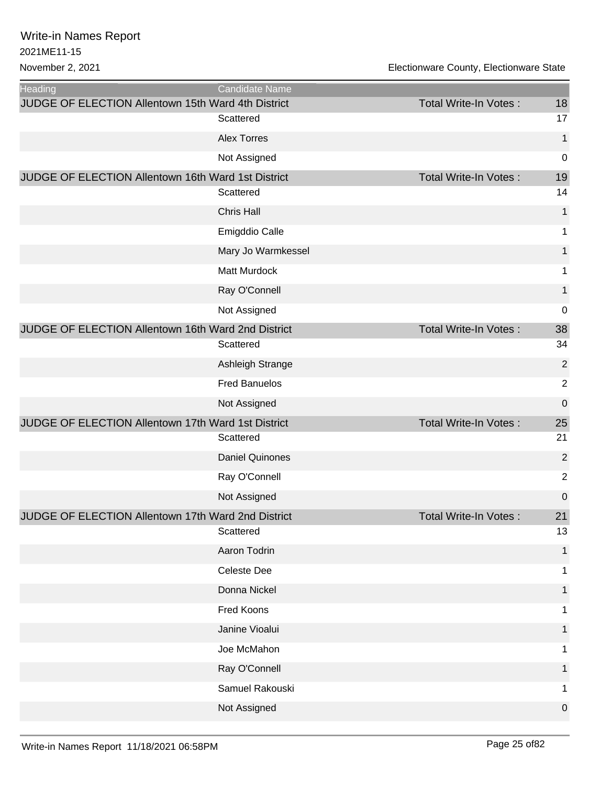| <b>Heading</b>                                            | Candidate Name         |                              |                |
|-----------------------------------------------------------|------------------------|------------------------------|----------------|
| <b>JUDGE OF ELECTION Allentown 15th Ward 4th District</b> |                        | Total Write-In Votes:        | 18<br>17       |
|                                                           | Scattered              |                              |                |
|                                                           | <b>Alex Torres</b>     |                              | $\mathbf 1$    |
|                                                           | Not Assigned           |                              | $\mathbf 0$    |
| JUDGE OF ELECTION Allentown 16th Ward 1st District        | Scattered              | Total Write-In Votes:        | 19<br>14       |
|                                                           |                        |                              |                |
|                                                           | <b>Chris Hall</b>      |                              | $\mathbf{1}$   |
|                                                           | Emigddio Calle         |                              | 1              |
|                                                           | Mary Jo Warmkessel     |                              | 1              |
|                                                           | Matt Murdock           |                              | 1              |
|                                                           | Ray O'Connell          |                              | $\mathbf{1}$   |
|                                                           | Not Assigned           |                              | $\mathbf 0$    |
| JUDGE OF ELECTION Allentown 16th Ward 2nd District        |                        | <b>Total Write-In Votes:</b> | 38             |
|                                                           | Scattered              |                              | 34             |
|                                                           | Ashleigh Strange       |                              | $\overline{2}$ |
|                                                           | <b>Fred Banuelos</b>   |                              | $\overline{2}$ |
|                                                           | Not Assigned           |                              | $\mathbf 0$    |
| JUDGE OF ELECTION Allentown 17th Ward 1st District        |                        | Total Write-In Votes:        | 25             |
|                                                           | Scattered              |                              | 21             |
|                                                           | <b>Daniel Quinones</b> |                              | $\overline{2}$ |
|                                                           | Ray O'Connell          |                              | $\overline{2}$ |
|                                                           | Not Assigned           |                              | $\mathbf 0$    |
| JUDGE OF ELECTION Allentown 17th Ward 2nd District        |                        | Total Write-In Votes:        | 21             |
|                                                           | Scattered              |                              | 13             |
|                                                           | Aaron Todrin           |                              | 1              |
|                                                           | Celeste Dee            |                              | 1              |
|                                                           | Donna Nickel           |                              | 1              |
|                                                           | Fred Koons             |                              |                |
|                                                           | Janine Vioalui         |                              | 1              |
|                                                           | Joe McMahon            |                              | 1              |
|                                                           | Ray O'Connell          |                              |                |
|                                                           | Samuel Rakouski        |                              | 1              |
|                                                           | Not Assigned           |                              | $\mathbf 0$    |
|                                                           |                        |                              |                |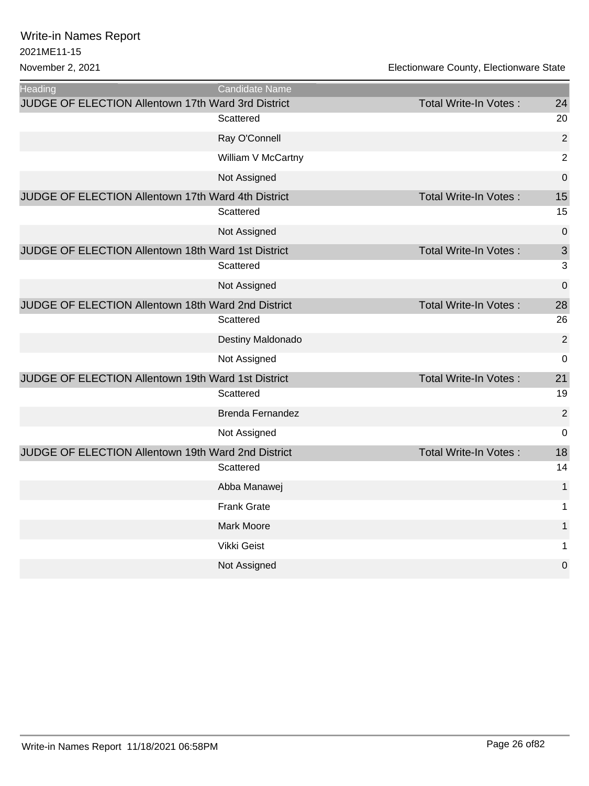| <b>Heading</b>                                     | <b>Candidate Name</b>   |                              |                |
|----------------------------------------------------|-------------------------|------------------------------|----------------|
| JUDGE OF ELECTION Allentown 17th Ward 3rd District |                         | <b>Total Write-In Votes:</b> | 24             |
|                                                    | Scattered               |                              | 20             |
|                                                    | Ray O'Connell           |                              | $\overline{2}$ |
|                                                    | William V McCartny      |                              | $\overline{2}$ |
|                                                    | Not Assigned            |                              | 0              |
| JUDGE OF ELECTION Allentown 17th Ward 4th District |                         | <b>Total Write-In Votes:</b> | 15             |
|                                                    | Scattered               |                              | 15             |
|                                                    | Not Assigned            |                              | $\mathbf 0$    |
| JUDGE OF ELECTION Allentown 18th Ward 1st District |                         | Total Write-In Votes:        | $\mathfrak{S}$ |
|                                                    | Scattered               |                              | 3              |
|                                                    | Not Assigned            |                              | 0              |
| JUDGE OF ELECTION Allentown 18th Ward 2nd District |                         | <b>Total Write-In Votes:</b> | 28             |
|                                                    | Scattered               |                              | 26             |
|                                                    | Destiny Maldonado       |                              | $\overline{2}$ |
|                                                    | Not Assigned            |                              | 0              |
| JUDGE OF ELECTION Allentown 19th Ward 1st District |                         | <b>Total Write-In Votes:</b> | 21             |
|                                                    | Scattered               |                              | 19             |
|                                                    | <b>Brenda Fernandez</b> |                              | $\overline{2}$ |
|                                                    | Not Assigned            |                              | 0              |
| JUDGE OF ELECTION Allentown 19th Ward 2nd District |                         | <b>Total Write-In Votes:</b> | 18             |
|                                                    | Scattered               |                              | 14             |
|                                                    | Abba Manawej            |                              | $\mathbf{1}$   |
|                                                    | <b>Frank Grate</b>      |                              | $\mathbf 1$    |
|                                                    | Mark Moore              |                              | 1              |
|                                                    | Vikki Geist             |                              | 1              |
|                                                    | Not Assigned            |                              | 0              |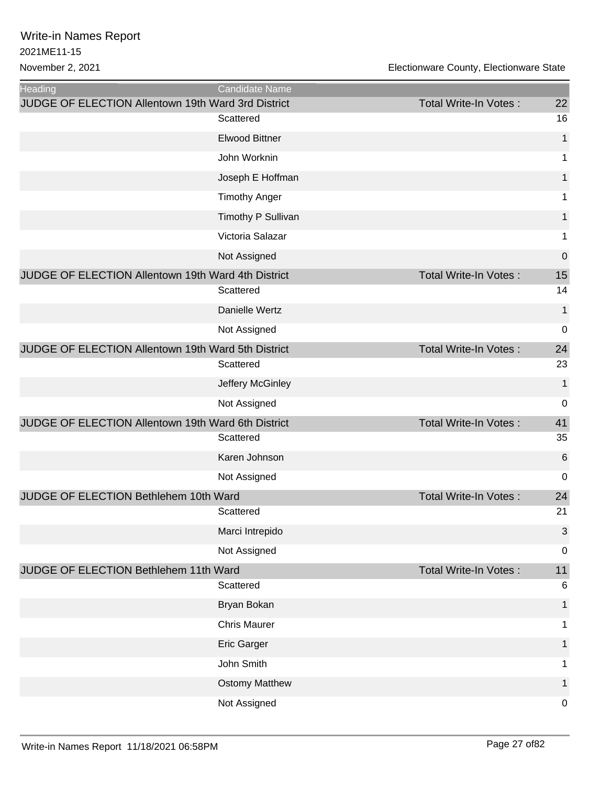| Heading<br>Candidate Name<br>JUDGE OF ELECTION Allentown 19th Ward 3rd District<br>Total Write-In Votes:<br>Scattered<br><b>Elwood Bittner</b><br>John Worknin<br>Joseph E Hoffman<br><b>Timothy Anger</b> | 22<br>16<br>1<br>1<br>1<br>1<br>1 |
|------------------------------------------------------------------------------------------------------------------------------------------------------------------------------------------------------------|-----------------------------------|
|                                                                                                                                                                                                            |                                   |
|                                                                                                                                                                                                            |                                   |
|                                                                                                                                                                                                            |                                   |
|                                                                                                                                                                                                            |                                   |
|                                                                                                                                                                                                            |                                   |
|                                                                                                                                                                                                            |                                   |
|                                                                                                                                                                                                            |                                   |
| Timothy P Sullivan                                                                                                                                                                                         |                                   |
| Victoria Salazar                                                                                                                                                                                           | 1                                 |
| Not Assigned                                                                                                                                                                                               | $\boldsymbol{0}$                  |
| JUDGE OF ELECTION Allentown 19th Ward 4th District<br>Total Write-In Votes:                                                                                                                                | 15                                |
| Scattered                                                                                                                                                                                                  | 14                                |
| Danielle Wertz                                                                                                                                                                                             | 1                                 |
| Not Assigned                                                                                                                                                                                               | $\mathbf 0$                       |
| JUDGE OF ELECTION Allentown 19th Ward 5th District<br><b>Total Write-In Votes:</b>                                                                                                                         | 24                                |
| Scattered                                                                                                                                                                                                  | 23                                |
| Jeffery McGinley                                                                                                                                                                                           | $\mathbf{1}$                      |
| Not Assigned                                                                                                                                                                                               | 0                                 |
| JUDGE OF ELECTION Allentown 19th Ward 6th District<br><b>Total Write-In Votes:</b>                                                                                                                         | 41                                |
| Scattered                                                                                                                                                                                                  | 35                                |
| Karen Johnson                                                                                                                                                                                              | 6                                 |
| Not Assigned                                                                                                                                                                                               | $\mathbf 0$                       |
| JUDGE OF ELECTION Bethlehem 10th Ward<br><b>Total Write-In Votes:</b>                                                                                                                                      | 24                                |
| Scattered                                                                                                                                                                                                  | 21                                |
| Marci Intrepido                                                                                                                                                                                            | 3                                 |
| Not Assigned                                                                                                                                                                                               | 0                                 |
| JUDGE OF ELECTION Bethlehem 11th Ward<br><b>Total Write-In Votes:</b>                                                                                                                                      | 11                                |
| Scattered                                                                                                                                                                                                  | 6                                 |
| Bryan Bokan                                                                                                                                                                                                | 1                                 |
| <b>Chris Maurer</b>                                                                                                                                                                                        | 1                                 |
| Eric Garger                                                                                                                                                                                                | 1                                 |
| John Smith                                                                                                                                                                                                 | 1                                 |
| <b>Ostomy Matthew</b>                                                                                                                                                                                      | 1                                 |
| Not Assigned                                                                                                                                                                                               | $\mathbf 0$                       |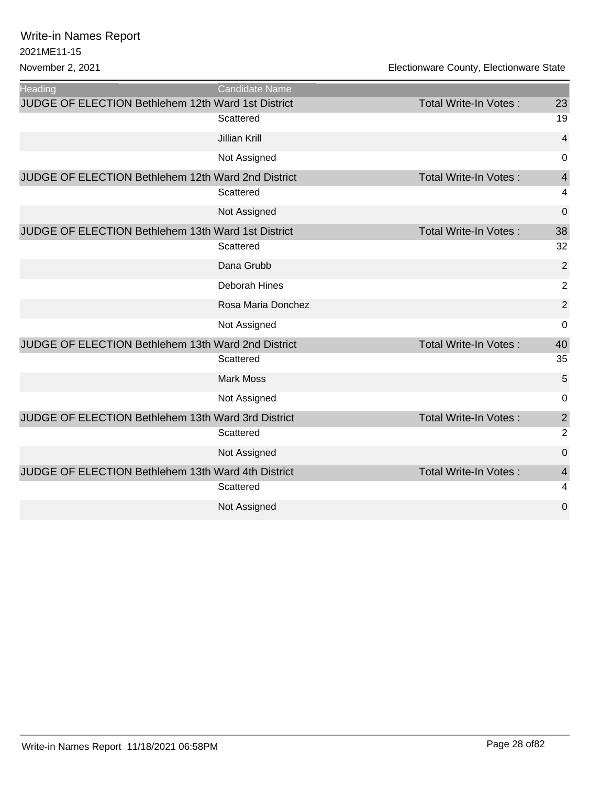| <b>Heading</b>                                            | Candidate Name       |                              |                |
|-----------------------------------------------------------|----------------------|------------------------------|----------------|
| <b>JUDGE OF ELECTION Bethlehem 12th Ward 1st District</b> |                      | Total Write-In Votes:        | 23             |
|                                                           | Scattered            |                              | 19             |
|                                                           | <b>Jillian Krill</b> |                              | 4              |
|                                                           | Not Assigned         |                              | 0              |
| JUDGE OF ELECTION Bethlehem 12th Ward 2nd District        |                      | Total Write-In Votes:        | $\overline{4}$ |
|                                                           | Scattered            |                              | 4              |
|                                                           | Not Assigned         |                              | 0              |
| JUDGE OF ELECTION Bethlehem 13th Ward 1st District        |                      | <b>Total Write-In Votes:</b> | 38             |
|                                                           | Scattered            |                              | 32             |
|                                                           | Dana Grubb           |                              | $\overline{2}$ |
|                                                           | Deborah Hines        |                              | $\overline{2}$ |
|                                                           | Rosa Maria Donchez   |                              | $\overline{2}$ |
|                                                           | Not Assigned         |                              | 0              |
| JUDGE OF ELECTION Bethlehem 13th Ward 2nd District        |                      | <b>Total Write-In Votes:</b> | 40             |
|                                                           | Scattered            |                              | 35             |
|                                                           | <b>Mark Moss</b>     |                              | 5              |
|                                                           | Not Assigned         |                              | 0              |
| JUDGE OF ELECTION Bethlehem 13th Ward 3rd District        |                      | <b>Total Write-In Votes:</b> | $\overline{2}$ |
|                                                           | Scattered            |                              | $\overline{2}$ |
|                                                           | Not Assigned         |                              | 0              |
| JUDGE OF ELECTION Bethlehem 13th Ward 4th District        |                      | <b>Total Write-In Votes:</b> | 4              |
|                                                           | Scattered            |                              | 4              |
|                                                           | Not Assigned         |                              | 0              |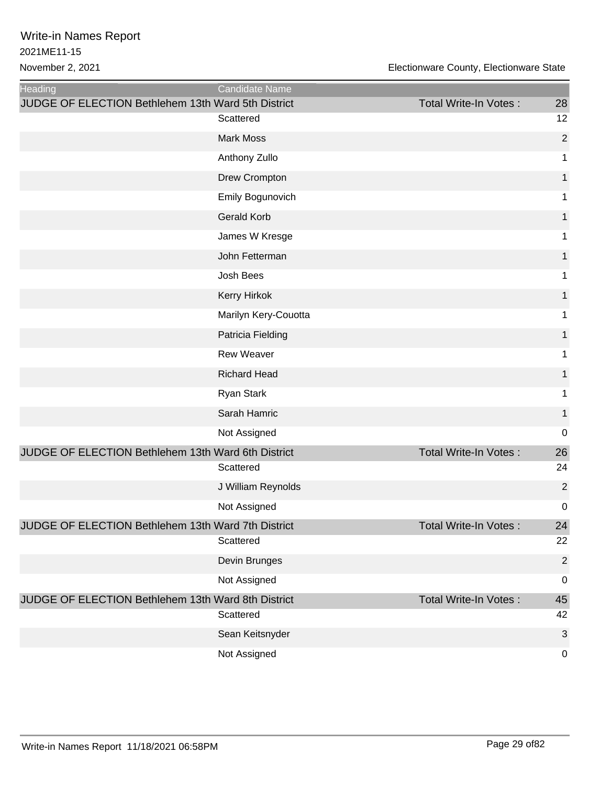| Heading                                            | Candidate Name       |                              |                |
|----------------------------------------------------|----------------------|------------------------------|----------------|
| JUDGE OF ELECTION Bethlehem 13th Ward 5th District |                      | Total Write-In Votes:        | 28             |
|                                                    | Scattered            |                              | 12             |
|                                                    | <b>Mark Moss</b>     |                              | $\overline{2}$ |
|                                                    | Anthony Zullo        |                              | 1              |
|                                                    | Drew Crompton        |                              | 1              |
|                                                    | Emily Bogunovich     |                              | 1              |
|                                                    | <b>Gerald Korb</b>   |                              | 1              |
|                                                    | James W Kresge       |                              | 1              |
|                                                    | John Fetterman       |                              | 1              |
|                                                    | Josh Bees            |                              | 1              |
|                                                    | Kerry Hirkok         |                              | 1              |
|                                                    | Marilyn Kery-Couotta |                              | 1              |
|                                                    | Patricia Fielding    |                              | 1              |
|                                                    | <b>Rew Weaver</b>    |                              | 1              |
|                                                    | <b>Richard Head</b>  |                              | 1              |
|                                                    | Ryan Stark           |                              | 1              |
|                                                    | Sarah Hamric         |                              | 1              |
|                                                    | Not Assigned         |                              | 0              |
| JUDGE OF ELECTION Bethlehem 13th Ward 6th District |                      | <b>Total Write-In Votes:</b> | 26             |
|                                                    | Scattered            |                              | 24             |
|                                                    | J William Reynolds   |                              | $\overline{2}$ |
|                                                    | Not Assigned         |                              | 0              |
| JUDGE OF ELECTION Bethlehem 13th Ward 7th District |                      | <b>Total Write-In Votes:</b> | 24             |
|                                                    | Scattered            |                              | 22             |
|                                                    | Devin Brunges        |                              | $\overline{2}$ |
|                                                    | Not Assigned         |                              | $\pmb{0}$      |
| JUDGE OF ELECTION Bethlehem 13th Ward 8th District |                      | <b>Total Write-In Votes:</b> | 45             |
|                                                    | Scattered            |                              | 42             |
|                                                    | Sean Keitsnyder      |                              | $\sqrt{3}$     |
|                                                    | Not Assigned         |                              | 0              |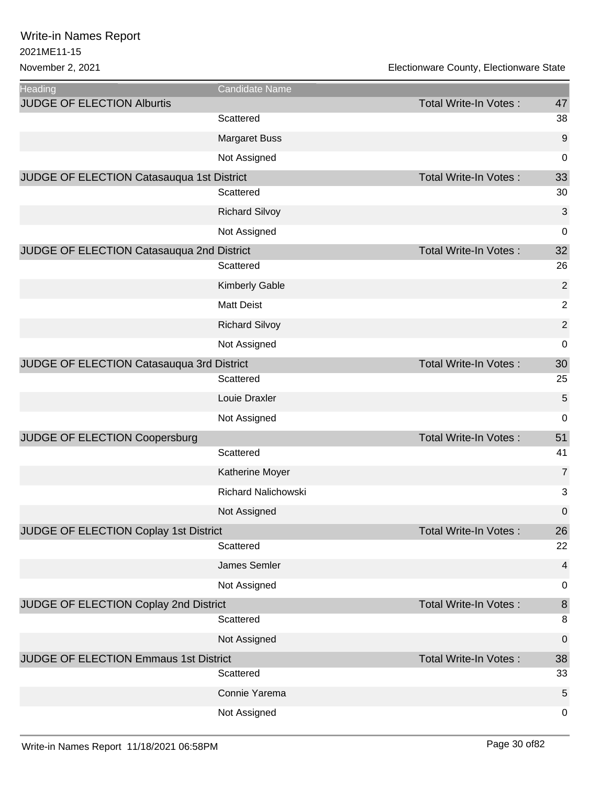| <b>Heading</b>                            | Candidate Name             |                              |                          |
|-------------------------------------------|----------------------------|------------------------------|--------------------------|
| <b>JUDGE OF ELECTION Alburtis</b>         |                            | <b>Total Write-In Votes:</b> | 47                       |
|                                           | Scattered                  |                              | 38                       |
|                                           | <b>Margaret Buss</b>       |                              | 9                        |
|                                           | Not Assigned               |                              | 0                        |
| JUDGE OF ELECTION Catasauqua 1st District |                            | Total Write-In Votes:        | 33                       |
|                                           | Scattered                  |                              | 30                       |
|                                           | <b>Richard Silvoy</b>      |                              | 3                        |
|                                           | Not Assigned               |                              | 0                        |
| JUDGE OF ELECTION Catasauqua 2nd District |                            | <b>Total Write-In Votes:</b> | 32                       |
|                                           | Scattered                  |                              | 26                       |
|                                           | <b>Kimberly Gable</b>      |                              | $\overline{2}$           |
|                                           | <b>Matt Deist</b>          |                              | $\overline{2}$           |
|                                           | <b>Richard Silvoy</b>      |                              | $\overline{2}$           |
|                                           | Not Assigned               |                              | 0                        |
| JUDGE OF ELECTION Catasauqua 3rd District |                            | Total Write-In Votes:        | 30                       |
|                                           | Scattered                  |                              | 25                       |
|                                           | Louie Draxler              |                              | 5                        |
|                                           | Not Assigned               |                              | 0                        |
| JUDGE OF ELECTION Coopersburg             |                            | <b>Total Write-In Votes:</b> | 51                       |
|                                           | Scattered                  |                              | 41                       |
|                                           | Katherine Moyer            |                              | $\overline{7}$           |
|                                           | <b>Richard Nalichowski</b> |                              | 3                        |
|                                           | Not Assigned               |                              | $\mathbf 0$              |
| JUDGE OF ELECTION Coplay 1st District     |                            | Total Write-In Votes:        | 26                       |
|                                           | Scattered                  |                              | 22                       |
|                                           | James Semler               |                              | $\overline{\mathcal{A}}$ |
|                                           | Not Assigned               |                              | 0                        |
| JUDGE OF ELECTION Coplay 2nd District     |                            | <b>Total Write-In Votes:</b> | $\,8\,$                  |
|                                           | Scattered                  |                              | 8                        |
|                                           | Not Assigned               |                              | $\pmb{0}$                |
| JUDGE OF ELECTION Emmaus 1st District     |                            | Total Write-In Votes:        | 38                       |
|                                           | Scattered                  |                              | 33                       |
|                                           | Connie Yarema              |                              | 5                        |
|                                           | Not Assigned               |                              | 0                        |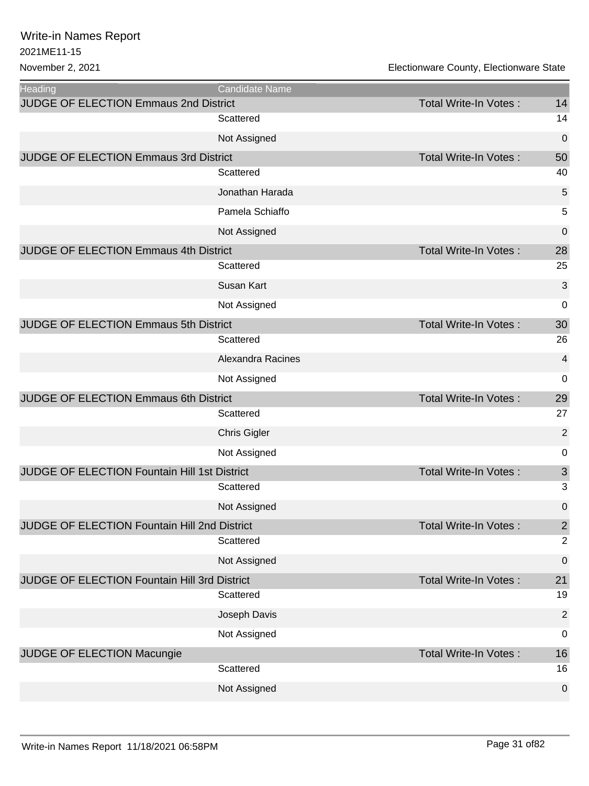| <b>Heading</b>                               | Candidate Name      |                              |                |
|----------------------------------------------|---------------------|------------------------------|----------------|
| <b>JUDGE OF ELECTION Emmaus 2nd District</b> |                     | Total Write-In Votes:        | 14             |
|                                              | Scattered           |                              | 14             |
|                                              | Not Assigned        |                              | 0              |
| JUDGE OF ELECTION Emmaus 3rd District        |                     | <b>Total Write-In Votes:</b> | 50             |
|                                              | Scattered           |                              | 40             |
|                                              | Jonathan Harada     |                              | 5              |
|                                              | Pamela Schiaffo     |                              | 5              |
|                                              | Not Assigned        |                              | 0              |
| JUDGE OF ELECTION Emmaus 4th District        |                     | <b>Total Write-In Votes:</b> | 28             |
|                                              | Scattered           |                              | 25             |
|                                              | Susan Kart          |                              | 3              |
|                                              | Not Assigned        |                              | 0              |
| JUDGE OF ELECTION Emmaus 5th District        |                     | <b>Total Write-In Votes:</b> | 30             |
|                                              | Scattered           |                              | 26             |
|                                              | Alexandra Racines   |                              | 4              |
|                                              | Not Assigned        |                              | 0              |
| JUDGE OF ELECTION Emmaus 6th District        |                     | <b>Total Write-In Votes:</b> | 29             |
|                                              | Scattered           |                              | 27             |
|                                              | <b>Chris Gigler</b> |                              | $\overline{2}$ |
|                                              | Not Assigned        |                              | 0              |
| JUDGE OF ELECTION Fountain Hill 1st District |                     | Total Write-In Votes:        | $\mathfrak{S}$ |
|                                              | Scattered           |                              | 3              |
|                                              | Not Assigned        |                              | 0              |
| JUDGE OF ELECTION Fountain Hill 2nd District |                     | Total Write-In Votes :       | $\overline{2}$ |
|                                              | Scattered           |                              | $\overline{2}$ |
|                                              | Not Assigned        |                              | 0              |
| JUDGE OF ELECTION Fountain Hill 3rd District |                     | <b>Total Write-In Votes:</b> | 21             |
|                                              |                     |                              |                |
|                                              | Scattered           |                              | 19             |
|                                              | Joseph Davis        |                              | $\overline{2}$ |
|                                              | Not Assigned        |                              | 0              |
| JUDGE OF ELECTION Macungie                   |                     | <b>Total Write-In Votes:</b> | 16             |
|                                              | Scattered           |                              | 16             |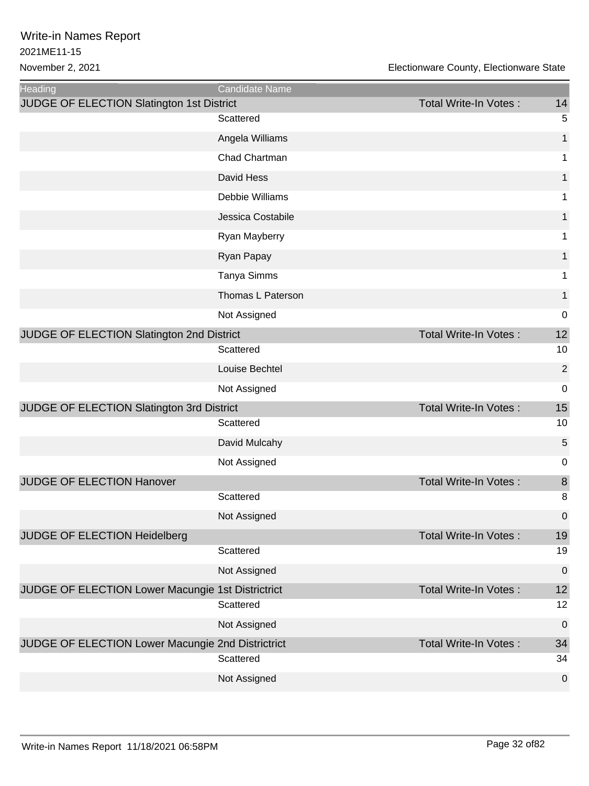| <b>Heading</b>                                    | <b>Candidate Name</b> |                              |                  |
|---------------------------------------------------|-----------------------|------------------------------|------------------|
| JUDGE OF ELECTION Slatington 1st District         |                       | <b>Total Write-In Votes:</b> | 14               |
|                                                   | Scattered             |                              | 5                |
|                                                   | Angela Williams       |                              | 1                |
|                                                   | Chad Chartman         |                              | 1                |
|                                                   | David Hess            |                              | 1                |
|                                                   | Debbie Williams       |                              | 1                |
|                                                   | Jessica Costabile     |                              | 1                |
|                                                   | Ryan Mayberry         |                              | 1                |
|                                                   | Ryan Papay            |                              | 1                |
|                                                   | Tanya Simms           |                              | 1                |
|                                                   | Thomas L Paterson     |                              | 1                |
|                                                   | Not Assigned          |                              | $\mathbf 0$      |
| JUDGE OF ELECTION Slatington 2nd District         |                       | <b>Total Write-In Votes:</b> | 12               |
|                                                   | Scattered             |                              | 10               |
|                                                   | Louise Bechtel        |                              | $\overline{2}$   |
|                                                   | Not Assigned          |                              | $\mathbf 0$      |
| JUDGE OF ELECTION Slatington 3rd District         |                       | Total Write-In Votes:        | 15               |
|                                                   | Scattered             |                              | 10               |
|                                                   | David Mulcahy         |                              | 5                |
|                                                   | Not Assigned          |                              | 0                |
| JUDGE OF ELECTION Hanover                         |                       | <b>Total Write-In Votes:</b> | 8                |
|                                                   | Scattered             |                              | 8                |
|                                                   | Not Assigned          |                              | $\Omega$         |
| JUDGE OF ELECTION Heidelberg                      |                       | <b>Total Write-In Votes:</b> | 19               |
|                                                   | Scattered             |                              | 19               |
|                                                   | Not Assigned          |                              | $\boldsymbol{0}$ |
| JUDGE OF ELECTION Lower Macungie 1st Districtrict | Scattered             | Total Write-In Votes:        | 12<br>12         |
|                                                   | Not Assigned          |                              | $\boldsymbol{0}$ |
| JUDGE OF ELECTION Lower Macungie 2nd Districtrict |                       | <b>Total Write-In Votes:</b> | 34               |
|                                                   | Scattered             |                              | 34               |
|                                                   | Not Assigned          |                              | $\mathbf 0$      |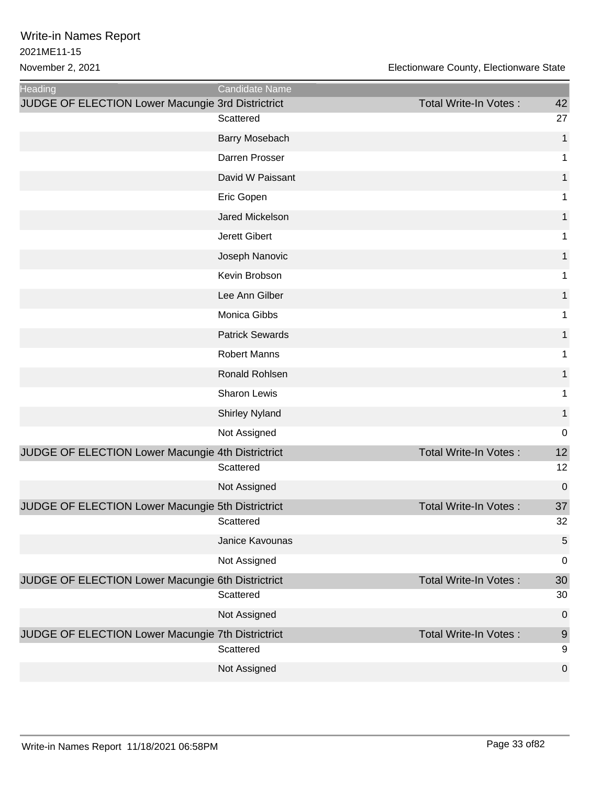| <b>Heading</b>                                    | Candidate Name         |                              |                     |
|---------------------------------------------------|------------------------|------------------------------|---------------------|
| JUDGE OF ELECTION Lower Macungie 3rd Districtrict |                        | Total Write-In Votes:        | 42                  |
|                                                   | Scattered              |                              | 27                  |
|                                                   | Barry Mosebach         |                              | 1                   |
|                                                   | Darren Prosser         |                              | 1                   |
|                                                   | David W Paissant       |                              | 1                   |
|                                                   | Eric Gopen             |                              | 1                   |
|                                                   | Jared Mickelson        |                              | 1                   |
|                                                   | Jerett Gibert          |                              | 1                   |
|                                                   | Joseph Nanovic         |                              | 1                   |
|                                                   | Kevin Brobson          |                              | 1                   |
|                                                   | Lee Ann Gilber         |                              | $\mathbf{1}$        |
|                                                   | Monica Gibbs           |                              | 1                   |
|                                                   | <b>Patrick Sewards</b> |                              | 1                   |
|                                                   | <b>Robert Manns</b>    |                              | 1                   |
|                                                   | Ronald Rohlsen         |                              | 1                   |
|                                                   | Sharon Lewis           |                              | 1                   |
|                                                   | <b>Shirley Nyland</b>  |                              | $\mathbf{1}$        |
|                                                   | Not Assigned           |                              | $\mathbf 0$         |
| JUDGE OF ELECTION Lower Macungie 4th Districtrict |                        | <b>Total Write-In Votes:</b> | 12                  |
|                                                   | Scattered              |                              | 12                  |
|                                                   | Not Assigned           |                              | 0                   |
| JUDGE OF ELECTION Lower Macungie 5th Districtrict |                        | <b>Total Write-In Votes:</b> | 37                  |
|                                                   | Scattered              |                              | 32                  |
|                                                   | Janice Kavounas        |                              | 5                   |
|                                                   | Not Assigned           |                              | $\boldsymbol{0}$    |
| JUDGE OF ELECTION Lower Macungie 6th Districtrict | Scattered              | Total Write-In Votes:        | 30<br>30            |
|                                                   | Not Assigned           |                              | $\boldsymbol{0}$    |
| JUDGE OF ELECTION Lower Macungie 7th Districtrict | Scattered              | Total Write-In Votes:        | $\overline{9}$<br>9 |
|                                                   | Not Assigned           |                              | $\boldsymbol{0}$    |
|                                                   |                        |                              |                     |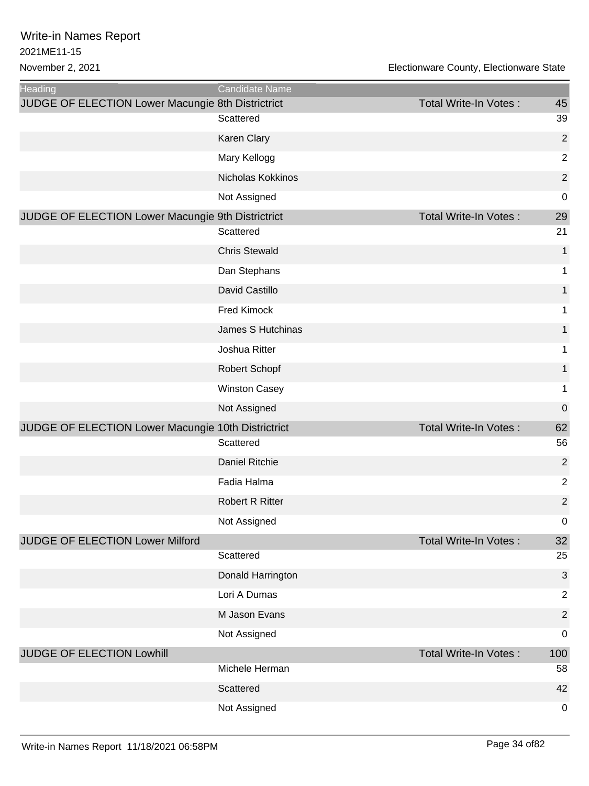| Heading                                            | Candidate Name         |                       |                  |
|----------------------------------------------------|------------------------|-----------------------|------------------|
| JUDGE OF ELECTION Lower Macungie 8th Districtrict  | Scattered              | Total Write-In Votes: | 45<br>39         |
|                                                    |                        |                       |                  |
|                                                    | Karen Clary            |                       | $\overline{2}$   |
|                                                    | Mary Kellogg           |                       | $\overline{2}$   |
|                                                    | Nicholas Kokkinos      |                       | $\overline{c}$   |
|                                                    | Not Assigned           |                       | $\mathbf 0$      |
| JUDGE OF ELECTION Lower Macungie 9th Districtrict  | Scattered              | Total Write-In Votes: | 29<br>21         |
|                                                    | <b>Chris Stewald</b>   |                       | 1                |
|                                                    | Dan Stephans           |                       | 1                |
|                                                    | David Castillo         |                       | 1                |
|                                                    | Fred Kimock            |                       | 1                |
|                                                    | James S Hutchinas      |                       | 1                |
|                                                    | Joshua Ritter          |                       | 1                |
|                                                    | Robert Schopf          |                       | 1                |
|                                                    | <b>Winston Casey</b>   |                       | 1                |
|                                                    | Not Assigned           |                       | $\boldsymbol{0}$ |
| JUDGE OF ELECTION Lower Macungie 10th Districtrict |                        | Total Write-In Votes: | 62               |
|                                                    | Scattered              |                       | 56               |
|                                                    | Daniel Ritchie         |                       | $\overline{2}$   |
|                                                    | Fadia Halma            |                       | $\overline{2}$   |
|                                                    | <b>Robert R Ritter</b> |                       | $\overline{2}$   |
|                                                    | Not Assigned           |                       | $\pmb{0}$        |
| JUDGE OF ELECTION Lower Milford                    |                        | Total Write-In Votes: | 32               |
|                                                    | Scattered              |                       | 25               |
|                                                    | Donald Harrington      |                       | 3                |
|                                                    | Lori A Dumas           |                       | $\overline{2}$   |
|                                                    | M Jason Evans          |                       | $\overline{2}$   |
|                                                    | Not Assigned           |                       | $\mathbf 0$      |
| JUDGE OF ELECTION Lowhill                          |                        | Total Write-In Votes: | 100              |
|                                                    | Michele Herman         |                       | 58               |
|                                                    | Scattered              |                       | 42               |
|                                                    | Not Assigned           |                       | $\mathbf 0$      |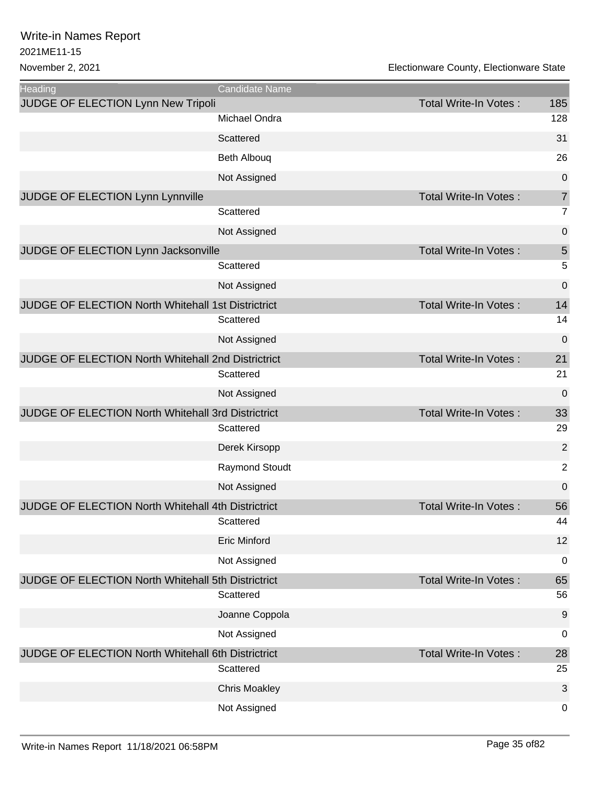| <b>Heading</b>                                            | Candidate Name        |                              |                  |
|-----------------------------------------------------------|-----------------------|------------------------------|------------------|
| JUDGE OF ELECTION Lynn New Tripoli                        |                       | Total Write-In Votes:        | 185              |
|                                                           | Michael Ondra         |                              | 128              |
|                                                           | Scattered             |                              | 31               |
|                                                           | <b>Beth Albouq</b>    |                              | 26               |
|                                                           | Not Assigned          |                              | $\mathbf 0$      |
| JUDGE OF ELECTION Lynn Lynnville                          |                       | Total Write-In Votes:        | $\overline{7}$   |
|                                                           | Scattered             |                              | $\overline{7}$   |
|                                                           | Not Assigned          |                              | $\boldsymbol{0}$ |
| JUDGE OF ELECTION Lynn Jacksonville                       |                       | <b>Total Write-In Votes:</b> | 5                |
|                                                           | Scattered             |                              | 5                |
|                                                           | Not Assigned          |                              | $\mathbf 0$      |
| JUDGE OF ELECTION North Whitehall 1st Districtrict        |                       | <b>Total Write-In Votes:</b> | 14               |
|                                                           | Scattered             |                              | 14               |
|                                                           | Not Assigned          |                              | $\mathbf 0$      |
| JUDGE OF ELECTION North Whitehall 2nd Districtrict        |                       | Total Write-In Votes:        | 21               |
|                                                           | Scattered             |                              | 21               |
|                                                           | Not Assigned          |                              | 0                |
| JUDGE OF ELECTION North Whitehall 3rd Districtrict        |                       | <b>Total Write-In Votes:</b> | 33               |
|                                                           | Scattered             |                              | 29               |
|                                                           | Derek Kirsopp         |                              | $\overline{2}$   |
|                                                           | <b>Raymond Stoudt</b> |                              | $\overline{2}$   |
|                                                           | Not Assigned          |                              | $\mathbf 0$      |
| <b>JUDGE OF ELECTION North Whitehall 4th Districtrict</b> |                       | <b>Total Write-In Votes:</b> | 56               |
|                                                           | Scattered             |                              | 44               |
|                                                           | <b>Eric Minford</b>   |                              | 12               |
|                                                           | Not Assigned          |                              | $\mathbf 0$      |
| JUDGE OF ELECTION North Whitehall 5th Districtrict        |                       | Total Write-In Votes:        | 65               |
|                                                           | Scattered             |                              | 56               |
|                                                           | Joanne Coppola        |                              | $9$              |
|                                                           | Not Assigned          |                              | $\mathbf 0$      |
| JUDGE OF ELECTION North Whitehall 6th Districtrict        |                       | <b>Total Write-In Votes:</b> | 28               |
|                                                           | Scattered             |                              | 25               |
|                                                           | <b>Chris Moakley</b>  |                              | 3                |
|                                                           | Not Assigned          |                              | 0                |
|                                                           |                       |                              |                  |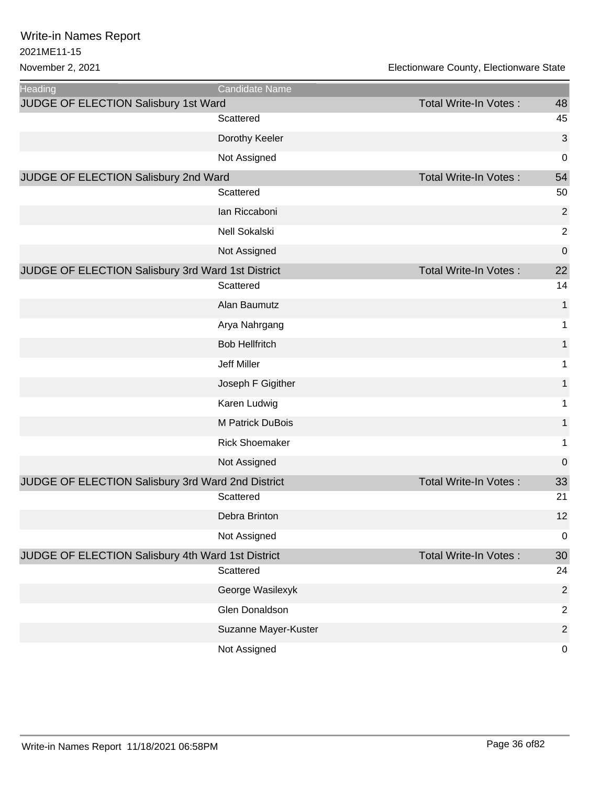| <b>Heading</b>                                    | <b>Candidate Name</b> |                              |                |
|---------------------------------------------------|-----------------------|------------------------------|----------------|
| JUDGE OF ELECTION Salisbury 1st Ward              |                       | Total Write-In Votes:        | 48             |
|                                                   | Scattered             |                              | 45             |
|                                                   | Dorothy Keeler        |                              | 3              |
|                                                   | Not Assigned          |                              | 0              |
| JUDGE OF ELECTION Salisbury 2nd Ward              |                       | <b>Total Write-In Votes:</b> | 54             |
|                                                   | Scattered             |                              | 50             |
|                                                   | lan Riccaboni         |                              | $\mathbf 2$    |
|                                                   | Nell Sokalski         |                              | $\overline{2}$ |
|                                                   | Not Assigned          |                              | 0              |
| JUDGE OF ELECTION Salisbury 3rd Ward 1st District |                       | <b>Total Write-In Votes:</b> | 22             |
|                                                   | Scattered             |                              | 14             |
|                                                   | Alan Baumutz          |                              | $\mathbf{1}$   |
|                                                   | Arya Nahrgang         |                              | 1              |
|                                                   | <b>Bob Hellfritch</b> |                              | 1              |
|                                                   | Jeff Miller           |                              | 1              |
|                                                   | Joseph F Gigither     |                              | 1              |
|                                                   | Karen Ludwig          |                              | $\mathbf 1$    |
|                                                   | M Patrick DuBois      |                              | $\mathbf{1}$   |
|                                                   | <b>Rick Shoemaker</b> |                              | 1              |
|                                                   | Not Assigned          |                              | 0              |
| JUDGE OF ELECTION Salisbury 3rd Ward 2nd District |                       | <b>Total Write-In Votes:</b> | 33             |
|                                                   | Scattered             |                              | 21             |
|                                                   | Debra Brinton         |                              | 12             |
|                                                   | Not Assigned          |                              | 0              |
| JUDGE OF ELECTION Salisbury 4th Ward 1st District |                       | Total Write-In Votes:        | 30             |
|                                                   | Scattered             |                              | 24             |
|                                                   | George Wasilexyk      |                              | $\overline{2}$ |
|                                                   | Glen Donaldson        |                              | $\overline{2}$ |
|                                                   | Suzanne Mayer-Kuster  |                              | $\overline{2}$ |
|                                                   | Not Assigned          |                              | 0              |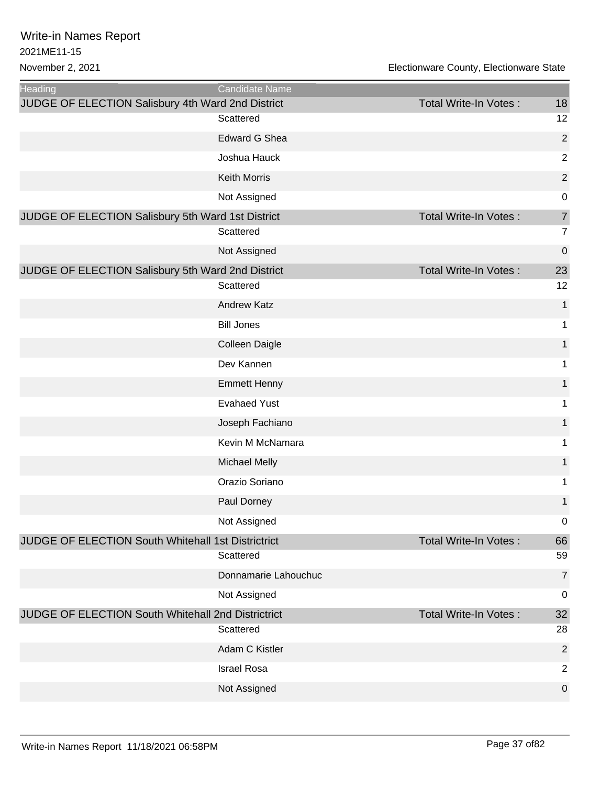| <b>Heading</b>                                     | Candidate Name        |                       |                |
|----------------------------------------------------|-----------------------|-----------------------|----------------|
| JUDGE OF ELECTION Salisbury 4th Ward 2nd District  |                       | Total Write-In Votes: | 18             |
|                                                    | Scattered             |                       | 12             |
|                                                    | <b>Edward G Shea</b>  |                       | $\overline{2}$ |
|                                                    | Joshua Hauck          |                       | $\overline{c}$ |
|                                                    | <b>Keith Morris</b>   |                       | $\overline{c}$ |
|                                                    | Not Assigned          |                       | $\mathbf 0$    |
| JUDGE OF ELECTION Salisbury 5th Ward 1st District  |                       | Total Write-In Votes: | $\overline{7}$ |
|                                                    | Scattered             |                       | $\overline{7}$ |
|                                                    | Not Assigned          |                       | $\mathbf 0$    |
| JUDGE OF ELECTION Salisbury 5th Ward 2nd District  |                       | Total Write-In Votes: | 23             |
|                                                    | Scattered             |                       | 12             |
|                                                    | <b>Andrew Katz</b>    |                       | 1              |
|                                                    | <b>Bill Jones</b>     |                       | 1              |
|                                                    | <b>Colleen Daigle</b> |                       | 1              |
|                                                    | Dev Kannen            |                       | 1              |
|                                                    | <b>Emmett Henny</b>   |                       | 1              |
|                                                    | <b>Evahaed Yust</b>   |                       | 1              |
|                                                    | Joseph Fachiano       |                       | 1              |
|                                                    | Kevin M McNamara      |                       | 1              |
|                                                    | <b>Michael Melly</b>  |                       | 1              |
|                                                    | Orazio Soriano        |                       | 1              |
|                                                    | Paul Dorney           |                       | 1              |
|                                                    | Not Assigned          |                       | $\mathbf 0$    |
| JUDGE OF ELECTION South Whitehall 1st Districtrict |                       | Total Write-In Votes: | 66             |
|                                                    | Scattered             |                       | 59             |
|                                                    | Donnamarie Lahouchuc  |                       | $\overline{7}$ |
|                                                    | Not Assigned          |                       | $\mathbf 0$    |
| JUDGE OF ELECTION South Whitehall 2nd Districtrict |                       | Total Write-In Votes: | 32             |
|                                                    | Scattered             |                       | 28             |
|                                                    | Adam C Kistler        |                       | $\overline{2}$ |
|                                                    | <b>Israel Rosa</b>    |                       | $\overline{2}$ |
|                                                    | Not Assigned          |                       | $\overline{0}$ |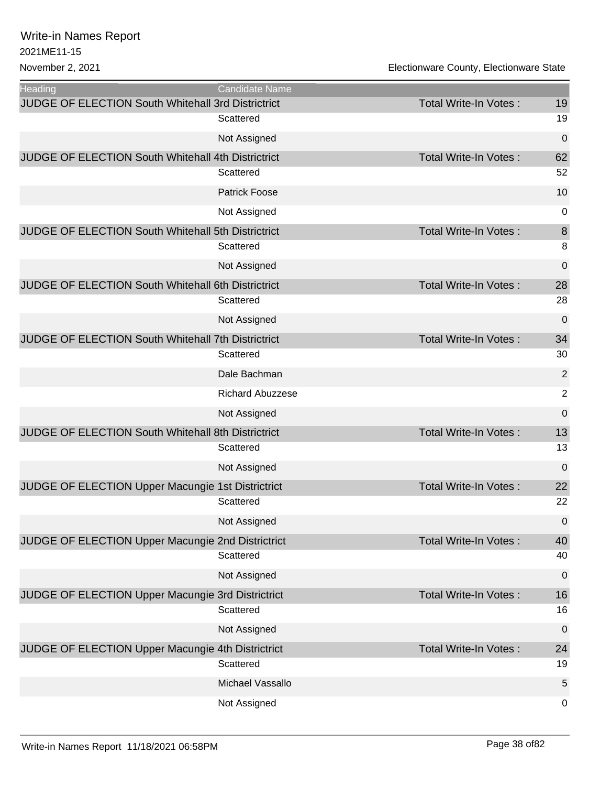| <b>Heading</b>                                     | <b>Candidate Name</b>   |                              |                  |
|----------------------------------------------------|-------------------------|------------------------------|------------------|
| JUDGE OF ELECTION South Whitehall 3rd Districtrict |                         | Total Write-In Votes:        | 19               |
|                                                    | Scattered               |                              | 19               |
|                                                    | Not Assigned            |                              | $\pmb{0}$        |
| JUDGE OF ELECTION South Whitehall 4th Districtrict |                         | Total Write-In Votes:        | 62               |
|                                                    | Scattered               |                              | 52               |
|                                                    | <b>Patrick Foose</b>    |                              | 10               |
|                                                    | Not Assigned            |                              | $\pmb{0}$        |
| JUDGE OF ELECTION South Whitehall 5th Districtrict |                         | <b>Total Write-In Votes:</b> | $\boldsymbol{8}$ |
|                                                    | Scattered               |                              | 8                |
|                                                    | Not Assigned            |                              | 0                |
| JUDGE OF ELECTION South Whitehall 6th Districtrict |                         | Total Write-In Votes:        | 28               |
|                                                    | Scattered               |                              | 28               |
|                                                    | Not Assigned            |                              | 0                |
| JUDGE OF ELECTION South Whitehall 7th Districtrict |                         | <b>Total Write-In Votes:</b> | 34               |
|                                                    | Scattered               |                              | 30               |
|                                                    | Dale Bachman            |                              | $\overline{2}$   |
|                                                    | <b>Richard Abuzzese</b> |                              | $\overline{2}$   |
|                                                    | Not Assigned            |                              | $\mathbf 0$      |
| JUDGE OF ELECTION South Whitehall 8th Districtrict |                         | Total Write-In Votes:        | 13               |
|                                                    | Scattered               |                              | 13               |
|                                                    | Not Assigned            |                              | 0                |
| JUDGE OF ELECTION Upper Macungie 1st Districtrict  |                         | Total Write-In Votes:        | 22               |
|                                                    | Scattered               |                              | 22               |
|                                                    | Not Assigned            |                              | $\pmb{0}$        |
| JUDGE OF ELECTION Upper Macungie 2nd Districtrict  |                         | <b>Total Write-In Votes:</b> | 40               |
|                                                    | Scattered               |                              | 40               |
|                                                    | Not Assigned            |                              | $\pmb{0}$        |
| JUDGE OF ELECTION Upper Macungie 3rd Districtrict  |                         | <b>Total Write-In Votes:</b> | 16               |
|                                                    | Scattered               |                              | 16               |
|                                                    | Not Assigned            |                              | $\pmb{0}$        |
| JUDGE OF ELECTION Upper Macungie 4th Districtrict  |                         | Total Write-In Votes:        | 24               |
|                                                    | Scattered               |                              | 19               |
|                                                    | Michael Vassallo        |                              | 5                |
|                                                    | Not Assigned            |                              | 0                |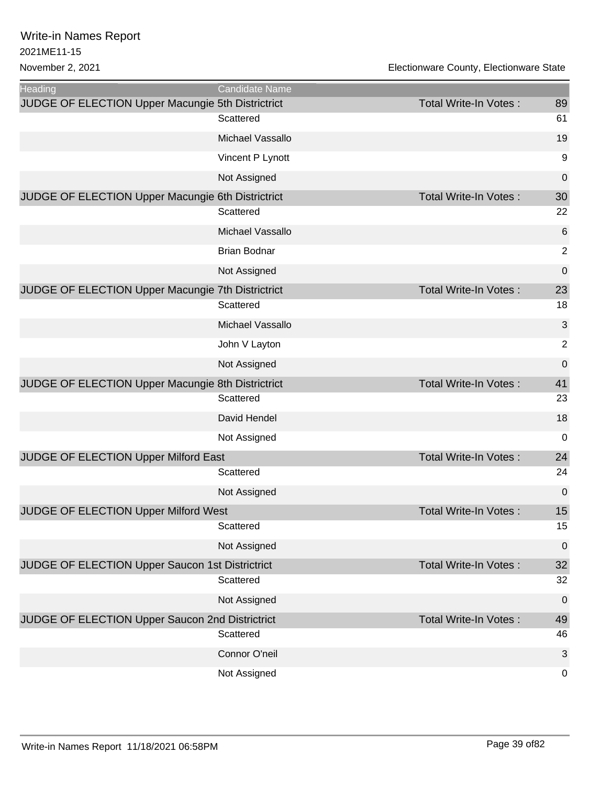| <b>Heading</b>                                    | Candidate Name      |                              |                  |
|---------------------------------------------------|---------------------|------------------------------|------------------|
| JUDGE OF ELECTION Upper Macungie 5th Districtrict |                     | <b>Total Write-In Votes:</b> | 89               |
|                                                   | Scattered           |                              | 61               |
|                                                   | Michael Vassallo    |                              | 19               |
|                                                   | Vincent P Lynott    |                              | 9                |
|                                                   | Not Assigned        |                              | $\pmb{0}$        |
| JUDGE OF ELECTION Upper Macungie 6th Districtrict |                     | <b>Total Write-In Votes:</b> | 30               |
|                                                   | Scattered           |                              | 22               |
|                                                   | Michael Vassallo    |                              | 6                |
|                                                   | <b>Brian Bodnar</b> |                              | 2                |
|                                                   | Not Assigned        |                              | $\mathbf 0$      |
| JUDGE OF ELECTION Upper Macungie 7th Districtrict |                     | Total Write-In Votes:        | 23               |
|                                                   | Scattered           |                              | 18               |
|                                                   | Michael Vassallo    |                              | 3                |
|                                                   | John V Layton       |                              | $\overline{2}$   |
|                                                   | Not Assigned        |                              | $\mathbf 0$      |
| JUDGE OF ELECTION Upper Macungie 8th Districtrict |                     | <b>Total Write-In Votes:</b> | 41               |
|                                                   | Scattered           |                              | 23               |
|                                                   | David Hendel        |                              | 18               |
|                                                   | Not Assigned        |                              | 0                |
| JUDGE OF ELECTION Upper Milford East              |                     | <b>Total Write-In Votes:</b> | 24               |
|                                                   | Scattered           |                              | 24               |
|                                                   | Not Assigned        |                              | $\mathbf 0$      |
| JUDGE OF ELECTION Upper Milford West              |                     | Total Write-In Votes:        | 15               |
|                                                   | Scattered           |                              | 15               |
|                                                   | Not Assigned        |                              | $\boldsymbol{0}$ |
| JUDGE OF ELECTION Upper Saucon 1st Districtrict   |                     | Total Write-In Votes:        | 32               |
|                                                   | Scattered           |                              | 32               |
|                                                   | Not Assigned        |                              | 0                |
| JUDGE OF ELECTION Upper Saucon 2nd Districtrict   |                     | Total Write-In Votes:        | 49               |
|                                                   | Scattered           |                              | 46               |
|                                                   | Connor O'neil       |                              | 3                |
|                                                   | Not Assigned        |                              | $\pmb{0}$        |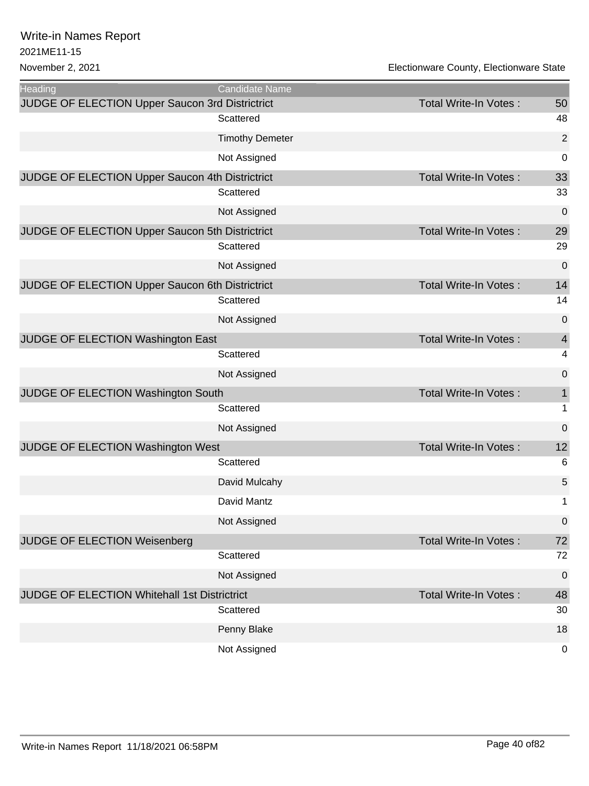| <b>Heading</b>                                      | <b>Candidate Name</b>  |                              |                         |
|-----------------------------------------------------|------------------------|------------------------------|-------------------------|
| JUDGE OF ELECTION Upper Saucon 3rd Districtrict     |                        | Total Write-In Votes:        | 50                      |
|                                                     | Scattered              |                              | 48                      |
|                                                     | <b>Timothy Demeter</b> |                              | $\overline{2}$          |
|                                                     | Not Assigned           |                              | 0                       |
| JUDGE OF ELECTION Upper Saucon 4th Districtrict     |                        | Total Write-In Votes:        | 33                      |
|                                                     | Scattered              |                              | 33                      |
|                                                     | Not Assigned           |                              | 0                       |
| JUDGE OF ELECTION Upper Saucon 5th Districtrict     |                        | Total Write-In Votes:        | 29                      |
|                                                     | Scattered              |                              | 29                      |
|                                                     | Not Assigned           |                              | 0                       |
| JUDGE OF ELECTION Upper Saucon 6th Districtrict     |                        | <b>Total Write-In Votes:</b> | 14                      |
|                                                     | Scattered              |                              | 14                      |
|                                                     | Not Assigned           |                              | 0                       |
| JUDGE OF ELECTION Washington East                   |                        | <b>Total Write-In Votes:</b> | $\overline{4}$          |
|                                                     | Scattered              |                              | $\overline{\mathbf{4}}$ |
|                                                     | Not Assigned           |                              | 0                       |
| JUDGE OF ELECTION Washington South                  |                        | Total Write-In Votes:        | $\mathbf{1}$            |
|                                                     | Scattered              |                              | $\mathbf{1}$            |
|                                                     | Not Assigned           |                              | $\pmb{0}$               |
| JUDGE OF ELECTION Washington West                   |                        | Total Write-In Votes:        | 12                      |
|                                                     | Scattered              |                              | $\,6$                   |
|                                                     | David Mulcahy          |                              | 5                       |
|                                                     | David Mantz            |                              | $\mathbf 1$             |
|                                                     | Not Assigned           |                              | $\pmb{0}$               |
| <b>JUDGE OF ELECTION Weisenberg</b>                 |                        | <b>Total Write-In Votes:</b> | 72                      |
|                                                     | Scattered              |                              | 72                      |
|                                                     | Not Assigned           |                              | 0                       |
| <b>JUDGE OF ELECTION Whitehall 1st Districtrict</b> |                        | Total Write-In Votes:        | 48                      |
|                                                     | Scattered              |                              | 30                      |
|                                                     | Penny Blake            |                              | 18                      |
|                                                     | Not Assigned           |                              | 0                       |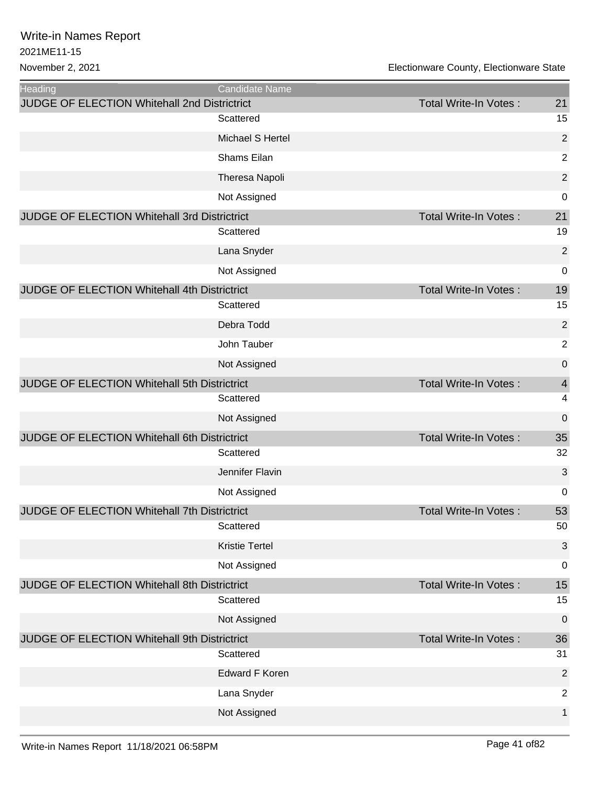| Heading<br><b>JUDGE OF ELECTION Whitehall 2nd Districtrict</b> | <b>Candidate Name</b> | <b>Total Write-In Votes:</b> | 21                      |
|----------------------------------------------------------------|-----------------------|------------------------------|-------------------------|
|                                                                | Scattered             |                              | 15                      |
|                                                                | Michael S Hertel      |                              | $\overline{2}$          |
|                                                                | Shams Eilan           |                              | $\overline{2}$          |
|                                                                | Theresa Napoli        |                              | $\overline{2}$          |
|                                                                | Not Assigned          |                              | 0                       |
| JUDGE OF ELECTION Whitehall 3rd Districtrict                   |                       | <b>Total Write-In Votes:</b> | 21                      |
|                                                                | Scattered             |                              | 19                      |
|                                                                | Lana Snyder           |                              | $\overline{2}$          |
|                                                                | Not Assigned          |                              | $\mathbf 0$             |
| JUDGE OF ELECTION Whitehall 4th Districtrict                   |                       | <b>Total Write-In Votes:</b> | 19                      |
|                                                                | Scattered             |                              | 15                      |
|                                                                | Debra Todd            |                              | $\overline{2}$          |
|                                                                | John Tauber           |                              | $\overline{2}$          |
|                                                                | Not Assigned          |                              | $\mathbf 0$             |
| JUDGE OF ELECTION Whitehall 5th Districtrict                   |                       | <b>Total Write-In Votes:</b> | $\overline{\mathbf{4}}$ |
|                                                                | Scattered             |                              | $\overline{\mathbf{4}}$ |
|                                                                | Not Assigned          |                              | 0                       |
| JUDGE OF ELECTION Whitehall 6th Districtrict                   |                       | <b>Total Write-In Votes:</b> | 35                      |
|                                                                | Scattered             |                              | 32                      |
|                                                                | Jennifer Flavin       |                              | 3                       |
|                                                                | Not Assigned          |                              | 0                       |
| JUDGE OF ELECTION Whitehall 7th Districtrict                   |                       | Total Write-In Votes:        | 53                      |
|                                                                | Scattered             |                              | 50                      |
|                                                                | <b>Kristie Tertel</b> |                              | 3                       |
|                                                                | Not Assigned          |                              | $\mathbf 0$             |
| JUDGE OF ELECTION Whitehall 8th Districtrict                   |                       | Total Write-In Votes:        | 15                      |
|                                                                | Scattered             |                              | 15                      |
|                                                                | Not Assigned          |                              | $\mathbf 0$             |
| JUDGE OF ELECTION Whitehall 9th Districtrict                   |                       | <b>Total Write-In Votes:</b> | 36                      |
|                                                                | Scattered             |                              | 31                      |
|                                                                | <b>Edward F Koren</b> |                              | $\overline{2}$          |
|                                                                | Lana Snyder           |                              | $\overline{2}$          |
|                                                                | Not Assigned          |                              | 1                       |
|                                                                |                       |                              |                         |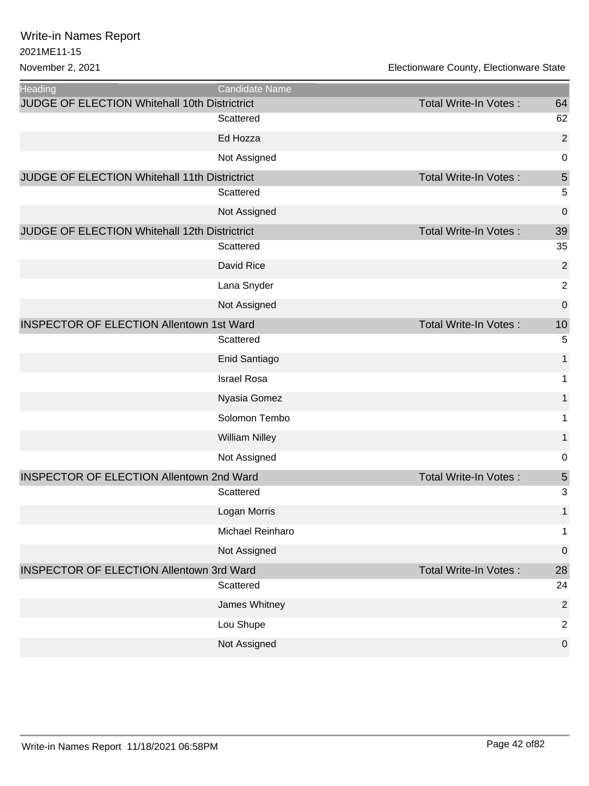| <b>Heading</b>                                  | Candidate Name        |                       |                |
|-------------------------------------------------|-----------------------|-----------------------|----------------|
| JUDGE OF ELECTION Whitehall 10th Districtrict   |                       | Total Write-In Votes: | 64             |
|                                                 | Scattered             |                       | 62             |
|                                                 | Ed Hozza              |                       | $\overline{2}$ |
|                                                 | Not Assigned          |                       | 0              |
| JUDGE OF ELECTION Whitehall 11th Districtrict   |                       | Total Write-In Votes: | 5              |
|                                                 | Scattered             |                       | 5              |
|                                                 | Not Assigned          |                       | 0              |
| JUDGE OF ELECTION Whitehall 12th Districtrict   |                       | Total Write-In Votes: | 39             |
|                                                 | Scattered             |                       | 35             |
|                                                 | David Rice            |                       | $\overline{c}$ |
|                                                 | Lana Snyder           |                       | $\overline{2}$ |
|                                                 | Not Assigned          |                       | 0              |
| <b>INSPECTOR OF ELECTION Allentown 1st Ward</b> |                       | Total Write-In Votes: | 10             |
|                                                 | Scattered             |                       | 5              |
|                                                 | Enid Santiago         |                       | 1              |
|                                                 | <b>Israel Rosa</b>    |                       | 1              |
|                                                 | Nyasia Gomez          |                       | 1              |
|                                                 | Solomon Tembo         |                       | 1              |
|                                                 | <b>William Nilley</b> |                       | 1              |
|                                                 | Not Assigned          |                       | 0              |
| <b>INSPECTOR OF ELECTION Allentown 2nd Ward</b> |                       | Total Write-In Votes: | 5              |
|                                                 | Scattered             |                       | 3              |
|                                                 | Logan Morris          |                       | 1              |
|                                                 | Michael Reinharo      |                       | 1              |
|                                                 | Not Assigned          |                       | $\mathbf 0$    |
| <b>INSPECTOR OF ELECTION Allentown 3rd Ward</b> |                       | Total Write-In Votes: | 28             |
|                                                 | Scattered             |                       | 24             |
|                                                 | James Whitney         |                       | $\overline{2}$ |
|                                                 | Lou Shupe             |                       | $\overline{c}$ |
|                                                 | Not Assigned          |                       | 0              |
|                                                 |                       |                       |                |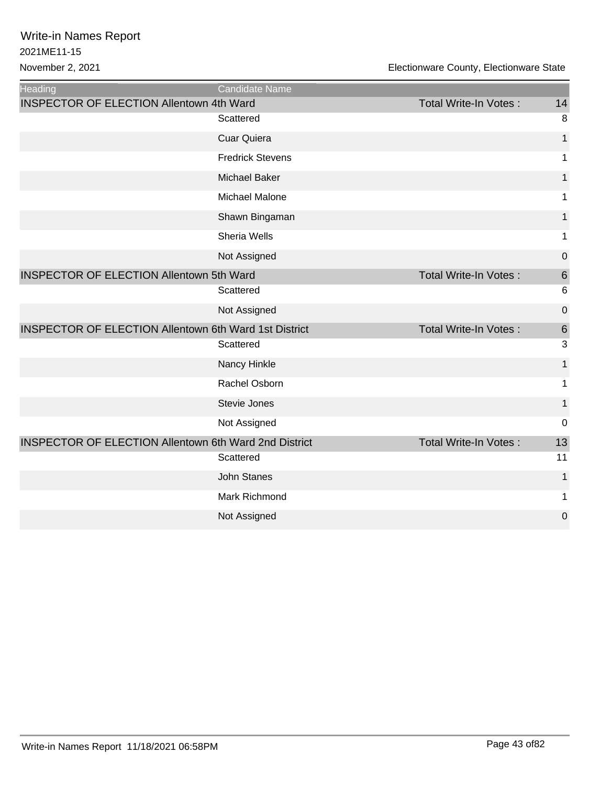| <b>Heading</b>                                               | Candidate Name          |                              |                 |
|--------------------------------------------------------------|-------------------------|------------------------------|-----------------|
| <b>INSPECTOR OF ELECTION Allentown 4th Ward</b>              |                         | <b>Total Write-In Votes:</b> | 14              |
|                                                              | Scattered               |                              | 8               |
|                                                              | <b>Cuar Quiera</b>      |                              | 1               |
|                                                              | <b>Fredrick Stevens</b> |                              | 1               |
|                                                              | <b>Michael Baker</b>    |                              | 1               |
|                                                              | Michael Malone          |                              | 1               |
|                                                              | Shawn Bingaman          |                              | $\mathbf 1$     |
|                                                              | Sheria Wells            |                              | 1               |
|                                                              | Not Assigned            |                              | $\mathbf 0$     |
| <b>INSPECTOR OF ELECTION Allentown 5th Ward</b>              |                         | <b>Total Write-In Votes:</b> | 6               |
|                                                              | Scattered               |                              | $6\phantom{1}6$ |
|                                                              | Not Assigned            |                              | $\mathbf 0$     |
| <b>INSPECTOR OF ELECTION Allentown 6th Ward 1st District</b> |                         | Total Write-In Votes:        | 6               |
|                                                              | Scattered               |                              | 3               |
|                                                              | Nancy Hinkle            |                              | 1               |
|                                                              | Rachel Osborn           |                              | 1               |
|                                                              | Stevie Jones            |                              | $\mathbf{1}$    |
|                                                              | Not Assigned            |                              | $\mathbf 0$     |
| <b>INSPECTOR OF ELECTION Allentown 6th Ward 2nd District</b> |                         | <b>Total Write-In Votes:</b> | 13              |
|                                                              | Scattered               |                              | 11              |
|                                                              | <b>John Stanes</b>      |                              | 1               |
|                                                              | Mark Richmond           |                              | 1               |
|                                                              | Not Assigned            |                              | $\mathbf 0$     |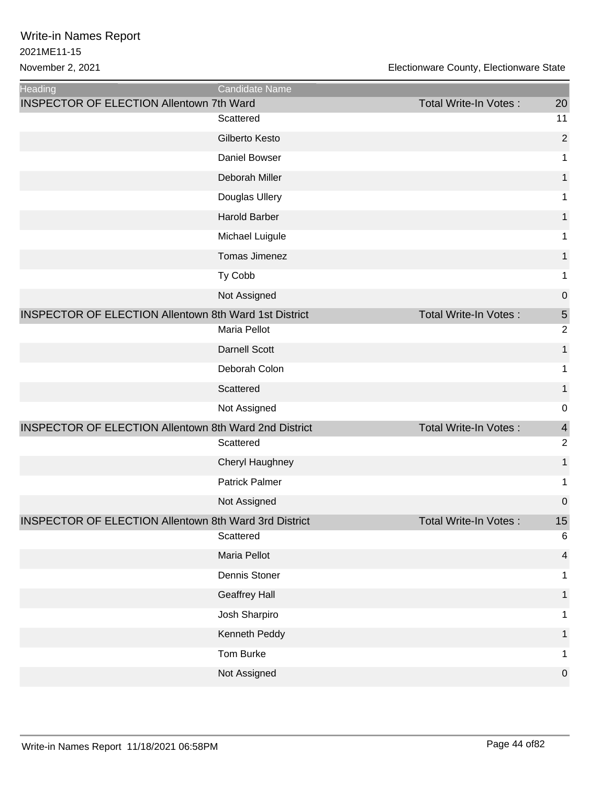| Heading                                                      | Candidate Name        |                              |                |
|--------------------------------------------------------------|-----------------------|------------------------------|----------------|
| <b>INSPECTOR OF ELECTION Allentown 7th Ward</b>              |                       | Total Write-In Votes:        | 20             |
|                                                              | Scattered             |                              | 11             |
|                                                              | Gilberto Kesto        |                              | $\overline{2}$ |
|                                                              | Daniel Bowser         |                              | 1              |
|                                                              | Deborah Miller        |                              | 1              |
|                                                              | Douglas Ullery        |                              | 1              |
|                                                              | <b>Harold Barber</b>  |                              | 1              |
|                                                              | Michael Luigule       |                              | 1              |
|                                                              | Tomas Jimenez         |                              | 1              |
|                                                              | Ty Cobb               |                              | 1              |
|                                                              | Not Assigned          |                              | $\mathbf 0$    |
| <b>INSPECTOR OF ELECTION Allentown 8th Ward 1st District</b> |                       | Total Write-In Votes:        | 5              |
|                                                              | Maria Pellot          |                              | $\overline{2}$ |
|                                                              | <b>Darnell Scott</b>  |                              | 1              |
|                                                              | Deborah Colon         |                              | 1              |
|                                                              | Scattered             |                              | 1              |
|                                                              | Not Assigned          |                              | 0              |
| <b>INSPECTOR OF ELECTION Allentown 8th Ward 2nd District</b> |                       | <b>Total Write-In Votes:</b> | $\overline{4}$ |
|                                                              | Scattered             |                              | $\overline{c}$ |
|                                                              | Cheryl Haughney       |                              | 1              |
|                                                              | <b>Patrick Palmer</b> |                              | 1              |
|                                                              | Not Assigned          |                              | $\mathbf 0$    |
| <b>INSPECTOR OF ELECTION Allentown 8th Ward 3rd District</b> |                       | Total Write-In Votes:        | 15             |
|                                                              | Scattered             |                              | 6              |
|                                                              | Maria Pellot          |                              | $\overline{4}$ |
|                                                              | Dennis Stoner         |                              | 1              |
|                                                              | <b>Geaffrey Hall</b>  |                              | 1              |
|                                                              | Josh Sharpiro         |                              | 1              |
|                                                              | Kenneth Peddy         |                              | 1              |
|                                                              | Tom Burke             |                              | 1              |
|                                                              | Not Assigned          |                              | $\mathbf 0$    |
|                                                              |                       |                              |                |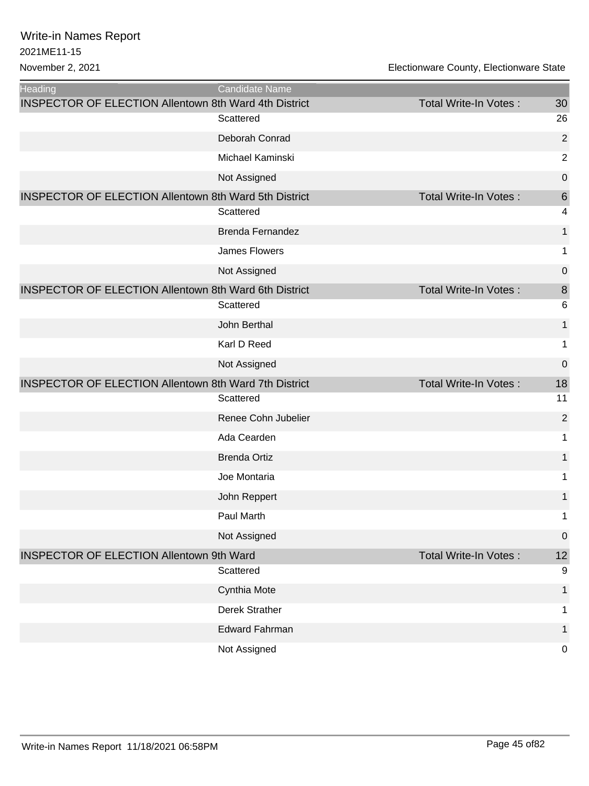| <b>Heading</b>                                               | Candidate Name          |                              |                  |
|--------------------------------------------------------------|-------------------------|------------------------------|------------------|
| <b>INSPECTOR OF ELECTION Allentown 8th Ward 4th District</b> |                         | Total Write-In Votes:        | 30               |
|                                                              | Scattered               |                              | 26               |
|                                                              | Deborah Conrad          |                              | $\overline{2}$   |
|                                                              | Michael Kaminski        |                              | $\overline{2}$   |
|                                                              | Not Assigned            |                              | $\mathbf 0$      |
| <b>INSPECTOR OF ELECTION Allentown 8th Ward 5th District</b> |                         | <b>Total Write-In Votes:</b> | 6                |
|                                                              | Scattered               |                              | 4                |
|                                                              | <b>Brenda Fernandez</b> |                              | 1                |
|                                                              | <b>James Flowers</b>    |                              | 1                |
|                                                              | Not Assigned            |                              | $\boldsymbol{0}$ |
| <b>INSPECTOR OF ELECTION Allentown 8th Ward 6th District</b> |                         | <b>Total Write-In Votes:</b> | 8                |
|                                                              | Scattered               |                              | 6                |
|                                                              | John Berthal            |                              | 1                |
|                                                              | Karl D Reed             |                              | 1                |
|                                                              | Not Assigned            |                              | 0                |
| <b>INSPECTOR OF ELECTION Allentown 8th Ward 7th District</b> |                         | Total Write-In Votes:        | 18               |
|                                                              | Scattered               |                              | 11               |
|                                                              | Renee Cohn Jubelier     |                              | $\overline{2}$   |
|                                                              | Ada Cearden             |                              | 1                |
|                                                              | <b>Brenda Ortiz</b>     |                              | 1                |
|                                                              | Joe Montaria            |                              | 1                |
|                                                              | John Reppert            |                              | 1                |
|                                                              | Paul Marth              |                              | 1                |
|                                                              | Not Assigned            |                              | $\boldsymbol{0}$ |
| <b>INSPECTOR OF ELECTION Allentown 9th Ward</b>              |                         | Total Write-In Votes:        | 12               |
|                                                              | Scattered               |                              | 9                |
|                                                              | Cynthia Mote            |                              | $\mathbf{1}$     |
|                                                              | <b>Derek Strather</b>   |                              | 1                |
|                                                              | <b>Edward Fahrman</b>   |                              | 1                |
|                                                              | Not Assigned            |                              | $\mathbf 0$      |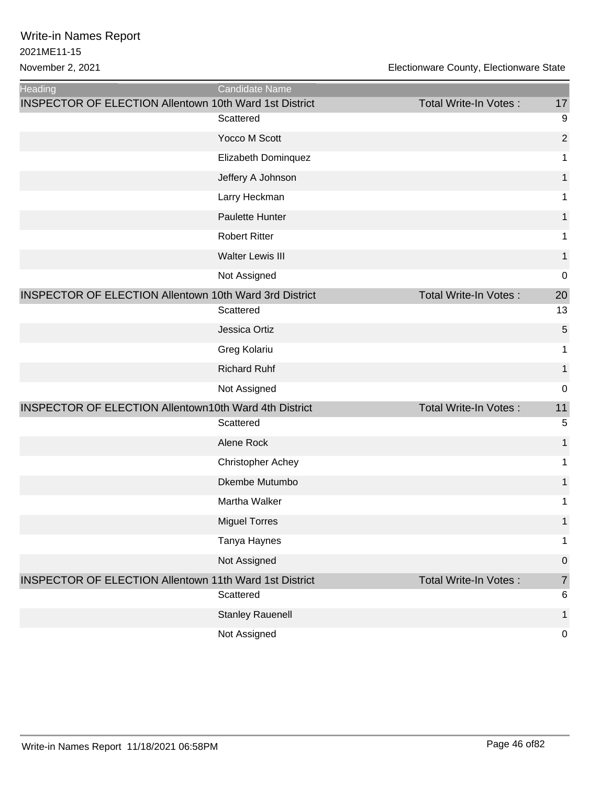| <b>Heading</b>                                                | Candidate Name           |                              |                |
|---------------------------------------------------------------|--------------------------|------------------------------|----------------|
| <b>INSPECTOR OF ELECTION Allentown 10th Ward 1st District</b> |                          | Total Write-In Votes:        | 17             |
|                                                               | Scattered                |                              | 9              |
|                                                               | Yocco M Scott            |                              | $\overline{2}$ |
|                                                               | Elizabeth Dominquez      |                              | 1              |
|                                                               | Jeffery A Johnson        |                              | $\mathbf{1}$   |
|                                                               | Larry Heckman            |                              | 1              |
|                                                               | Paulette Hunter          |                              | 1              |
|                                                               | <b>Robert Ritter</b>     |                              | 1              |
|                                                               | <b>Walter Lewis III</b>  |                              | 1              |
|                                                               | Not Assigned             |                              | $\mathbf 0$    |
| <b>INSPECTOR OF ELECTION Allentown 10th Ward 3rd District</b> |                          | <b>Total Write-In Votes:</b> | 20             |
|                                                               | Scattered                |                              | 13             |
|                                                               | Jessica Ortiz            |                              | 5              |
|                                                               | Greg Kolariu             |                              | 1              |
|                                                               | <b>Richard Ruhf</b>      |                              | 1              |
|                                                               | Not Assigned             |                              | $\mathbf 0$    |
| <b>INSPECTOR OF ELECTION Allentown10th Ward 4th District</b>  |                          | <b>Total Write-In Votes:</b> | 11             |
|                                                               | Scattered                |                              | 5              |
|                                                               | Alene Rock               |                              | 1              |
|                                                               | <b>Christopher Achey</b> |                              | 1              |
|                                                               | Dkembe Mutumbo           |                              | 1              |
|                                                               | Martha Walker            |                              | 1              |
|                                                               | <b>Miguel Torres</b>     |                              | 1              |
|                                                               | Tanya Haynes             |                              | 1              |
|                                                               | Not Assigned             |                              | $\mathbf 0$    |
| <b>INSPECTOR OF ELECTION Allentown 11th Ward 1st District</b> |                          | <b>Total Write-In Votes:</b> | $\overline{7}$ |
|                                                               | Scattered                |                              | 6              |
|                                                               | <b>Stanley Rauenell</b>  |                              | 1              |
|                                                               | Not Assigned             |                              | $\mathbf 0$    |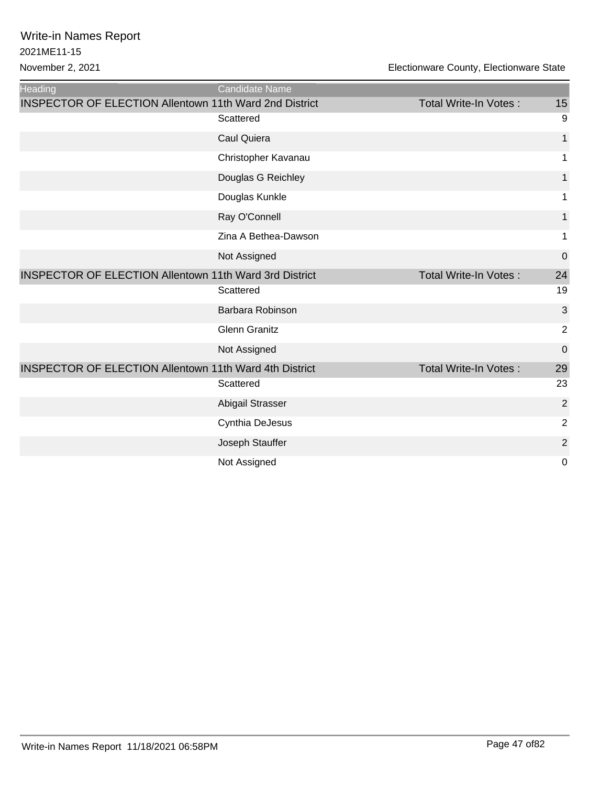| Heading                                                       | Candidate Name       |                              |                |
|---------------------------------------------------------------|----------------------|------------------------------|----------------|
| <b>INSPECTOR OF ELECTION Allentown 11th Ward 2nd District</b> |                      | Total Write-In Votes:        | 15             |
|                                                               | Scattered            |                              | 9              |
|                                                               | Caul Quiera          |                              | 1              |
|                                                               | Christopher Kavanau  |                              | 1              |
|                                                               | Douglas G Reichley   |                              | $\mathbf{1}$   |
|                                                               | Douglas Kunkle       |                              | 1              |
|                                                               | Ray O'Connell        |                              | $\mathbf{1}$   |
|                                                               | Zina A Bethea-Dawson |                              | 1              |
|                                                               | Not Assigned         |                              | $\mathbf 0$    |
| <b>INSPECTOR OF ELECTION Allentown 11th Ward 3rd District</b> |                      | <b>Total Write-In Votes:</b> | 24             |
|                                                               | Scattered            |                              | 19             |
|                                                               | Barbara Robinson     |                              | 3              |
|                                                               | <b>Glenn Granitz</b> |                              | $\overline{2}$ |
|                                                               | Not Assigned         |                              | $\mathbf 0$    |
| <b>INSPECTOR OF ELECTION Allentown 11th Ward 4th District</b> |                      | <b>Total Write-In Votes:</b> | 29             |
|                                                               | Scattered            |                              | 23             |
|                                                               | Abigail Strasser     |                              | $\overline{2}$ |
|                                                               | Cynthia DeJesus      |                              | $\overline{2}$ |
|                                                               | Joseph Stauffer      |                              | $\overline{2}$ |
|                                                               | Not Assigned         |                              | $\mathbf 0$    |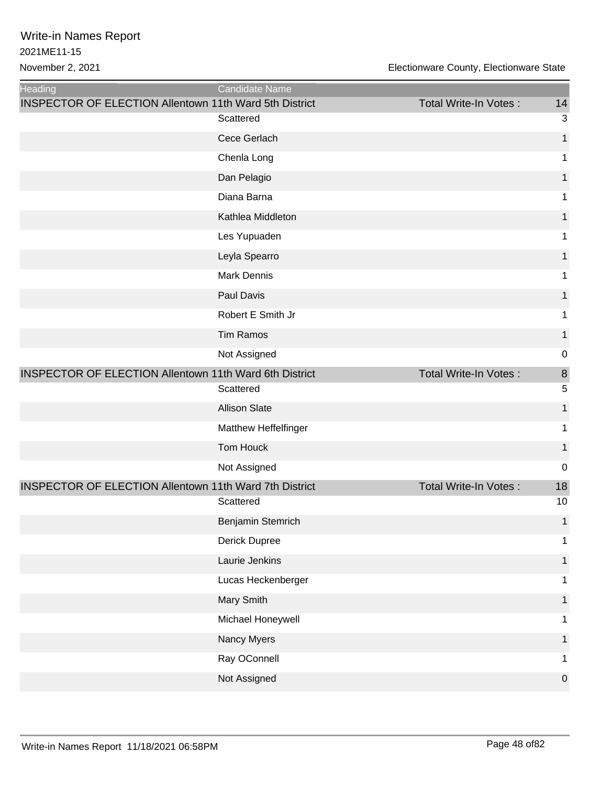| Heading                                                       | Candidate Name       |                              |                  |
|---------------------------------------------------------------|----------------------|------------------------------|------------------|
| <b>INSPECTOR OF ELECTION Allentown 11th Ward 5th District</b> | Scattered            | Total Write-In Votes:        | 14<br>3          |
|                                                               | Cece Gerlach         |                              | $\mathbf{1}$     |
|                                                               | Chenla Long          |                              | 1                |
|                                                               | Dan Pelagio          |                              | 1                |
|                                                               | Diana Barna          |                              | 1                |
|                                                               | Kathlea Middleton    |                              |                  |
|                                                               |                      |                              | 1                |
|                                                               | Les Yupuaden         |                              | 1                |
|                                                               | Leyla Spearro        |                              | 1                |
|                                                               | <b>Mark Dennis</b>   |                              | 1                |
|                                                               | Paul Davis           |                              | 1                |
|                                                               | Robert E Smith Jr    |                              | 1                |
|                                                               | <b>Tim Ramos</b>     |                              | 1                |
|                                                               | Not Assigned         |                              | $\mathbf 0$      |
| <b>INSPECTOR OF ELECTION Allentown 11th Ward 6th District</b> |                      | Total Write-In Votes:        | 8                |
|                                                               | Scattered            |                              | 5                |
|                                                               | <b>Allison Slate</b> |                              | $\mathbf{1}$     |
|                                                               | Matthew Heffelfinger |                              | 1                |
|                                                               | Tom Houck            |                              | 1                |
|                                                               | Not Assigned         |                              | $\mathbf 0$      |
| <b>INSPECTOR OF ELECTION Allentown 11th Ward 7th District</b> |                      | <b>Total Write-In Votes:</b> | 18               |
|                                                               | Scattered            |                              | 10               |
|                                                               | Benjamin Stemrich    |                              | $\mathbf{1}$     |
|                                                               | Derick Dupree        |                              | 1                |
|                                                               | Laurie Jenkins       |                              | 1                |
|                                                               | Lucas Heckenberger   |                              | 1                |
|                                                               | Mary Smith           |                              | 1                |
|                                                               | Michael Honeywell    |                              | 1                |
|                                                               | Nancy Myers          |                              | 1                |
|                                                               | Ray OConnell         |                              | 1                |
|                                                               | Not Assigned         |                              | $\boldsymbol{0}$ |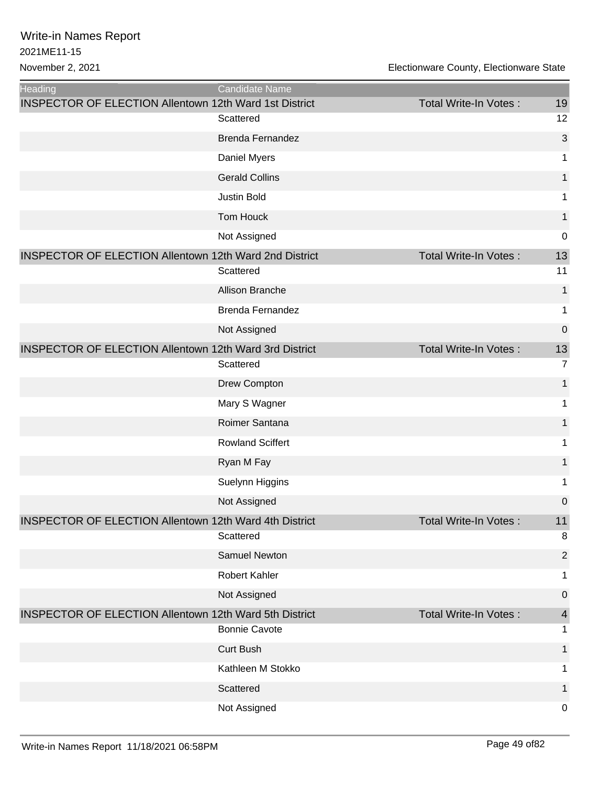| <b>Heading</b>                                                | <b>Candidate Name</b>   |                              |                  |
|---------------------------------------------------------------|-------------------------|------------------------------|------------------|
| <b>INSPECTOR OF ELECTION Allentown 12th Ward 1st District</b> | Scattered               | Total Write-In Votes:        | 19<br>12         |
|                                                               | <b>Brenda Fernandez</b> |                              | 3                |
|                                                               |                         |                              |                  |
|                                                               | Daniel Myers            |                              | 1                |
|                                                               | <b>Gerald Collins</b>   |                              | 1                |
|                                                               | <b>Justin Bold</b>      |                              | 1                |
|                                                               | Tom Houck               |                              | 1                |
|                                                               | Not Assigned            |                              | $\mathbf 0$      |
| <b>INSPECTOR OF ELECTION Allentown 12th Ward 2nd District</b> |                         | <b>Total Write-In Votes:</b> | 13               |
|                                                               | Scattered               |                              | 11               |
|                                                               | Allison Branche         |                              | $\mathbf{1}$     |
|                                                               | <b>Brenda Fernandez</b> |                              | 1                |
|                                                               | Not Assigned            |                              | $\boldsymbol{0}$ |
| <b>INSPECTOR OF ELECTION Allentown 12th Ward 3rd District</b> |                         | Total Write-In Votes:        | 13               |
|                                                               | Scattered               |                              | $\overline{7}$   |
|                                                               | Drew Compton            |                              | 1                |
|                                                               | Mary S Wagner           |                              | 1                |
|                                                               | Roimer Santana          |                              | 1                |
|                                                               | <b>Rowland Sciffert</b> |                              | 1                |
|                                                               | Ryan M Fay              |                              | $\mathbf{1}$     |
|                                                               | Suelynn Higgins         |                              | 1                |
|                                                               | Not Assigned            |                              | $\boldsymbol{0}$ |
| INSPECTOR OF ELECTION Allentown 12th Ward 4th District        | Scattered               | Total Write-In Votes:        | 11<br>8          |
|                                                               | Samuel Newton           |                              | $\overline{2}$   |
|                                                               | Robert Kahler           |                              | 1                |
|                                                               | Not Assigned            |                              | $\boldsymbol{0}$ |
| <b>INSPECTOR OF ELECTION Allentown 12th Ward 5th District</b> |                         | Total Write-In Votes:        | 4                |
|                                                               | <b>Bonnie Cavote</b>    |                              | 1                |
|                                                               | <b>Curt Bush</b>        |                              | 1                |
|                                                               | Kathleen M Stokko       |                              | 1                |
|                                                               | Scattered               |                              | 1                |
|                                                               | Not Assigned            |                              | 0                |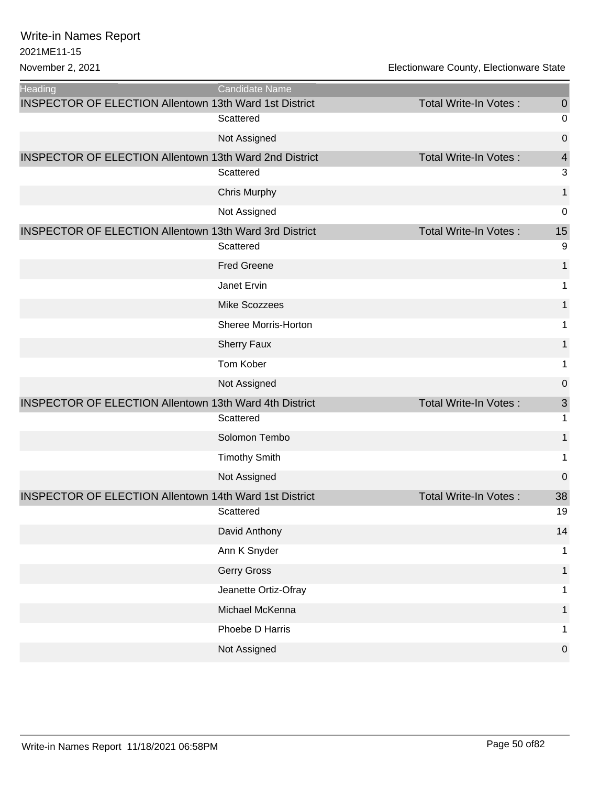| <b>Heading</b>                                                | Candidate Name       |                              |                           |
|---------------------------------------------------------------|----------------------|------------------------------|---------------------------|
| <b>INSPECTOR OF ELECTION Allentown 13th Ward 1st District</b> |                      | <b>Total Write-In Votes:</b> | $\theta$                  |
|                                                               | Scattered            |                              | 0                         |
|                                                               | Not Assigned         |                              | 0                         |
| <b>INSPECTOR OF ELECTION Allentown 13th Ward 2nd District</b> |                      | <b>Total Write-In Votes:</b> | $\overline{4}$            |
|                                                               | Scattered            |                              | $\ensuremath{\mathsf{3}}$ |
|                                                               | <b>Chris Murphy</b>  |                              | 1                         |
|                                                               | Not Assigned         |                              | 0                         |
| <b>INSPECTOR OF ELECTION Allentown 13th Ward 3rd District</b> |                      | <b>Total Write-In Votes:</b> | 15                        |
|                                                               | Scattered            |                              | 9                         |
|                                                               | <b>Fred Greene</b>   |                              | $\mathbf{1}$              |
|                                                               | Janet Ervin          |                              | 1                         |
|                                                               | Mike Scozzees        |                              | 1                         |
|                                                               | Sheree Morris-Horton |                              | 1                         |
|                                                               | <b>Sherry Faux</b>   |                              | $\mathbf{1}$              |
|                                                               | Tom Kober            |                              | 1                         |
|                                                               | Not Assigned         |                              | 0                         |
| <b>INSPECTOR OF ELECTION Allentown 13th Ward 4th District</b> |                      | <b>Total Write-In Votes:</b> | 3                         |
|                                                               | Scattered            |                              | $\mathbf{1}$              |
|                                                               | Solomon Tembo        |                              | 1                         |
|                                                               | <b>Timothy Smith</b> |                              | 1                         |
|                                                               | Not Assigned         |                              | 0                         |
| <b>INSPECTOR OF ELECTION Allentown 14th Ward 1st District</b> |                      | Total Write-In Votes:        | 38                        |
|                                                               | Scattered            |                              | 19                        |
|                                                               | David Anthony        |                              | 14                        |
|                                                               | Ann K Snyder         |                              | 1                         |
|                                                               | Gerry Gross          |                              | 1                         |
|                                                               | Jeanette Ortiz-Ofray |                              | 1                         |
|                                                               | Michael McKenna      |                              | $\mathbf 1$               |
|                                                               | Phoebe D Harris      |                              | 1                         |
|                                                               | Not Assigned         |                              | 0                         |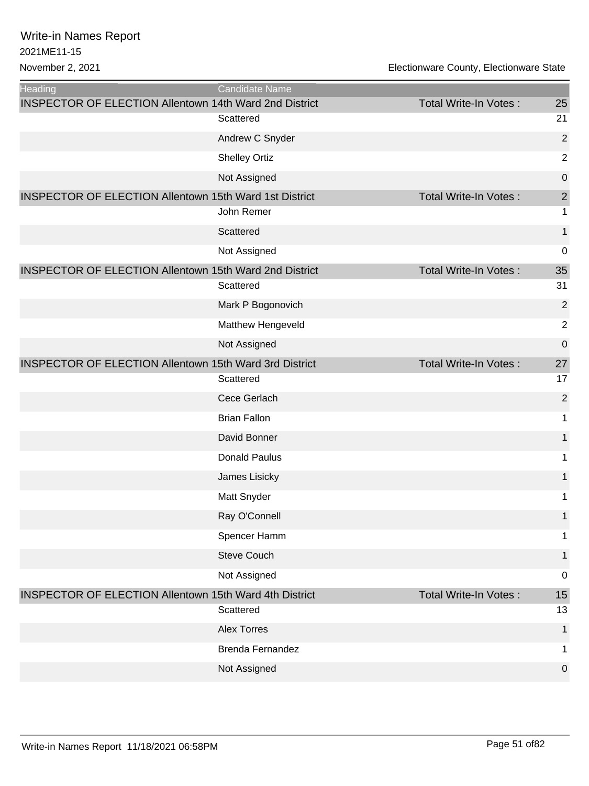| <b>Heading</b>                                                | Candidate Name          |                              |                  |
|---------------------------------------------------------------|-------------------------|------------------------------|------------------|
| <b>INSPECTOR OF ELECTION Allentown 14th Ward 2nd District</b> |                         | <b>Total Write-In Votes:</b> | 25               |
|                                                               | Scattered               |                              | 21               |
|                                                               | Andrew C Snyder         |                              | $\overline{2}$   |
|                                                               | <b>Shelley Ortiz</b>    |                              | $\mathbf 2$      |
|                                                               | Not Assigned            |                              | $\boldsymbol{0}$ |
| <b>INSPECTOR OF ELECTION Allentown 15th Ward 1st District</b> |                         | <b>Total Write-In Votes:</b> | $\mathbf{2}$     |
|                                                               | John Remer              |                              | 1                |
|                                                               | Scattered               |                              | $\mathbf{1}$     |
|                                                               | Not Assigned            |                              | 0                |
| <b>INSPECTOR OF ELECTION Allentown 15th Ward 2nd District</b> |                         | <b>Total Write-In Votes:</b> | 35               |
|                                                               | Scattered               |                              | 31               |
|                                                               | Mark P Bogonovich       |                              | $\overline{2}$   |
|                                                               | Matthew Hengeveld       |                              | $\overline{2}$   |
|                                                               | Not Assigned            |                              | 0                |
| <b>INSPECTOR OF ELECTION Allentown 15th Ward 3rd District</b> |                         | <b>Total Write-In Votes:</b> | 27               |
|                                                               | Scattered               |                              | 17               |
|                                                               | Cece Gerlach            |                              | $\overline{2}$   |
|                                                               | <b>Brian Fallon</b>     |                              | $\mathbf{1}$     |
|                                                               | David Bonner            |                              | $\mathbf{1}$     |
|                                                               | <b>Donald Paulus</b>    |                              | 1                |
|                                                               | James Lisicky           |                              | 1                |
|                                                               | Matt Snyder             |                              | 1                |
|                                                               | Ray O'Connell           |                              | $\mathbf{1}$     |
|                                                               | Spencer Hamm            |                              | 1                |
|                                                               | <b>Steve Couch</b>      |                              | $\mathbf{1}$     |
|                                                               | Not Assigned            |                              | 0                |
| <b>INSPECTOR OF ELECTION Allentown 15th Ward 4th District</b> |                         | <b>Total Write-In Votes:</b> | 15               |
|                                                               | Scattered               |                              | 13               |
|                                                               | <b>Alex Torres</b>      |                              | 1                |
|                                                               | <b>Brenda Fernandez</b> |                              | $\mathbf{1}$     |
|                                                               | Not Assigned            |                              | 0                |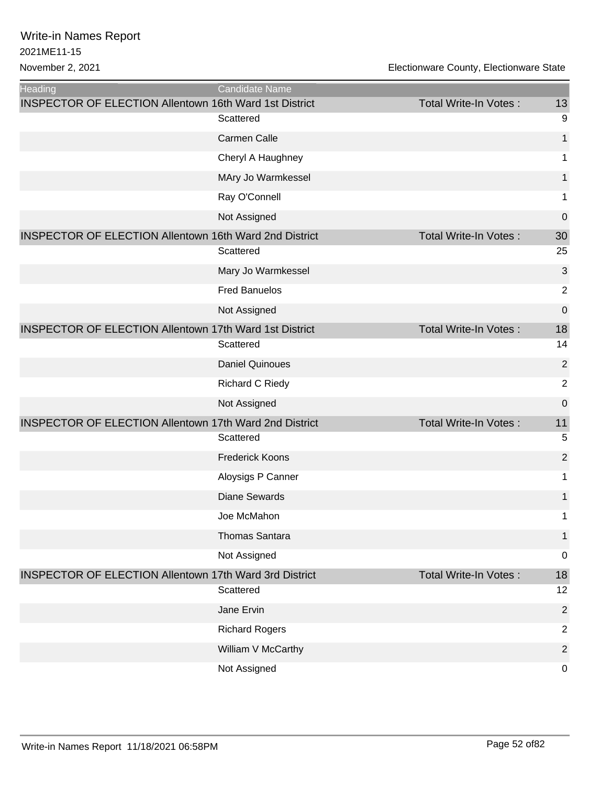| <b>Heading</b>                                                | <b>Candidate Name</b>  |                              |                  |
|---------------------------------------------------------------|------------------------|------------------------------|------------------|
| <b>INSPECTOR OF ELECTION Allentown 16th Ward 1st District</b> |                        | Total Write-In Votes:        | 13               |
|                                                               | Scattered              |                              | 9                |
|                                                               | <b>Carmen Calle</b>    |                              | 1                |
|                                                               | Cheryl A Haughney      |                              | 1                |
|                                                               | MAry Jo Warmkessel     |                              | 1                |
|                                                               | Ray O'Connell          |                              | 1                |
|                                                               | Not Assigned           |                              | $\mathbf 0$      |
| <b>INSPECTOR OF ELECTION Allentown 16th Ward 2nd District</b> |                        | Total Write-In Votes:        | 30               |
|                                                               | Scattered              |                              | 25               |
|                                                               | Mary Jo Warmkessel     |                              | 3                |
|                                                               | <b>Fred Banuelos</b>   |                              | $\overline{2}$   |
|                                                               | Not Assigned           |                              | $\mathbf 0$      |
| <b>INSPECTOR OF ELECTION Allentown 17th Ward 1st District</b> |                        | <b>Total Write-In Votes:</b> | 18               |
|                                                               | Scattered              |                              | 14               |
|                                                               | <b>Daniel Quinoues</b> |                              | $\overline{2}$   |
|                                                               | <b>Richard C Riedy</b> |                              | $\overline{2}$   |
|                                                               | Not Assigned           |                              | $\mathbf 0$      |
| <b>INSPECTOR OF ELECTION Allentown 17th Ward 2nd District</b> |                        | Total Write-In Votes:        | 11               |
|                                                               | Scattered              |                              | 5                |
|                                                               | <b>Frederick Koons</b> |                              | $\overline{2}$   |
|                                                               | Aloysigs P Canner      |                              | 1                |
|                                                               | <b>Diane Sewards</b>   |                              | 1                |
|                                                               | Joe McMahon            |                              | 1                |
|                                                               | <b>Thomas Santara</b>  |                              | 1                |
|                                                               | Not Assigned           |                              | $\mathbf 0$      |
| <b>INSPECTOR OF ELECTION Allentown 17th Ward 3rd District</b> |                        | <b>Total Write-In Votes:</b> | 18               |
|                                                               | Scattered              |                              | 12               |
|                                                               | Jane Ervin             |                              | $\overline{2}$   |
|                                                               | <b>Richard Rogers</b>  |                              | $\overline{2}$   |
|                                                               | William V McCarthy     |                              | $\overline{2}$   |
|                                                               | Not Assigned           |                              | $\boldsymbol{0}$ |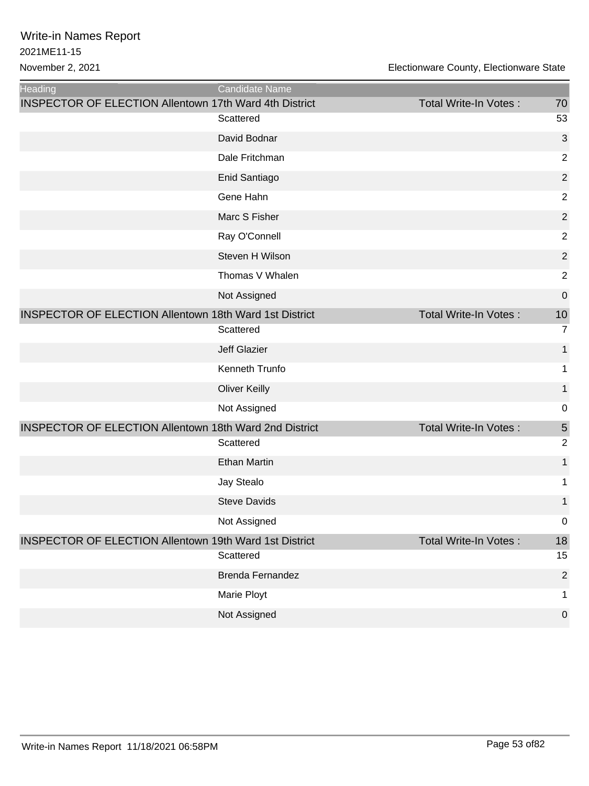| <b>Heading</b>                                                | <b>Candidate Name</b>   |                              |                  |
|---------------------------------------------------------------|-------------------------|------------------------------|------------------|
| <b>INSPECTOR OF ELECTION Allentown 17th Ward 4th District</b> |                         | <b>Total Write-In Votes:</b> | 70               |
|                                                               | Scattered               |                              | 53               |
|                                                               | David Bodnar            |                              | 3                |
|                                                               | Dale Fritchman          |                              | $\overline{2}$   |
|                                                               | Enid Santiago           |                              | $\overline{2}$   |
|                                                               | Gene Hahn               |                              | $\overline{2}$   |
|                                                               | Marc S Fisher           |                              | $\overline{2}$   |
|                                                               | Ray O'Connell           |                              | $\overline{2}$   |
|                                                               | Steven H Wilson         |                              | $\overline{2}$   |
|                                                               | Thomas V Whalen         |                              | $\overline{2}$   |
|                                                               | Not Assigned            |                              | $\mathbf 0$      |
| <b>INSPECTOR OF ELECTION Allentown 18th Ward 1st District</b> |                         | <b>Total Write-In Votes:</b> | 10               |
|                                                               | Scattered               |                              | $\overline{7}$   |
|                                                               | <b>Jeff Glazier</b>     |                              | 1                |
|                                                               | Kenneth Trunfo          |                              | 1                |
|                                                               | <b>Oliver Keilly</b>    |                              | 1                |
|                                                               | Not Assigned            |                              | 0                |
| <b>INSPECTOR OF ELECTION Allentown 18th Ward 2nd District</b> |                         | Total Write-In Votes:        | 5                |
|                                                               | Scattered               |                              | $\overline{2}$   |
|                                                               | <b>Ethan Martin</b>     |                              | 1                |
|                                                               | Jay Stealo              |                              | 1                |
|                                                               | <b>Steve Davids</b>     |                              | 1                |
|                                                               | Not Assigned            |                              | 0                |
| <b>INSPECTOR OF ELECTION Allentown 19th Ward 1st District</b> |                         | Total Write-In Votes:        | 18               |
|                                                               | Scattered               |                              | 15               |
|                                                               | <b>Brenda Fernandez</b> |                              | $\overline{2}$   |
|                                                               | Marie Ployt             |                              | 1                |
|                                                               | Not Assigned            |                              | $\boldsymbol{0}$ |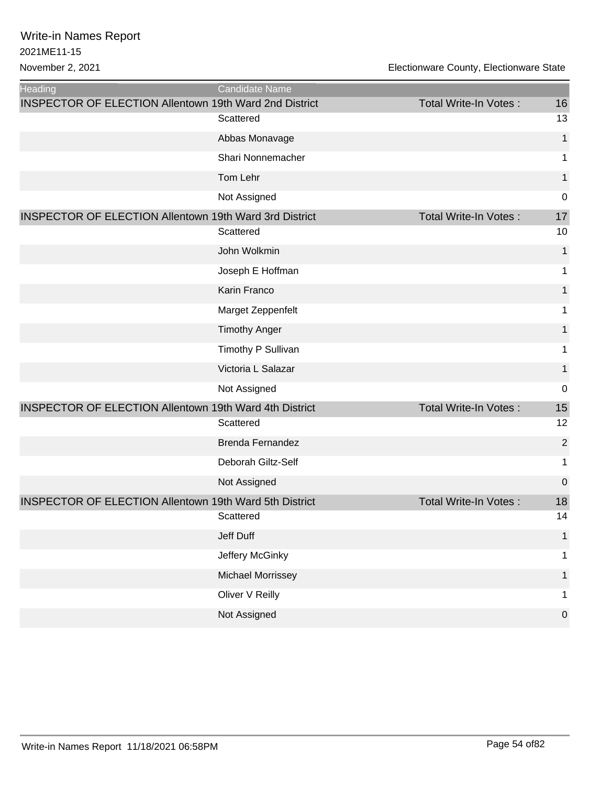| <b>Heading</b>                                                | Candidate Name          |                              |                |
|---------------------------------------------------------------|-------------------------|------------------------------|----------------|
| <b>INSPECTOR OF ELECTION Allentown 19th Ward 2nd District</b> |                         | Total Write-In Votes:        | 16             |
|                                                               | Scattered               |                              | 13             |
|                                                               | Abbas Monavage          |                              | $\mathbf{1}$   |
|                                                               | Shari Nonnemacher       |                              | 1              |
|                                                               | Tom Lehr                |                              | 1              |
|                                                               | Not Assigned            |                              | $\mathbf 0$    |
| <b>INSPECTOR OF ELECTION Allentown 19th Ward 3rd District</b> |                         | <b>Total Write-In Votes:</b> | 17             |
|                                                               | Scattered               |                              | 10             |
|                                                               | John Wolkmin            |                              | 1              |
|                                                               | Joseph E Hoffman        |                              | 1              |
|                                                               | Karin Franco            |                              | 1              |
|                                                               | Marget Zeppenfelt       |                              | 1              |
|                                                               | <b>Timothy Anger</b>    |                              | 1              |
|                                                               | Timothy P Sullivan      |                              | 1              |
|                                                               | Victoria L Salazar      |                              | 1              |
|                                                               | Not Assigned            |                              | $\mathbf 0$    |
| <b>INSPECTOR OF ELECTION Allentown 19th Ward 4th District</b> |                         | <b>Total Write-In Votes:</b> | 15             |
|                                                               | Scattered               |                              | 12             |
|                                                               | <b>Brenda Fernandez</b> |                              | $\overline{2}$ |
|                                                               | Deborah Giltz-Self      |                              | 1              |
|                                                               | Not Assigned            |                              | $\mathbf 0$    |
| <b>INSPECTOR OF ELECTION Allentown 19th Ward 5th District</b> |                         | <b>Total Write-In Votes:</b> | 18             |
|                                                               | Scattered               |                              | 14             |
|                                                               | Jeff Duff               |                              | 1              |
|                                                               | Jeffery McGinky         |                              | 1              |
|                                                               | Michael Morrissey       |                              |                |
|                                                               | Oliver V Reilly         |                              | 1              |
|                                                               | Not Assigned            |                              | $\mathbf 0$    |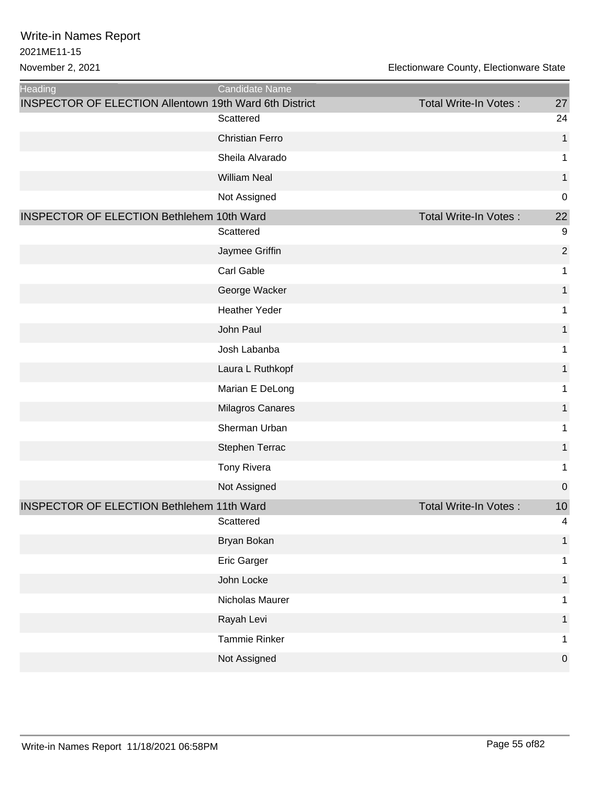| <b>Heading</b>                                                | Candidate Name         |                              |                |
|---------------------------------------------------------------|------------------------|------------------------------|----------------|
| <b>INSPECTOR OF ELECTION Allentown 19th Ward 6th District</b> | Scattered              | Total Write-In Votes:        | 27<br>24       |
|                                                               | <b>Christian Ferro</b> |                              | $\mathbf 1$    |
|                                                               | Sheila Alvarado        |                              | 1              |
|                                                               | <b>William Neal</b>    |                              | 1              |
|                                                               | Not Assigned           |                              | $\mathbf 0$    |
| <b>INSPECTOR OF ELECTION Bethlehem 10th Ward</b>              |                        | Total Write-In Votes:        | 22             |
|                                                               | Scattered              |                              | 9              |
|                                                               | Jaymee Griffin         |                              | $\overline{2}$ |
|                                                               | Carl Gable             |                              | 1              |
|                                                               | George Wacker          |                              | 1              |
|                                                               | <b>Heather Yeder</b>   |                              | 1              |
|                                                               | John Paul              |                              | 1              |
|                                                               | Josh Labanba           |                              | 1              |
|                                                               | Laura L Ruthkopf       |                              | 1              |
|                                                               | Marian E DeLong        |                              | 1              |
|                                                               | Milagros Canares       |                              | 1              |
|                                                               | Sherman Urban          |                              | 1              |
|                                                               | Stephen Terrac         |                              | 1              |
|                                                               | Tony Rivera            |                              | 1              |
|                                                               | Not Assigned           |                              | $\mathbf 0$    |
| <b>INSPECTOR OF ELECTION Bethlehem 11th Ward</b>              |                        | <b>Total Write-In Votes:</b> | 10             |
|                                                               | Scattered              |                              | 4              |
|                                                               | Bryan Bokan            |                              | 1              |
|                                                               | Eric Garger            |                              | 1              |
|                                                               | John Locke             |                              | 1              |
|                                                               | Nicholas Maurer        |                              | 1              |
|                                                               | Rayah Levi             |                              | 1              |
|                                                               | Tammie Rinker          |                              | 1              |
|                                                               | Not Assigned           |                              | $\mathbf 0$    |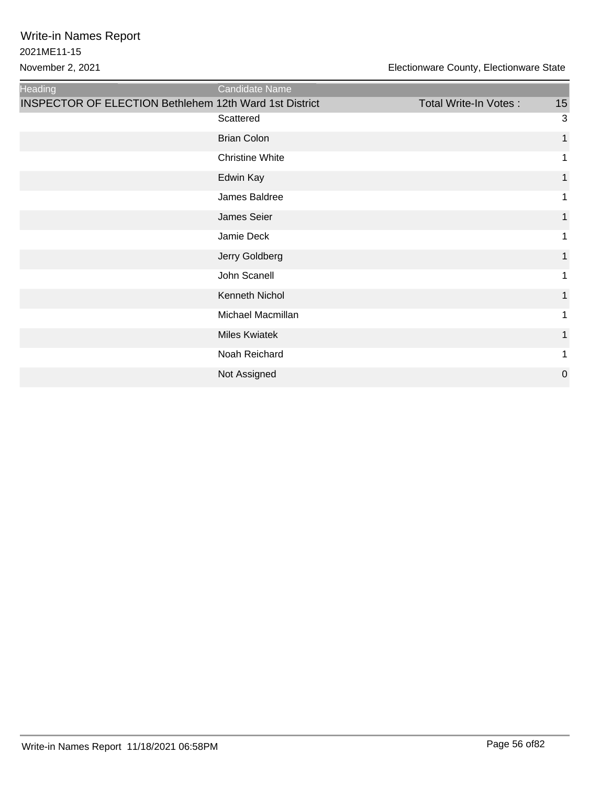| Heading                                                       | Candidate Name         |                       |              |
|---------------------------------------------------------------|------------------------|-----------------------|--------------|
| <b>INSPECTOR OF ELECTION Bethlehem 12th Ward 1st District</b> |                        | Total Write-In Votes: | 15           |
|                                                               | Scattered              |                       | 3            |
|                                                               | <b>Brian Colon</b>     |                       | $\mathbf{1}$ |
|                                                               | <b>Christine White</b> |                       | 1            |
|                                                               | Edwin Kay              |                       | 1            |
|                                                               | James Baldree          |                       | 1            |
|                                                               | James Seier            |                       | 1            |
|                                                               | Jamie Deck             |                       | 1            |
|                                                               | Jerry Goldberg         |                       | $\mathbf{1}$ |
|                                                               | John Scanell           |                       | 1            |
|                                                               | Kenneth Nichol         |                       | 1            |
|                                                               | Michael Macmillan      |                       | 1            |
|                                                               | <b>Miles Kwiatek</b>   |                       | 1            |
|                                                               | Noah Reichard          |                       | 1            |
|                                                               | Not Assigned           |                       | $\mathbf 0$  |
|                                                               |                        |                       |              |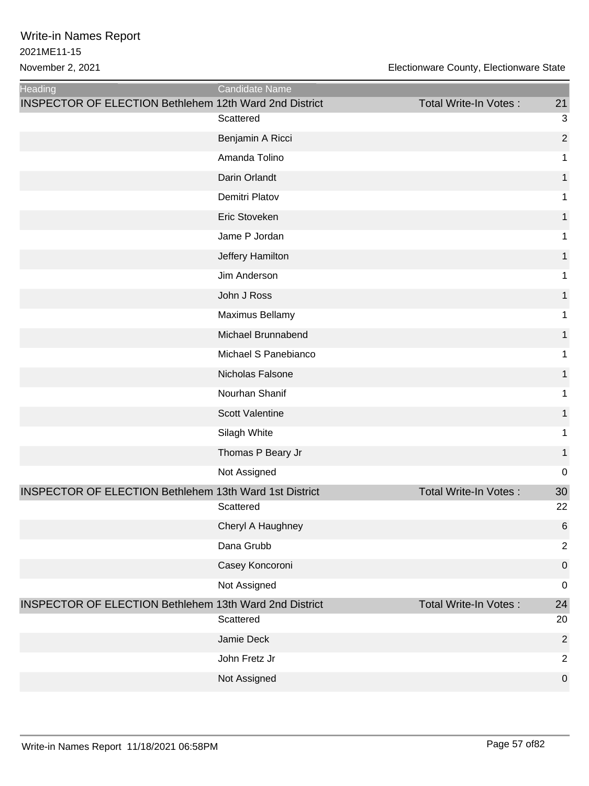| <b>Heading</b>                                                | Candidate Name         |                              |                  |
|---------------------------------------------------------------|------------------------|------------------------------|------------------|
| <b>INSPECTOR OF ELECTION Bethlehem 12th Ward 2nd District</b> | Scattered              | Total Write-In Votes:        | 21<br>3          |
|                                                               | Benjamin A Ricci       |                              | $\overline{2}$   |
|                                                               | Amanda Tolino          |                              | 1                |
|                                                               | Darin Orlandt          |                              | 1                |
|                                                               | Demitri Platov         |                              | 1                |
|                                                               | Eric Stoveken          |                              |                  |
|                                                               | Jame P Jordan          |                              | 1                |
|                                                               |                        |                              |                  |
|                                                               | Jeffery Hamilton       |                              | 1                |
|                                                               | Jim Anderson           |                              | 1                |
|                                                               | John J Ross            |                              | 1                |
|                                                               | Maximus Bellamy        |                              | 1                |
|                                                               | Michael Brunnabend     |                              | 1                |
|                                                               | Michael S Panebianco   |                              | 1                |
|                                                               | Nicholas Falsone       |                              | 1                |
|                                                               | Nourhan Shanif         |                              | 1                |
|                                                               | <b>Scott Valentine</b> |                              | 1                |
|                                                               | Silagh White           |                              | 1                |
|                                                               | Thomas P Beary Jr      |                              | 1                |
|                                                               | Not Assigned           |                              | $\mathbf 0$      |
| <b>INSPECTOR OF ELECTION Bethlehem 13th Ward 1st District</b> |                        | <b>Total Write-In Votes:</b> | 30               |
|                                                               | Scattered              |                              | 22               |
|                                                               | Cheryl A Haughney      |                              | 6                |
|                                                               | Dana Grubb             |                              | $\overline{2}$   |
|                                                               | Casey Koncoroni        |                              | $\mathbf 0$      |
|                                                               | Not Assigned           |                              | $\mathbf 0$      |
| <b>INSPECTOR OF ELECTION Bethlehem 13th Ward 2nd District</b> |                        | <b>Total Write-In Votes:</b> | 24               |
|                                                               | Scattered              |                              | 20               |
|                                                               | Jamie Deck             |                              | $\overline{2}$   |
|                                                               | John Fretz Jr          |                              | $\overline{2}$   |
|                                                               | Not Assigned           |                              | $\boldsymbol{0}$ |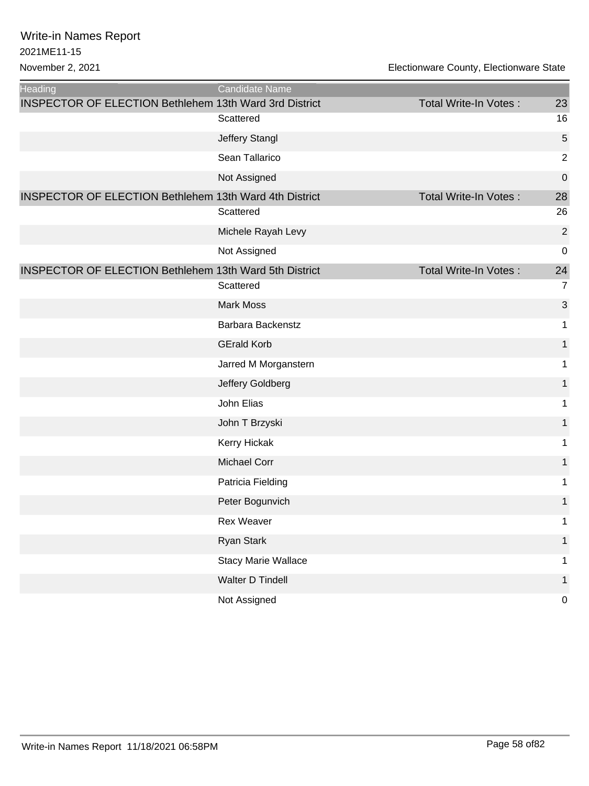| <b>Heading</b>                                                | <b>Candidate Name</b>      |                       |                  |
|---------------------------------------------------------------|----------------------------|-----------------------|------------------|
| <b>INSPECTOR OF ELECTION Bethlehem 13th Ward 3rd District</b> |                            | Total Write-In Votes: | 23               |
|                                                               | Scattered                  |                       | 16               |
|                                                               | Jeffery Stangl             |                       | 5                |
|                                                               | Sean Tallarico             |                       | $\overline{2}$   |
|                                                               | Not Assigned               |                       | $\boldsymbol{0}$ |
| <b>INSPECTOR OF ELECTION Bethlehem 13th Ward 4th District</b> |                            | Total Write-In Votes: | 28               |
|                                                               | Scattered                  |                       | 26               |
|                                                               | Michele Rayah Levy         |                       | $\overline{2}$   |
|                                                               | Not Assigned               |                       | $\mathbf 0$      |
| <b>INSPECTOR OF ELECTION Bethlehem 13th Ward 5th District</b> |                            | Total Write-In Votes: | 24               |
|                                                               | Scattered                  |                       | $\overline{7}$   |
|                                                               | <b>Mark Moss</b>           |                       | 3                |
|                                                               | Barbara Backenstz          |                       | 1                |
|                                                               | <b>GErald Korb</b>         |                       | 1                |
|                                                               | Jarred M Morganstern       |                       | 1                |
|                                                               | Jeffery Goldberg           |                       | 1                |
|                                                               | John Elias                 |                       | 1                |
|                                                               | John T Brzyski             |                       | 1                |
|                                                               | Kerry Hickak               |                       | 1                |
|                                                               | Michael Corr               |                       | 1                |
|                                                               | Patricia Fielding          |                       | 1                |
|                                                               | Peter Bogunvich            |                       | 1                |
|                                                               | Rex Weaver                 |                       | 1                |
|                                                               | <b>Ryan Stark</b>          |                       | $\mathbf{1}$     |
|                                                               | <b>Stacy Marie Wallace</b> |                       | 1                |
|                                                               | Walter D Tindell           |                       | 1                |
|                                                               | Not Assigned               |                       | $\pmb{0}$        |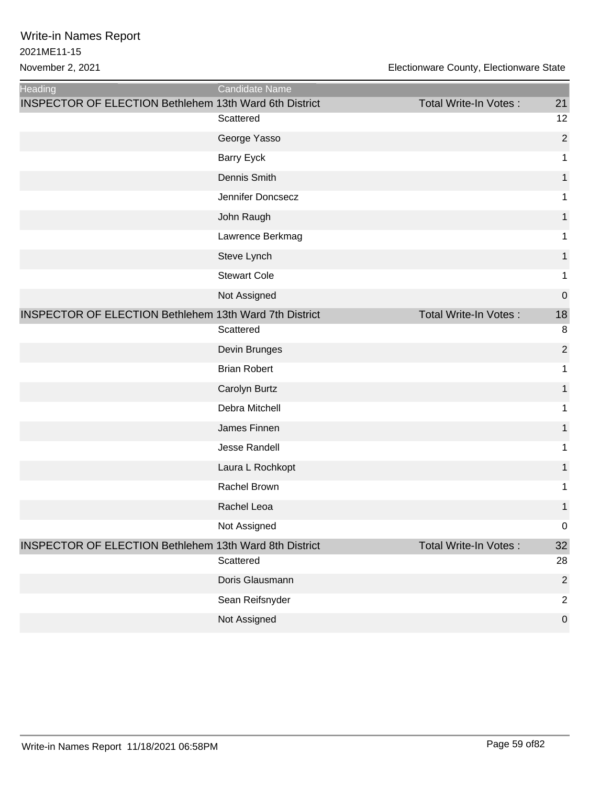| <b>Heading</b>                                                | Candidate Name      |                              |                  |
|---------------------------------------------------------------|---------------------|------------------------------|------------------|
| <b>INSPECTOR OF ELECTION Bethlehem 13th Ward 6th District</b> |                     | <b>Total Write-In Votes:</b> | 21               |
|                                                               | Scattered           |                              | 12               |
|                                                               | George Yasso        |                              | $\overline{2}$   |
|                                                               | <b>Barry Eyck</b>   |                              | 1                |
|                                                               | Dennis Smith        |                              | 1                |
|                                                               | Jennifer Doncsecz   |                              | 1                |
|                                                               | John Raugh          |                              |                  |
|                                                               | Lawrence Berkmag    |                              | 1                |
|                                                               | Steve Lynch         |                              | 1                |
|                                                               | <b>Stewart Cole</b> |                              | 1                |
|                                                               | Not Assigned        |                              | $\mathbf 0$      |
| <b>INSPECTOR OF ELECTION Bethlehem 13th Ward 7th District</b> |                     | <b>Total Write-In Votes:</b> | 18               |
|                                                               | Scattered           |                              | 8                |
|                                                               | Devin Brunges       |                              | $\overline{2}$   |
|                                                               | <b>Brian Robert</b> |                              | 1                |
|                                                               | Carolyn Burtz       |                              | 1                |
|                                                               | Debra Mitchell      |                              | 1                |
|                                                               | James Finnen        |                              | 1                |
|                                                               | Jesse Randell       |                              | 1                |
|                                                               | Laura L Rochkopt    |                              | 1                |
|                                                               | Rachel Brown        |                              | 1                |
|                                                               | Rachel Leoa         |                              | 1                |
|                                                               | Not Assigned        |                              | $\boldsymbol{0}$ |
| <b>INSPECTOR OF ELECTION Bethlehem 13th Ward 8th District</b> |                     | Total Write-In Votes:        | 32               |
|                                                               | Scattered           |                              | 28               |
|                                                               | Doris Glausmann     |                              | $\overline{2}$   |
|                                                               | Sean Reifsnyder     |                              | $\overline{2}$   |
|                                                               | Not Assigned        |                              | $\boldsymbol{0}$ |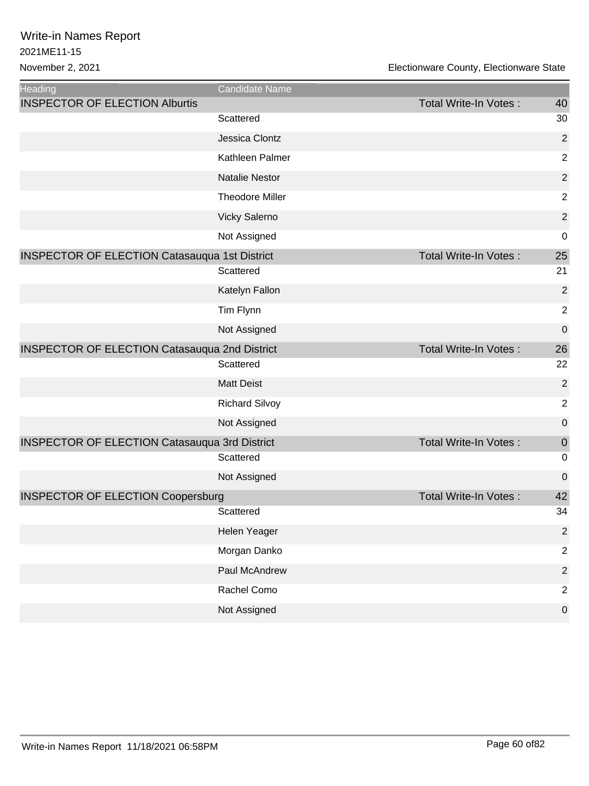2021ME11-15 Write-in Names Report

| Heading                                              | Candidate Name         |                       |                |
|------------------------------------------------------|------------------------|-----------------------|----------------|
| <b>INSPECTOR OF ELECTION Alburtis</b>                |                        | Total Write-In Votes: | 40             |
|                                                      | Scattered              |                       | 30             |
|                                                      | Jessica Clontz         |                       | $\overline{2}$ |
|                                                      | Kathleen Palmer        |                       | $\overline{c}$ |
|                                                      | <b>Natalie Nestor</b>  |                       | $\overline{c}$ |
|                                                      | <b>Theodore Miller</b> |                       | $\overline{2}$ |
|                                                      | Vicky Salerno          |                       | $\overline{c}$ |
|                                                      | Not Assigned           |                       | $\mathbf 0$    |
| <b>INSPECTOR OF ELECTION Catasauqua 1st District</b> |                        | Total Write-In Votes: | 25             |
|                                                      | Scattered              |                       | 21             |
|                                                      | Katelyn Fallon         |                       | $\overline{2}$ |
|                                                      | Tim Flynn              |                       | $\overline{c}$ |
|                                                      | Not Assigned           |                       | $\mathbf 0$    |
| <b>INSPECTOR OF ELECTION Catasauqua 2nd District</b> |                        | Total Write-In Votes: | 26             |
|                                                      | Scattered              |                       | 22             |
|                                                      | <b>Matt Deist</b>      |                       | $\overline{c}$ |
|                                                      | <b>Richard Silvoy</b>  |                       | $\overline{2}$ |
|                                                      | Not Assigned           |                       | $\mathbf 0$    |
| <b>INSPECTOR OF ELECTION Catasauqua 3rd District</b> |                        | Total Write-In Votes: | $\mathbf 0$    |
|                                                      | Scattered              |                       | $\mathbf 0$    |
|                                                      | Not Assigned           |                       | $\mathbf 0$    |
| <b>INSPECTOR OF ELECTION Coopersburg</b>             |                        | Total Write-In Votes: | 42             |
|                                                      | Scattered              |                       | 34             |
|                                                      | Helen Yeager           |                       | $\overline{2}$ |
|                                                      | Morgan Danko           |                       | $\overline{2}$ |
|                                                      | Paul McAndrew          |                       | $\overline{2}$ |
|                                                      | Rachel Como            |                       | $\overline{2}$ |
|                                                      | Not Assigned           |                       | $\pmb{0}$      |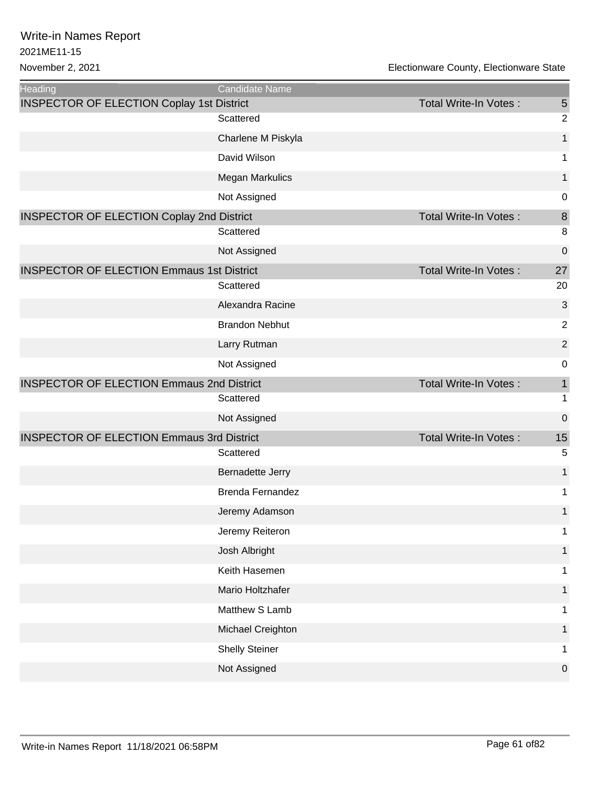| <b>Heading</b>                                   | Candidate Name          |                              |                |
|--------------------------------------------------|-------------------------|------------------------------|----------------|
| <b>INSPECTOR OF ELECTION Coplay 1st District</b> |                         | <b>Total Write-In Votes:</b> | 5              |
|                                                  | Scattered               |                              | $\overline{2}$ |
|                                                  | Charlene M Piskyla      |                              | 1              |
|                                                  | David Wilson            |                              | 1              |
|                                                  | Megan Markulics         |                              | 1              |
|                                                  | Not Assigned            |                              | 0              |
| <b>INSPECTOR OF ELECTION Coplay 2nd District</b> |                         | <b>Total Write-In Votes:</b> | 8              |
|                                                  | Scattered               |                              | 8              |
|                                                  | Not Assigned            |                              | $\mathbf 0$    |
| <b>INSPECTOR OF ELECTION Emmaus 1st District</b> |                         | Total Write-In Votes:        | 27             |
|                                                  | Scattered               |                              | 20             |
|                                                  | Alexandra Racine        |                              | 3              |
|                                                  | <b>Brandon Nebhut</b>   |                              | $\overline{c}$ |
|                                                  | Larry Rutman            |                              | $\overline{2}$ |
|                                                  | Not Assigned            |                              | $\mathbf 0$    |
| <b>INSPECTOR OF ELECTION Emmaus 2nd District</b> |                         | <b>Total Write-In Votes:</b> | 1              |
|                                                  | Scattered               |                              | 1              |
|                                                  | Not Assigned            |                              | $\mathbf 0$    |
| <b>INSPECTOR OF ELECTION Emmaus 3rd District</b> |                         | <b>Total Write-In Votes:</b> | 15             |
|                                                  | Scattered               |                              | 5              |
|                                                  | Bernadette Jerry        |                              | 1              |
|                                                  | <b>Brenda Fernandez</b> |                              | 1              |
|                                                  | Jeremy Adamson          |                              | 1              |
|                                                  | Jeremy Reiteron         |                              | 1              |
|                                                  | Josh Albright           |                              | 1              |
|                                                  | Keith Hasemen           |                              | 1              |
|                                                  | Mario Holtzhafer        |                              | 1              |
|                                                  | Matthew S Lamb          |                              |                |
|                                                  | Michael Creighton       |                              | 1              |
|                                                  | <b>Shelly Steiner</b>   |                              | 1              |
|                                                  | Not Assigned            |                              | 0              |
|                                                  |                         |                              |                |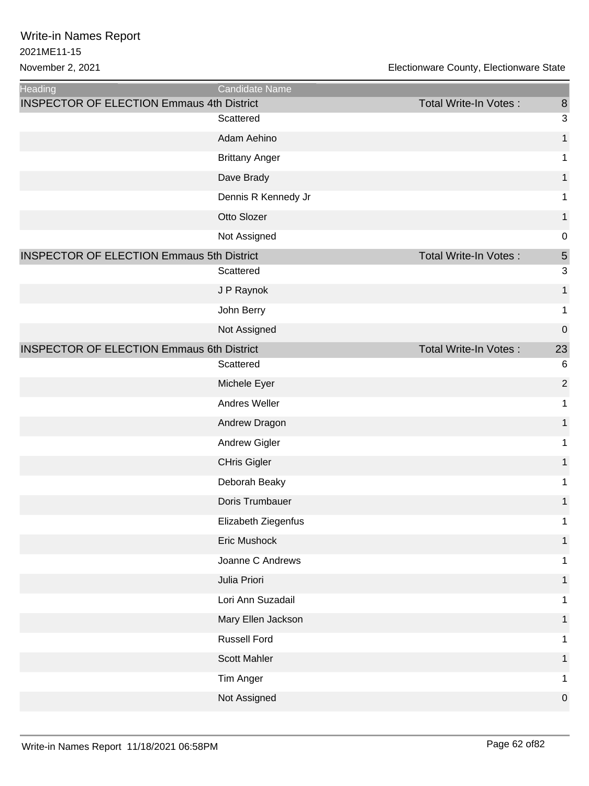| Heading                                          | Candidate Name        |                              |                  |
|--------------------------------------------------|-----------------------|------------------------------|------------------|
| <b>INSPECTOR OF ELECTION Emmaus 4th District</b> |                       | Total Write-In Votes:        | 8                |
|                                                  | Scattered             |                              | 3                |
|                                                  | Adam Aehino           |                              | $\mathbf{1}$     |
|                                                  | <b>Brittany Anger</b> |                              | 1                |
|                                                  | Dave Brady            |                              | 1                |
|                                                  | Dennis R Kennedy Jr   |                              | 1                |
|                                                  | Otto Slozer           |                              | 1                |
|                                                  | Not Assigned          |                              | $\mathbf 0$      |
| <b>INSPECTOR OF ELECTION Emmaus 5th District</b> |                       | Total Write-In Votes:        | 5                |
|                                                  | Scattered             |                              | 3                |
|                                                  | J P Raynok            |                              | $\mathbf{1}$     |
|                                                  | John Berry            |                              | 1                |
|                                                  | Not Assigned          |                              | $\boldsymbol{0}$ |
| <b>INSPECTOR OF ELECTION Emmaus 6th District</b> |                       | <b>Total Write-In Votes:</b> | 23               |
|                                                  | Scattered             |                              | $6\phantom{1}6$  |
|                                                  | Michele Eyer          |                              | $\overline{2}$   |
|                                                  | Andres Weller         |                              | 1                |
|                                                  | Andrew Dragon         |                              | 1                |
|                                                  | <b>Andrew Gigler</b>  |                              | 1                |
|                                                  | <b>CHris Gigler</b>   |                              | 1                |
|                                                  | Deborah Beaky         |                              | 1                |
|                                                  | Doris Trumbauer       |                              | 1                |
|                                                  | Elizabeth Ziegenfus   |                              | 1                |
|                                                  | Eric Mushock          |                              | 1                |
|                                                  | Joanne C Andrews      |                              | 1                |
|                                                  | Julia Priori          |                              | 1                |
|                                                  | Lori Ann Suzadail     |                              | 1                |
|                                                  | Mary Ellen Jackson    |                              | 1                |
|                                                  | <b>Russell Ford</b>   |                              | 1                |
|                                                  | <b>Scott Mahler</b>   |                              |                  |
|                                                  | Tim Anger             |                              | 1                |
|                                                  | Not Assigned          |                              | $\mathbf 0$      |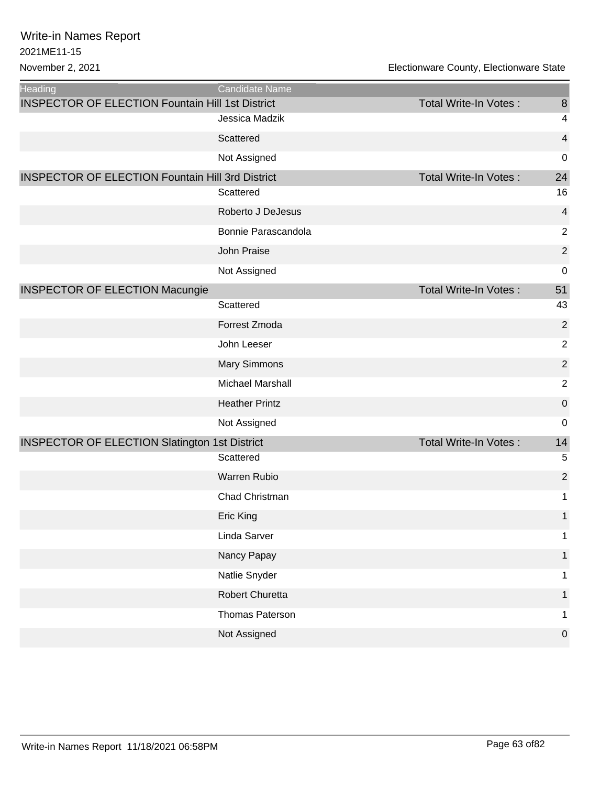| Heading                                                 | Candidate Name          |                              |                          |
|---------------------------------------------------------|-------------------------|------------------------------|--------------------------|
| <b>INSPECTOR OF ELECTION Fountain Hill 1st District</b> |                         | <b>Total Write-In Votes:</b> | $\boldsymbol{8}$         |
|                                                         | Jessica Madzik          |                              | $\overline{\mathcal{A}}$ |
|                                                         | Scattered               |                              | 4                        |
|                                                         | Not Assigned            |                              | 0                        |
| <b>INSPECTOR OF ELECTION Fountain Hill 3rd District</b> |                         | Total Write-In Votes:        | 24                       |
|                                                         | Scattered               |                              | 16                       |
|                                                         | Roberto J DeJesus       |                              | 4                        |
|                                                         | Bonnie Parascandola     |                              | $\boldsymbol{2}$         |
|                                                         | John Praise             |                              | $\overline{2}$           |
|                                                         | Not Assigned            |                              | 0                        |
| <b>INSPECTOR OF ELECTION Macungie</b>                   |                         | <b>Total Write-In Votes:</b> | 51                       |
|                                                         | Scattered               |                              | 43                       |
|                                                         | Forrest Zmoda           |                              | $\overline{2}$           |
|                                                         | John Leeser             |                              | $\overline{2}$           |
|                                                         | <b>Mary Simmons</b>     |                              | $\overline{2}$           |
|                                                         | <b>Michael Marshall</b> |                              | $\boldsymbol{2}$         |
|                                                         | <b>Heather Printz</b>   |                              | 0                        |
|                                                         | Not Assigned            |                              | 0                        |
| <b>INSPECTOR OF ELECTION Slatington 1st District</b>    |                         | <b>Total Write-In Votes:</b> | 14                       |
|                                                         | Scattered               |                              | 5                        |
|                                                         | Warren Rubio            |                              | $\overline{2}$           |
|                                                         | Chad Christman          |                              | 1                        |
|                                                         | Eric King               |                              | $\mathbf{1}$             |
|                                                         | Linda Sarver            |                              | 1                        |
|                                                         | Nancy Papay             |                              | 1                        |
|                                                         | Natlie Snyder           |                              | 1                        |
|                                                         | Robert Churetta         |                              | 1                        |
|                                                         | Thomas Paterson         |                              | 1                        |
|                                                         | Not Assigned            |                              | $\pmb{0}$                |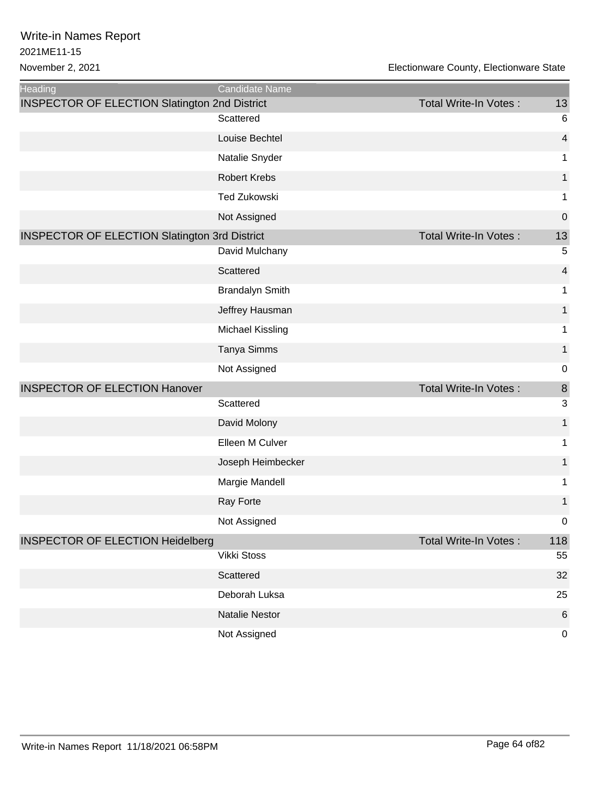| Heading                                              | Candidate Name         |                       |                         |
|------------------------------------------------------|------------------------|-----------------------|-------------------------|
| <b>INSPECTOR OF ELECTION Slatington 2nd District</b> |                        | Total Write-In Votes: | 13                      |
|                                                      | Scattered              |                       | $6\phantom{1}6$         |
|                                                      | Louise Bechtel         |                       | $\overline{\mathbf{4}}$ |
|                                                      | Natalie Snyder         |                       | 1                       |
|                                                      | <b>Robert Krebs</b>    |                       | 1                       |
|                                                      | <b>Ted Zukowski</b>    |                       | 1                       |
|                                                      | Not Assigned           |                       | $\mathbf 0$             |
| <b>INSPECTOR OF ELECTION Slatington 3rd District</b> |                        | Total Write-In Votes: | 13                      |
|                                                      | David Mulchany         |                       | 5                       |
|                                                      | Scattered              |                       | $\overline{\mathbf{4}}$ |
|                                                      | <b>Brandalyn Smith</b> |                       | 1                       |
|                                                      | Jeffrey Hausman        |                       | 1                       |
|                                                      | Michael Kissling       |                       | 1                       |
|                                                      | Tanya Simms            |                       | 1                       |
|                                                      | Not Assigned           |                       | $\mathbf 0$             |
| <b>INSPECTOR OF ELECTION Hanover</b>                 |                        | Total Write-In Votes: | $\bf 8$                 |
|                                                      | Scattered              |                       | 3                       |
|                                                      | David Molony           |                       | 1                       |
|                                                      | Elleen M Culver        |                       | 1                       |
|                                                      | Joseph Heimbecker      |                       | 1                       |
|                                                      | Margie Mandell         |                       | 1                       |
|                                                      | Ray Forte              |                       | 1                       |
|                                                      | Not Assigned           |                       | $\boldsymbol{0}$        |
| <b>INSPECTOR OF ELECTION Heidelberg</b>              |                        | Total Write-In Votes: | 118                     |
|                                                      | Vikki Stoss            |                       | 55                      |
|                                                      | Scattered              |                       | 32                      |
|                                                      | Deborah Luksa          |                       | 25                      |
|                                                      | <b>Natalie Nestor</b>  |                       | $6\phantom{1}6$         |
|                                                      | Not Assigned           |                       | $\mathbf 0$             |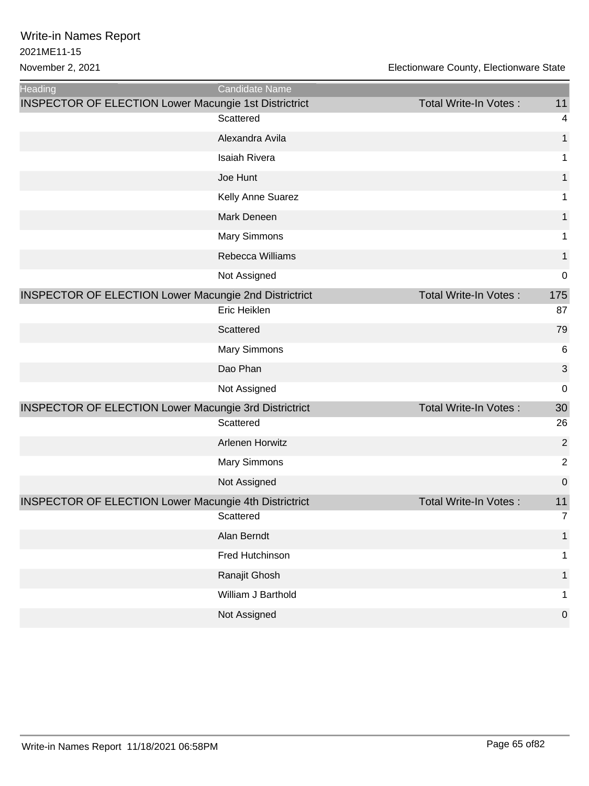| <b>Heading</b>                                               | Candidate Name         |                              |                  |
|--------------------------------------------------------------|------------------------|------------------------------|------------------|
| <b>INSPECTOR OF ELECTION Lower Macungie 1st Districtrict</b> |                        | Total Write-In Votes:        | 11               |
|                                                              | Scattered              |                              | $\overline{4}$   |
|                                                              | Alexandra Avila        |                              | 1                |
|                                                              | Isaiah Rivera          |                              | 1                |
|                                                              | Joe Hunt               |                              | 1                |
|                                                              | Kelly Anne Suarez      |                              | 1                |
|                                                              | Mark Deneen            |                              | 1                |
|                                                              | Mary Simmons           |                              | 1                |
|                                                              | Rebecca Williams       |                              | $\mathbf{1}$     |
|                                                              | Not Assigned           |                              | $\mathbf 0$      |
| <b>INSPECTOR OF ELECTION Lower Macungie 2nd Districtrict</b> |                        | <b>Total Write-In Votes:</b> | 175              |
|                                                              | Eric Heiklen           |                              | 87               |
|                                                              | Scattered              |                              | 79               |
|                                                              | <b>Mary Simmons</b>    |                              | 6                |
|                                                              | Dao Phan               |                              | 3                |
|                                                              | Not Assigned           |                              | $\mathbf 0$      |
| <b>INSPECTOR OF ELECTION Lower Macungie 3rd Districtrict</b> |                        | Total Write-In Votes:        | 30               |
|                                                              | Scattered              |                              | 26               |
|                                                              | <b>Arlenen Horwitz</b> |                              | $\overline{2}$   |
|                                                              | <b>Mary Simmons</b>    |                              | $\overline{2}$   |
|                                                              | Not Assigned           |                              | $\boldsymbol{0}$ |
| <b>INSPECTOR OF ELECTION Lower Macungie 4th Districtrict</b> |                        | Total Write-In Votes:        | 11               |
|                                                              | Scattered              |                              | $\overline{7}$   |
|                                                              | Alan Berndt            |                              | 1                |
|                                                              | Fred Hutchinson        |                              | 1                |
|                                                              | Ranajit Ghosh          |                              |                  |
|                                                              | William J Barthold     |                              | 1                |
|                                                              | Not Assigned           |                              | $\mathbf 0$      |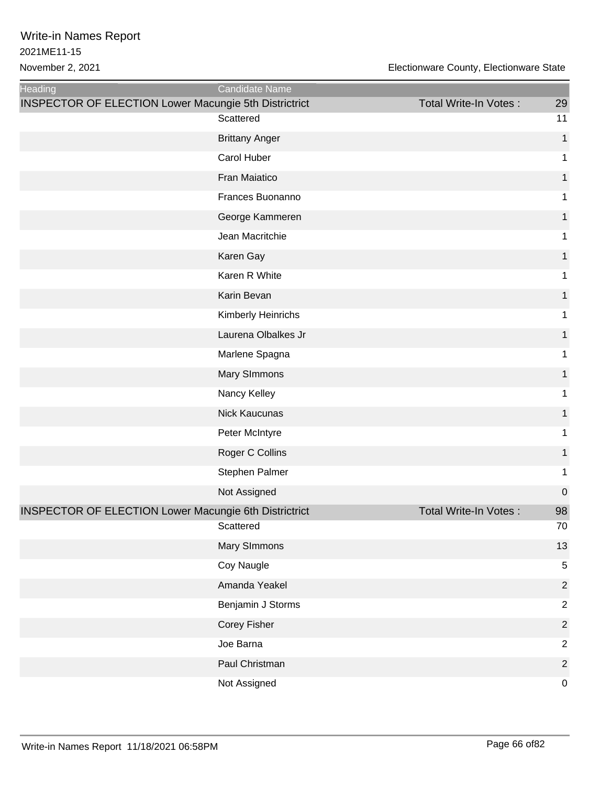| <b>Heading</b>                                               | Candidate Name        |                       |                |
|--------------------------------------------------------------|-----------------------|-----------------------|----------------|
| <b>INSPECTOR OF ELECTION Lower Macungie 5th Districtrict</b> | Scattered             | Total Write-In Votes: | 29<br>11       |
|                                                              | <b>Brittany Anger</b> |                       | $\mathbf 1$    |
|                                                              | Carol Huber           |                       | 1              |
|                                                              | Fran Maiatico         |                       | 1              |
|                                                              | Frances Buonanno      |                       | 1              |
|                                                              | George Kammeren       |                       | 1              |
|                                                              | Jean Macritchie       |                       | 1              |
|                                                              | Karen Gay             |                       | 1              |
|                                                              | Karen R White         |                       | 1              |
|                                                              | Karin Bevan           |                       | 1              |
|                                                              | Kimberly Heinrichs    |                       | 1              |
|                                                              | Laurena Olbalkes Jr   |                       |                |
|                                                              |                       |                       | 1              |
|                                                              | Marlene Spagna        |                       | 1              |
|                                                              | Mary SImmons          |                       | 1              |
|                                                              | Nancy Kelley          |                       | 1              |
|                                                              | <b>Nick Kaucunas</b>  |                       | 1              |
|                                                              | Peter McIntyre        |                       | 1              |
|                                                              | Roger C Collins       |                       | 1              |
|                                                              | Stephen Palmer        |                       | 1              |
|                                                              | Not Assigned          |                       | 0              |
| <b>INSPECTOR OF ELECTION Lower Macungie 6th Districtrict</b> |                       | Total Write-In Votes: | 98             |
|                                                              | Scattered             |                       | 70             |
|                                                              | Mary SImmons          |                       | 13             |
|                                                              | Coy Naugle            |                       | 5              |
|                                                              | Amanda Yeakel         |                       | 2              |
|                                                              | Benjamin J Storms     |                       | 2              |
|                                                              | Corey Fisher          |                       | $\overline{2}$ |
|                                                              | Joe Barna             |                       | $\overline{2}$ |
|                                                              | Paul Christman        |                       | $\overline{c}$ |
|                                                              | Not Assigned          |                       | 0              |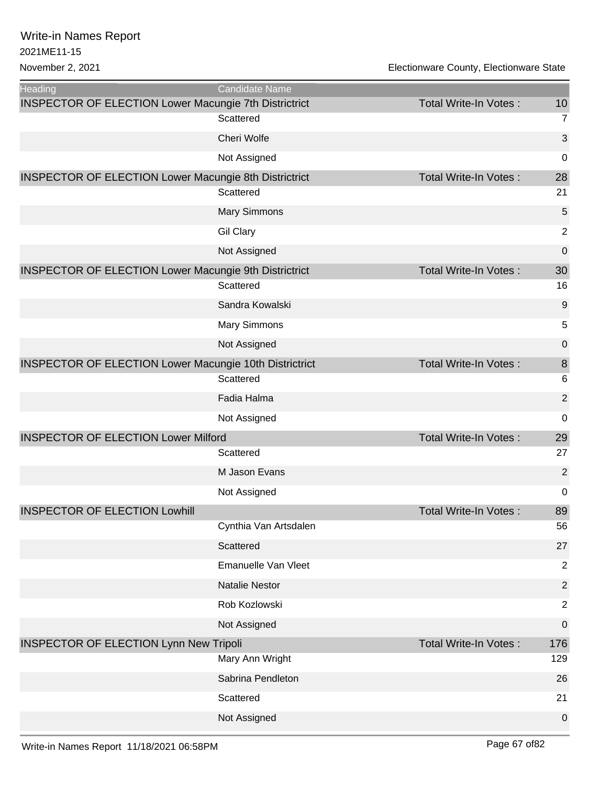| Heading                                                       | Candidate Name        |                              |                  |
|---------------------------------------------------------------|-----------------------|------------------------------|------------------|
| <b>INSPECTOR OF ELECTION Lower Macungie 7th Districtrict</b>  |                       | <b>Total Write-In Votes:</b> | 10               |
|                                                               | Scattered             |                              | $\overline{7}$   |
|                                                               | Cheri Wolfe           |                              | 3                |
|                                                               | Not Assigned          |                              | 0                |
| <b>INSPECTOR OF ELECTION Lower Macungie 8th Districtrict</b>  |                       | <b>Total Write-In Votes:</b> | 28               |
|                                                               | Scattered             |                              | 21               |
|                                                               | <b>Mary Simmons</b>   |                              | 5                |
|                                                               | <b>Gil Clary</b>      |                              | $\overline{2}$   |
|                                                               | Not Assigned          |                              | $\mathbf 0$      |
| <b>INSPECTOR OF ELECTION Lower Macungie 9th Districtrict</b>  |                       | <b>Total Write-In Votes:</b> | 30               |
|                                                               | Scattered             |                              | 16               |
|                                                               | Sandra Kowalski       |                              | 9                |
|                                                               | <b>Mary Simmons</b>   |                              | 5                |
|                                                               | Not Assigned          |                              | $\boldsymbol{0}$ |
| <b>INSPECTOR OF ELECTION Lower Macungie 10th Districtrict</b> |                       | <b>Total Write-In Votes:</b> | 8                |
|                                                               | Scattered             |                              | 6                |
|                                                               | Fadia Halma           |                              | $\overline{2}$   |
|                                                               | Not Assigned          |                              | 0                |
| <b>INSPECTOR OF ELECTION Lower Milford</b>                    |                       | <b>Total Write-In Votes:</b> | 29               |
|                                                               | Scattered             |                              | 27               |
|                                                               | M Jason Evans         |                              | $\overline{2}$   |
|                                                               | Not Assigned          |                              | 0                |
| <b>INSPECTOR OF ELECTION Lowhill</b>                          |                       | Total Write-In Votes:        | 89               |
|                                                               | Cynthia Van Artsdalen |                              | 56               |
|                                                               | Scattered             |                              | 27               |
|                                                               | Emanuelle Van Vleet   |                              | $\overline{2}$   |
|                                                               | <b>Natalie Nestor</b> |                              | $\overline{2}$   |
|                                                               | Rob Kozlowski         |                              | $\overline{2}$   |
|                                                               | Not Assigned          |                              | 0                |
| <b>INSPECTOR OF ELECTION Lynn New Tripoli</b>                 |                       | <b>Total Write-In Votes:</b> | 176              |
|                                                               | Mary Ann Wright       |                              | 129              |
|                                                               | Sabrina Pendleton     |                              | 26               |
|                                                               | Scattered             |                              | 21               |
|                                                               | Not Assigned          |                              | $\boldsymbol{0}$ |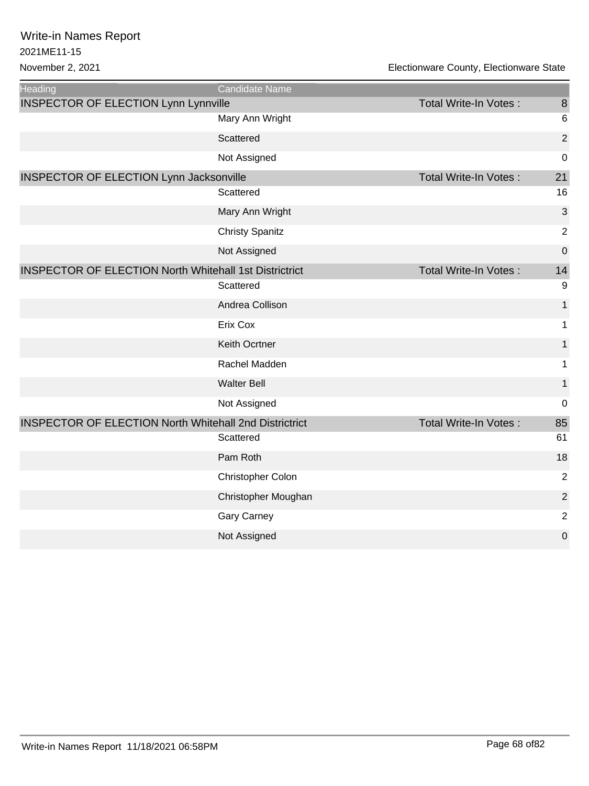| <b>Heading</b>                                                | Candidate Name         |                              |                 |
|---------------------------------------------------------------|------------------------|------------------------------|-----------------|
| <b>INSPECTOR OF ELECTION Lynn Lynnville</b>                   |                        | <b>Total Write-In Votes:</b> | 8               |
|                                                               | Mary Ann Wright        |                              | $6\phantom{1}6$ |
|                                                               | Scattered              |                              | $\overline{2}$  |
|                                                               | Not Assigned           |                              | 0               |
| <b>INSPECTOR OF ELECTION Lynn Jacksonville</b>                |                        | <b>Total Write-In Votes:</b> | 21              |
|                                                               | Scattered              |                              | 16              |
|                                                               | Mary Ann Wright        |                              | 3               |
|                                                               | <b>Christy Spanitz</b> |                              | $\overline{2}$  |
|                                                               | Not Assigned           |                              | 0               |
| <b>INSPECTOR OF ELECTION North Whitehall 1st Districtrict</b> |                        | Total Write-In Votes:        | 14              |
|                                                               | Scattered              |                              | 9               |
|                                                               | Andrea Collison        |                              | $\mathbf{1}$    |
|                                                               | Erix Cox               |                              | 1               |
|                                                               | Keith Ocrtner          |                              | 1               |
|                                                               | Rachel Madden          |                              | $\mathbf 1$     |
|                                                               | <b>Walter Bell</b>     |                              | $\mathbf{1}$    |
|                                                               | Not Assigned           |                              | 0               |
| <b>INSPECTOR OF ELECTION North Whitehall 2nd Districtrict</b> |                        | <b>Total Write-In Votes:</b> | 85              |
|                                                               | Scattered              |                              | 61              |
|                                                               | Pam Roth               |                              | 18              |
|                                                               | Christopher Colon      |                              | $\overline{2}$  |
|                                                               | Christopher Moughan    |                              | $\overline{2}$  |
|                                                               | <b>Gary Carney</b>     |                              | 2               |
|                                                               | Not Assigned           |                              | 0               |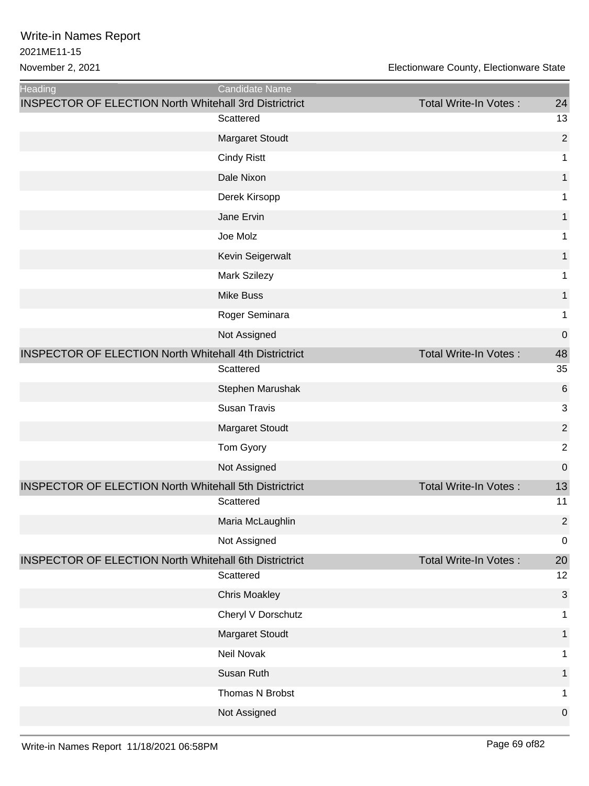| Heading                                                       | Candidate Name         |                              |                |
|---------------------------------------------------------------|------------------------|------------------------------|----------------|
| <b>INSPECTOR OF ELECTION North Whitehall 3rd Districtrict</b> | Scattered              | Total Write-In Votes:        | 24<br>13       |
|                                                               | <b>Margaret Stoudt</b> |                              | $\overline{2}$ |
|                                                               | <b>Cindy Ristt</b>     |                              | 1              |
|                                                               | Dale Nixon             |                              | 1              |
|                                                               | Derek Kirsopp          |                              | 1              |
|                                                               | Jane Ervin             |                              |                |
|                                                               |                        |                              | 1              |
|                                                               | Joe Molz               |                              | 1              |
|                                                               | Kevin Seigerwalt       |                              | 1              |
|                                                               | Mark Szilezy           |                              | 1              |
|                                                               | <b>Mike Buss</b>       |                              | 1              |
|                                                               | Roger Seminara         |                              | 1              |
|                                                               | Not Assigned           |                              | $\mathbf 0$    |
| <b>INSPECTOR OF ELECTION North Whitehall 4th Districtrict</b> |                        | Total Write-In Votes:        | 48             |
|                                                               | Scattered              |                              | 35             |
|                                                               | Stephen Marushak       |                              | 6              |
|                                                               | <b>Susan Travis</b>    |                              | 3              |
|                                                               | Margaret Stoudt        |                              | $\overline{c}$ |
|                                                               | Tom Gyory              |                              | $\overline{2}$ |
|                                                               | Not Assigned           |                              | $\mathbf 0$    |
| <b>INSPECTOR OF ELECTION North Whitehall 5th Districtrict</b> |                        | Total Write-In Votes:        | 13             |
|                                                               | Scattered              |                              | 11             |
|                                                               | Maria McLaughlin       |                              | 2              |
|                                                               | Not Assigned           |                              | $\mathbf 0$    |
| <b>INSPECTOR OF ELECTION North Whitehall 6th Districtrict</b> |                        | <b>Total Write-In Votes:</b> | 20             |
|                                                               | Scattered              |                              | 12             |
|                                                               | <b>Chris Moakley</b>   |                              | 3              |
|                                                               | Cheryl V Dorschutz     |                              | 1              |
|                                                               | <b>Margaret Stoudt</b> |                              | 1              |
|                                                               | Neil Novak             |                              | 1              |
|                                                               | Susan Ruth             |                              | 1              |
|                                                               | Thomas N Brobst        |                              | 1              |
|                                                               | Not Assigned           |                              | $\mathbf 0$    |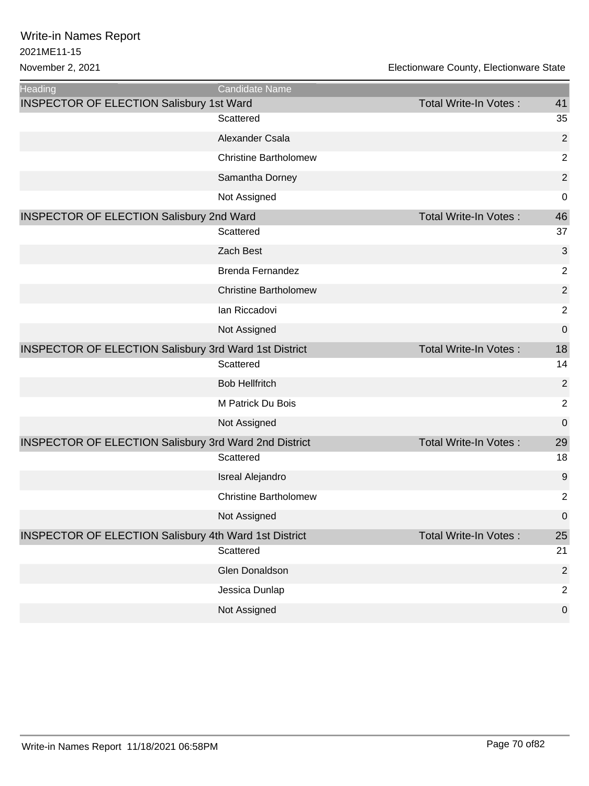| <b>Heading</b>                                               | <b>Candidate Name</b>        |                              |                |
|--------------------------------------------------------------|------------------------------|------------------------------|----------------|
| <b>INSPECTOR OF ELECTION Salisbury 1st Ward</b>              |                              | <b>Total Write-In Votes:</b> | 41             |
|                                                              | Scattered                    |                              | 35             |
|                                                              | Alexander Csala              |                              | $\overline{2}$ |
|                                                              | <b>Christine Bartholomew</b> |                              | $\overline{2}$ |
|                                                              | Samantha Dorney              |                              | $\overline{2}$ |
|                                                              | Not Assigned                 |                              | 0              |
| <b>INSPECTOR OF ELECTION Salisbury 2nd Ward</b>              |                              | <b>Total Write-In Votes:</b> | 46             |
|                                                              | Scattered                    |                              | 37             |
|                                                              | Zach Best                    |                              | 3              |
|                                                              | Brenda Fernandez             |                              | $\overline{2}$ |
|                                                              | <b>Christine Bartholomew</b> |                              | $\overline{2}$ |
|                                                              | Ian Riccadovi                |                              | $\overline{2}$ |
|                                                              | Not Assigned                 |                              | 0              |
| <b>INSPECTOR OF ELECTION Salisbury 3rd Ward 1st District</b> |                              | Total Write-In Votes:        | 18             |
|                                                              | Scattered                    |                              | 14             |
|                                                              | <b>Bob Hellfritch</b>        |                              | $\overline{2}$ |
|                                                              | M Patrick Du Bois            |                              | $\overline{2}$ |
|                                                              | Not Assigned                 |                              | 0              |
| <b>INSPECTOR OF ELECTION Salisbury 3rd Ward 2nd District</b> |                              | <b>Total Write-In Votes:</b> | 29             |
|                                                              | Scattered                    |                              | 18             |
|                                                              | <b>Isreal Alejandro</b>      |                              | 9              |
|                                                              | <b>Christine Bartholomew</b> |                              | $\overline{2}$ |
|                                                              | Not Assigned                 |                              | 0              |
| <b>INSPECTOR OF ELECTION Salisbury 4th Ward 1st District</b> |                              | <b>Total Write-In Votes:</b> | 25             |
|                                                              | Scattered                    |                              | 21             |
|                                                              | Glen Donaldson               |                              | $\sqrt{2}$     |
|                                                              | Jessica Dunlap               |                              | $\overline{2}$ |
|                                                              | Not Assigned                 |                              | $\pmb{0}$      |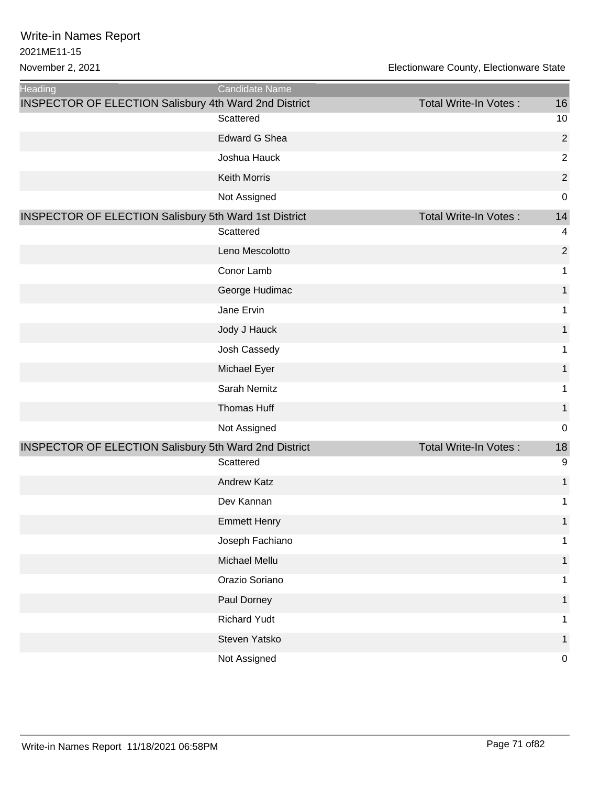| <b>Heading</b>                                               | <b>Candidate Name</b> |                              |                |
|--------------------------------------------------------------|-----------------------|------------------------------|----------------|
| INSPECTOR OF ELECTION Salisbury 4th Ward 2nd District        |                       | <b>Total Write-In Votes:</b> | 16             |
|                                                              | Scattered             |                              | 10             |
|                                                              | <b>Edward G Shea</b>  |                              | $\overline{c}$ |
|                                                              | Joshua Hauck          |                              | $\overline{c}$ |
|                                                              | <b>Keith Morris</b>   |                              | $\overline{c}$ |
|                                                              | Not Assigned          |                              | 0              |
| <b>INSPECTOR OF ELECTION Salisbury 5th Ward 1st District</b> |                       | <b>Total Write-In Votes:</b> | 14             |
|                                                              | Scattered             |                              | 4              |
|                                                              | Leno Mescolotto       |                              | $\overline{c}$ |
|                                                              | Conor Lamb            |                              | 1              |
|                                                              | George Hudimac        |                              | 1              |
|                                                              | Jane Ervin            |                              | 1              |
|                                                              | Jody J Hauck          |                              | 1              |
|                                                              | Josh Cassedy          |                              | 1              |
|                                                              | Michael Eyer          |                              | 1              |
|                                                              | Sarah Nemitz          |                              | 1              |
|                                                              | Thomas Huff           |                              | 1              |
|                                                              | Not Assigned          |                              | 0              |
| <b>INSPECTOR OF ELECTION Salisbury 5th Ward 2nd District</b> |                       | Total Write-In Votes:        | 18             |
|                                                              | Scattered             |                              | 9              |
|                                                              | <b>Andrew Katz</b>    |                              | 1              |
|                                                              | Dev Kannan            |                              | 1              |
|                                                              | <b>Emmett Henry</b>   |                              | $\overline{1}$ |
|                                                              | Joseph Fachiano       |                              | 1              |
|                                                              | Michael Mellu         |                              | 1              |
|                                                              | Orazio Soriano        |                              | 1              |
|                                                              | Paul Dorney           |                              |                |
|                                                              | <b>Richard Yudt</b>   |                              | 1              |
|                                                              | Steven Yatsko         |                              | 1              |
|                                                              | Not Assigned          |                              | 0              |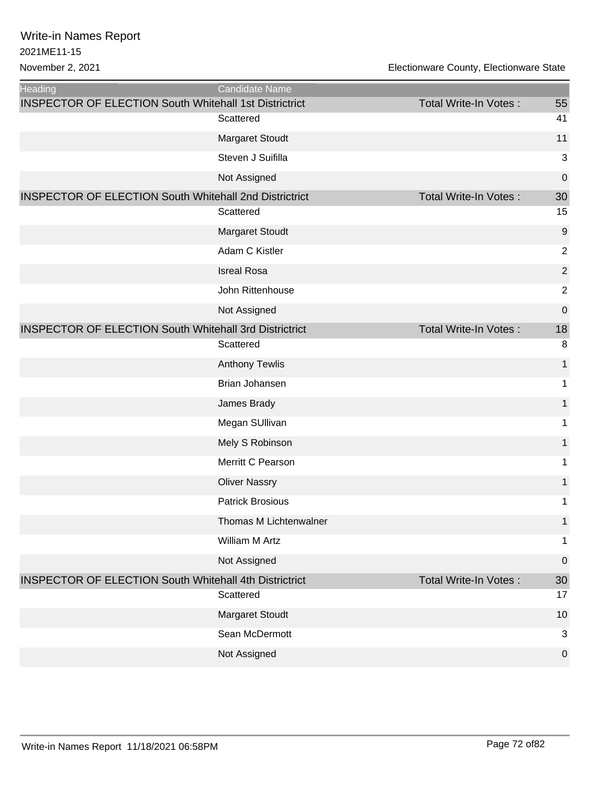| Heading                                                       | Candidate Name          |                              |                |
|---------------------------------------------------------------|-------------------------|------------------------------|----------------|
| <b>INSPECTOR OF ELECTION South Whitehall 1st Districtrict</b> |                         | Total Write-In Votes:        | 55             |
|                                                               | Scattered               |                              | 41             |
|                                                               | Margaret Stoudt         |                              | 11             |
|                                                               | Steven J Suifilla       |                              | 3              |
|                                                               | Not Assigned            |                              | 0              |
| <b>INSPECTOR OF ELECTION South Whitehall 2nd Districtrict</b> |                         | <b>Total Write-In Votes:</b> | 30             |
|                                                               | Scattered               |                              | 15             |
|                                                               | Margaret Stoudt         |                              | 9              |
|                                                               | Adam C Kistler          |                              | 2              |
|                                                               | <b>Isreal Rosa</b>      |                              | $\sqrt{2}$     |
|                                                               | John Rittenhouse        |                              | $\overline{2}$ |
|                                                               | Not Assigned            |                              | 0              |
| <b>INSPECTOR OF ELECTION South Whitehall 3rd Districtrict</b> |                         | Total Write-In Votes:        | 18             |
|                                                               | Scattered               |                              | 8              |
|                                                               | <b>Anthony Tewlis</b>   |                              | 1              |
|                                                               | Brian Johansen          |                              | 1              |
|                                                               | James Brady             |                              | 1              |
|                                                               | Megan SUllivan          |                              | 1              |
|                                                               | Mely S Robinson         |                              | 1              |
|                                                               | Merritt C Pearson       |                              | 1              |
|                                                               | <b>Oliver Nassry</b>    |                              | 1              |
|                                                               | <b>Patrick Brosious</b> |                              | 1              |
|                                                               | Thomas M Lichtenwalner  |                              | $\mathbf{1}$   |
|                                                               | William M Artz          |                              | 1              |
|                                                               | Not Assigned            |                              | 0              |
| <b>INSPECTOR OF ELECTION South Whitehall 4th Districtrict</b> |                         | <b>Total Write-In Votes:</b> | 30             |
|                                                               | Scattered               |                              | 17             |
|                                                               | <b>Margaret Stoudt</b>  |                              | 10             |
|                                                               | Sean McDermott          |                              | 3              |
|                                                               | Not Assigned            |                              | $\pmb{0}$      |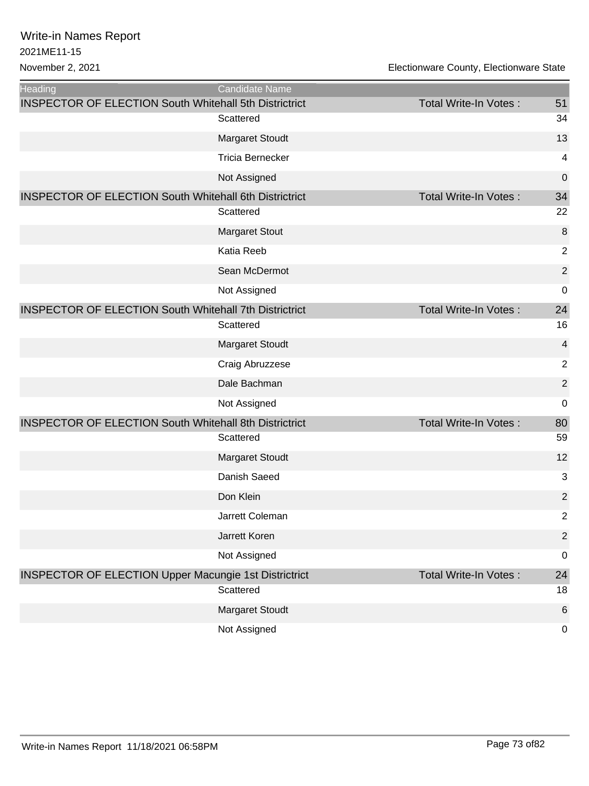| Heading                                                       | Candidate Name          |                              |                         |
|---------------------------------------------------------------|-------------------------|------------------------------|-------------------------|
| <b>INSPECTOR OF ELECTION South Whitehall 5th Districtrict</b> |                         | Total Write-In Votes:        | 51                      |
|                                                               | Scattered               |                              | 34                      |
|                                                               | <b>Margaret Stoudt</b>  |                              | 13                      |
|                                                               | <b>Tricia Bernecker</b> |                              | 4                       |
|                                                               | Not Assigned            |                              | $\mathbf 0$             |
| <b>INSPECTOR OF ELECTION South Whitehall 6th Districtrict</b> |                         | Total Write-In Votes:        | 34                      |
|                                                               | Scattered               |                              | 22                      |
|                                                               | <b>Margaret Stout</b>   |                              | 8                       |
|                                                               | Katia Reeb              |                              | $\overline{2}$          |
|                                                               | Sean McDermot           |                              | $\overline{2}$          |
|                                                               | Not Assigned            |                              | $\mathbf 0$             |
| <b>INSPECTOR OF ELECTION South Whitehall 7th Districtrict</b> |                         | <b>Total Write-In Votes:</b> | 24                      |
|                                                               | Scattered               |                              | 16                      |
|                                                               | <b>Margaret Stoudt</b>  |                              | $\overline{\mathbf{4}}$ |
|                                                               | Craig Abruzzese         |                              | $\overline{2}$          |
|                                                               | Dale Bachman            |                              | $\overline{2}$          |
|                                                               | Not Assigned            |                              | $\mathbf 0$             |
| <b>INSPECTOR OF ELECTION South Whitehall 8th Districtrict</b> |                         | Total Write-In Votes:        | 80                      |
|                                                               | Scattered               |                              | 59                      |
|                                                               | <b>Margaret Stoudt</b>  |                              | 12                      |
|                                                               | Danish Saeed            |                              | 3                       |
|                                                               | Don Klein               |                              | $\overline{2}$          |
|                                                               | Jarrett Coleman         |                              | $\overline{2}$          |
|                                                               | Jarrett Koren           |                              | $\overline{2}$          |
|                                                               | Not Assigned            |                              | $\boldsymbol{0}$        |
| <b>INSPECTOR OF ELECTION Upper Macungie 1st Districtrict</b>  |                         | Total Write-In Votes:        | 24                      |
|                                                               | Scattered               |                              | 18                      |
|                                                               | <b>Margaret Stoudt</b>  |                              | 6                       |
|                                                               | Not Assigned            |                              | $\mathbf 0$             |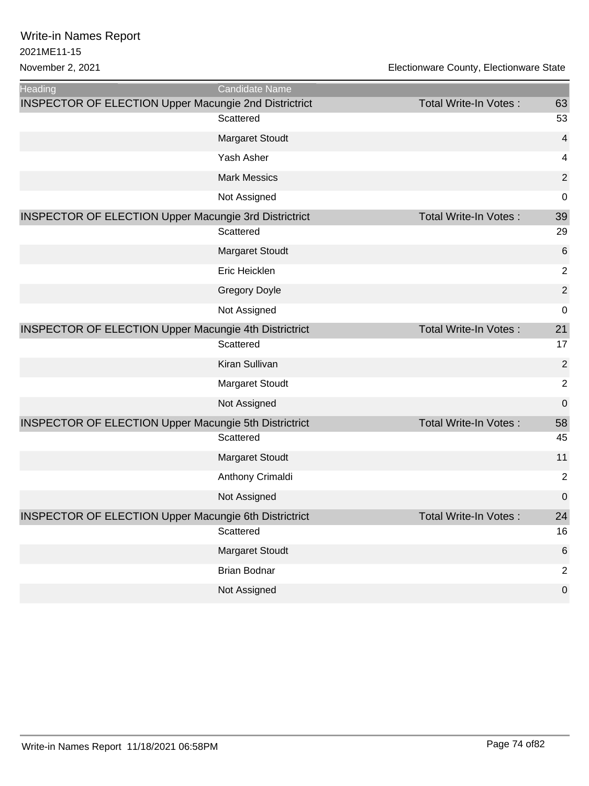| <b>Heading</b>                                               | Candidate Name         |                              |                         |
|--------------------------------------------------------------|------------------------|------------------------------|-------------------------|
| <b>INSPECTOR OF ELECTION Upper Macungie 2nd Districtrict</b> |                        | Total Write-In Votes:        | 63                      |
|                                                              | Scattered              |                              | 53                      |
|                                                              | Margaret Stoudt        |                              | $\overline{\mathbf{4}}$ |
|                                                              | Yash Asher             |                              | $\overline{\mathbf{4}}$ |
|                                                              | <b>Mark Messics</b>    |                              | $\overline{2}$          |
|                                                              | Not Assigned           |                              | $\boldsymbol{0}$        |
| <b>INSPECTOR OF ELECTION Upper Macungie 3rd Districtrict</b> |                        | <b>Total Write-In Votes:</b> | 39                      |
|                                                              | Scattered              |                              | 29                      |
|                                                              | <b>Margaret Stoudt</b> |                              | 6                       |
|                                                              | Eric Heicklen          |                              | $\overline{2}$          |
|                                                              | <b>Gregory Doyle</b>   |                              | $\overline{2}$          |
|                                                              | Not Assigned           |                              | $\mathbf 0$             |
| <b>INSPECTOR OF ELECTION Upper Macungie 4th Districtrict</b> |                        | Total Write-In Votes:        | 21                      |
|                                                              | Scattered              |                              | 17                      |
|                                                              | Kiran Sullivan         |                              | $\overline{2}$          |
|                                                              | Margaret Stoudt        |                              | $\overline{2}$          |
|                                                              | Not Assigned           |                              | $\mathbf 0$             |
| <b>INSPECTOR OF ELECTION Upper Macungie 5th Districtrict</b> |                        | Total Write-In Votes:        | 58                      |
|                                                              | Scattered              |                              | 45                      |
|                                                              | <b>Margaret Stoudt</b> |                              | 11                      |
|                                                              | Anthony Crimaldi       |                              | $\overline{2}$          |
|                                                              | Not Assigned           |                              | $\mathbf 0$             |
| <b>INSPECTOR OF ELECTION Upper Macungie 6th Districtrict</b> |                        | Total Write-In Votes:        | 24                      |
|                                                              | Scattered              |                              | 16                      |
|                                                              | <b>Margaret Stoudt</b> |                              | $6\phantom{1}6$         |
|                                                              | <b>Brian Bodnar</b>    |                              | $\overline{2}$          |
|                                                              | Not Assigned           |                              | $\mathbf 0$             |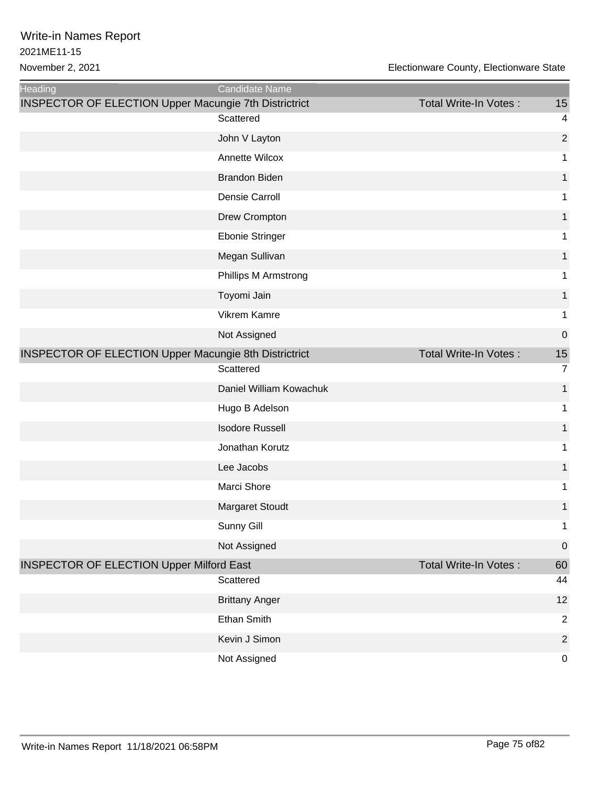| <b>Heading</b>                                               | Candidate Name          |                              |                         |
|--------------------------------------------------------------|-------------------------|------------------------------|-------------------------|
| <b>INSPECTOR OF ELECTION Upper Macungie 7th Districtrict</b> |                         | <b>Total Write-In Votes:</b> | 15                      |
|                                                              | Scattered               |                              | $\overline{\mathbf{4}}$ |
|                                                              | John V Layton           |                              | $\overline{2}$          |
|                                                              | Annette Wilcox          |                              | 1                       |
|                                                              | <b>Brandon Biden</b>    |                              | 1                       |
|                                                              | Densie Carroll          |                              | 1                       |
|                                                              | Drew Crompton           |                              | 1                       |
|                                                              | Ebonie Stringer         |                              | 1                       |
|                                                              | Megan Sullivan          |                              | 1                       |
|                                                              | Phillips M Armstrong    |                              | 1                       |
|                                                              | Toyomi Jain             |                              | 1                       |
|                                                              | Vikrem Kamre            |                              | 1                       |
|                                                              | Not Assigned            |                              | $\boldsymbol{0}$        |
| <b>INSPECTOR OF ELECTION Upper Macungie 8th Districtrict</b> |                         | <b>Total Write-In Votes:</b> | 15                      |
|                                                              | Scattered               |                              | $\overline{7}$          |
|                                                              | Daniel William Kowachuk |                              | $\mathbf{1}$            |
|                                                              | Hugo B Adelson          |                              | 1                       |
|                                                              | <b>Isodore Russell</b>  |                              | 1                       |
|                                                              | Jonathan Korutz         |                              | 1                       |
|                                                              | Lee Jacobs              |                              | 1                       |
|                                                              | Marci Shore             |                              | 1                       |
|                                                              | <b>Margaret Stoudt</b>  |                              | 1                       |
|                                                              | Sunny Gill              |                              | $\mathbf{1}$            |
|                                                              | Not Assigned            |                              | $\pmb{0}$               |
| <b>INSPECTOR OF ELECTION Upper Milford East</b>              |                         | Total Write-In Votes:        | 60                      |
|                                                              | Scattered               |                              | 44                      |
|                                                              | <b>Brittany Anger</b>   |                              | 12                      |
|                                                              | Ethan Smith             |                              | $\overline{2}$          |
|                                                              | Kevin J Simon           |                              | $\overline{2}$          |
|                                                              | Not Assigned            |                              | $\mathbf 0$             |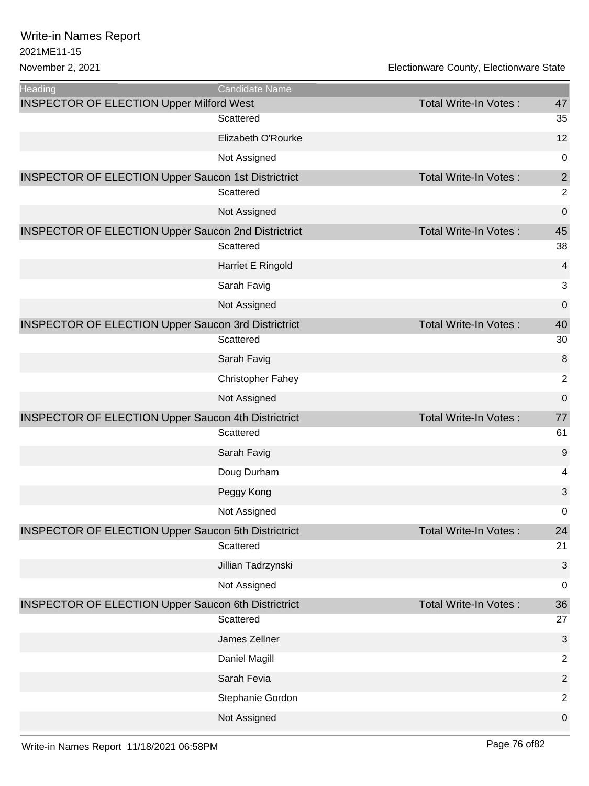| <b>Heading</b>                                             | Candidate Name           |                              |                         |
|------------------------------------------------------------|--------------------------|------------------------------|-------------------------|
| <b>INSPECTOR OF ELECTION Upper Milford West</b>            | Scattered                | Total Write-In Votes:        | 47<br>35                |
|                                                            | Elizabeth O'Rourke       |                              | 12                      |
|                                                            | Not Assigned             |                              | $\pmb{0}$               |
|                                                            |                          | <b>Total Write-In Votes:</b> | $\overline{2}$          |
| <b>INSPECTOR OF ELECTION Upper Saucon 1st Districtrict</b> | Scattered                |                              | $\overline{2}$          |
|                                                            | Not Assigned             |                              | $\mathbf 0$             |
| <b>INSPECTOR OF ELECTION Upper Saucon 2nd Districtrict</b> |                          | <b>Total Write-In Votes:</b> | 45                      |
|                                                            | Scattered                |                              | 38                      |
|                                                            | Harriet E Ringold        |                              | $\overline{\mathbf{4}}$ |
|                                                            | Sarah Favig              |                              | 3                       |
|                                                            | Not Assigned             |                              | $\mathbf 0$             |
| <b>INSPECTOR OF ELECTION Upper Saucon 3rd Districtrict</b> |                          | <b>Total Write-In Votes:</b> | 40                      |
|                                                            | Scattered                |                              | 30                      |
|                                                            | Sarah Favig              |                              | 8                       |
|                                                            | <b>Christopher Fahey</b> |                              | $\mathbf 2$             |
|                                                            | Not Assigned             |                              | $\mathbf 0$             |
| <b>INSPECTOR OF ELECTION Upper Saucon 4th Districtrict</b> |                          | <b>Total Write-In Votes:</b> | 77                      |
|                                                            | Scattered                |                              | 61                      |
|                                                            | Sarah Favig              |                              | 9                       |
|                                                            | Doug Durham              |                              | 4                       |
|                                                            | Peggy Kong               |                              | 3                       |
|                                                            | Not Assigned             |                              | $\pmb{0}$               |
| <b>INSPECTOR OF ELECTION Upper Saucon 5th Districtrict</b> |                          | <b>Total Write-In Votes:</b> | 24                      |
|                                                            | Scattered                |                              | 21                      |
|                                                            | Jillian Tadrzynski       |                              | 3                       |
|                                                            | Not Assigned             |                              | 0                       |
| <b>INSPECTOR OF ELECTION Upper Saucon 6th Districtrict</b> |                          | <b>Total Write-In Votes:</b> | 36                      |
|                                                            | Scattered                |                              | 27                      |
|                                                            | James Zellner            |                              | 3                       |
|                                                            | Daniel Magill            |                              | $\mathbf 2$             |
|                                                            | Sarah Fevia              |                              | $\overline{2}$          |
|                                                            | Stephanie Gordon         |                              | $\overline{c}$          |
|                                                            | Not Assigned             |                              | $\boldsymbol{0}$        |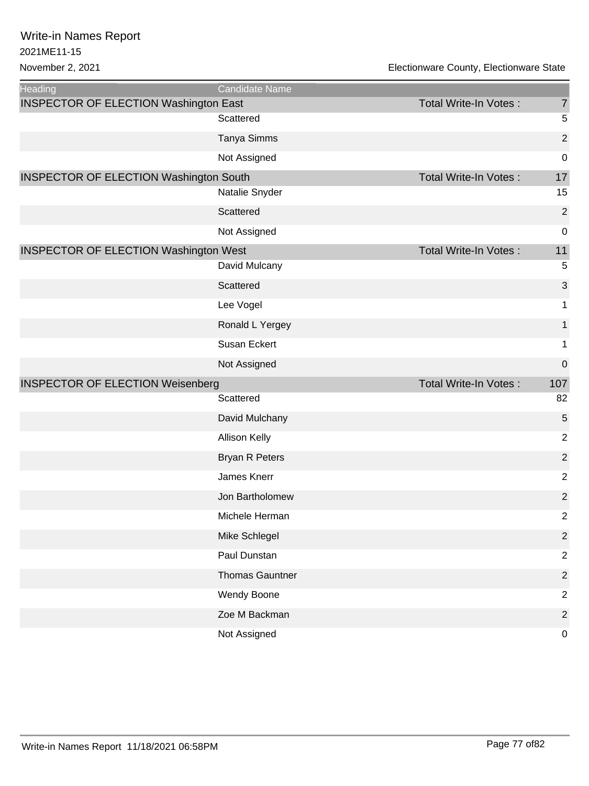November 2, 2021 Electionware County, Electionware State

| <b>Heading</b>                                | <b>Candidate Name</b>  |                              |                  |
|-----------------------------------------------|------------------------|------------------------------|------------------|
| <b>INSPECTOR OF ELECTION Washington East</b>  |                        | Total Write-In Votes:        | $\overline{7}$   |
|                                               | Scattered              |                              | $\sqrt{5}$       |
|                                               | Tanya Simms            |                              | $\overline{2}$   |
|                                               | Not Assigned           |                              | $\mathbf 0$      |
| <b>INSPECTOR OF ELECTION Washington South</b> |                        | <b>Total Write-In Votes:</b> | 17               |
|                                               | Natalie Snyder         |                              | 15               |
|                                               | Scattered              |                              | $\overline{2}$   |
|                                               | Not Assigned           |                              | $\pmb{0}$        |
| <b>INSPECTOR OF ELECTION Washington West</b>  |                        | <b>Total Write-In Votes:</b> | 11               |
|                                               | David Mulcany          |                              | $\sqrt{5}$       |
|                                               | Scattered              |                              | 3                |
|                                               | Lee Vogel              |                              | 1                |
|                                               | Ronald L Yergey        |                              | $\mathbf{1}$     |
|                                               | <b>Susan Eckert</b>    |                              | $\mathbf 1$      |
|                                               | Not Assigned           |                              | $\boldsymbol{0}$ |
| <b>INSPECTOR OF ELECTION Weisenberg</b>       |                        | Total Write-In Votes:        | 107              |
|                                               | Scattered              |                              | 82               |
|                                               | David Mulchany         |                              | 5                |
|                                               | Allison Kelly          |                              | $\overline{2}$   |
|                                               | <b>Bryan R Peters</b>  |                              | $\overline{2}$   |
|                                               | James Knerr            |                              | $\overline{2}$   |
|                                               | Jon Bartholomew        |                              | $\mathbf 2$      |
|                                               | Michele Herman         |                              | 2                |
|                                               | Mike Schlegel          |                              | $\sqrt{2}$       |
|                                               | Paul Dunstan           |                              | $\sqrt{2}$       |
|                                               | <b>Thomas Gauntner</b> |                              | $\sqrt{2}$       |
|                                               | Wendy Boone            |                              | $\overline{2}$   |
|                                               | Zoe M Backman          |                              | $\overline{c}$   |
|                                               | Not Assigned           |                              | $\pmb{0}$        |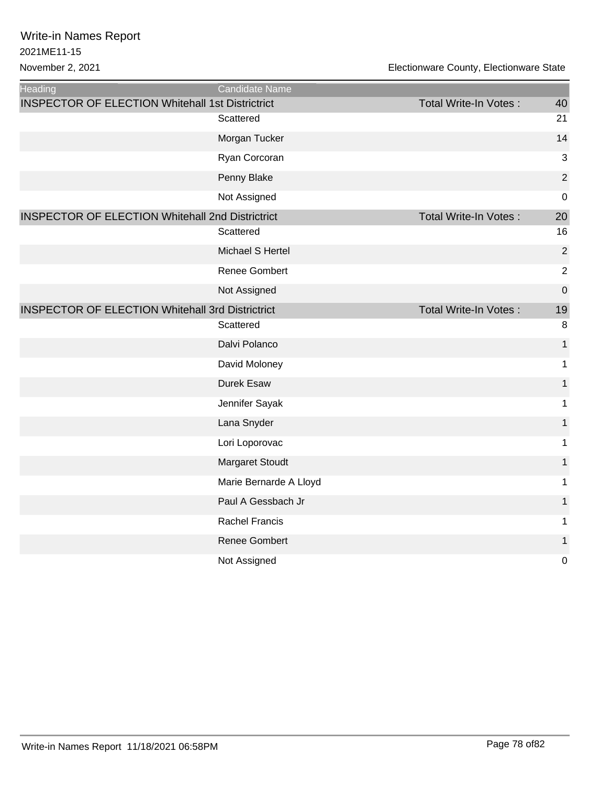November 2, 2021 Electionware County, Electionware State

| Heading                                                 | Candidate Name         |                       |                |
|---------------------------------------------------------|------------------------|-----------------------|----------------|
| <b>INSPECTOR OF ELECTION Whitehall 1st Districtrict</b> |                        | Total Write-In Votes: | 40             |
|                                                         | Scattered              |                       | 21             |
|                                                         | Morgan Tucker          |                       | 14             |
|                                                         | Ryan Corcoran          |                       | 3              |
|                                                         | Penny Blake            |                       | $\overline{2}$ |
|                                                         | Not Assigned           |                       | $\mathbf 0$    |
| <b>INSPECTOR OF ELECTION Whitehall 2nd Districtrict</b> |                        | Total Write-In Votes: | 20             |
|                                                         | Scattered              |                       | 16             |
|                                                         | Michael S Hertel       |                       | $\overline{c}$ |
|                                                         | Renee Gombert          |                       | $\overline{2}$ |
|                                                         | Not Assigned           |                       | $\mathbf 0$    |
| <b>INSPECTOR OF ELECTION Whitehall 3rd Districtrict</b> |                        | Total Write-In Votes: | 19             |
|                                                         | Scattered              |                       | 8              |
|                                                         | Dalvi Polanco          |                       | $\mathbf{1}$   |
|                                                         | David Moloney          |                       | $\mathbf 1$    |
|                                                         | Durek Esaw             |                       | $\mathbf{1}$   |
|                                                         | Jennifer Sayak         |                       | $\mathbf 1$    |
|                                                         | Lana Snyder            |                       | $\mathbf{1}$   |
|                                                         | Lori Loporovac         |                       | 1              |
|                                                         | Margaret Stoudt        |                       | $\mathbf{1}$   |
|                                                         | Marie Bernarde A Lloyd |                       | 1              |
|                                                         | Paul A Gessbach Jr     |                       | $\mathbf{1}$   |
|                                                         | <b>Rachel Francis</b>  |                       | 1              |
|                                                         | <b>Renee Gombert</b>   |                       | $\mathbf{1}$   |
|                                                         | Not Assigned           |                       | $\mathbf 0$    |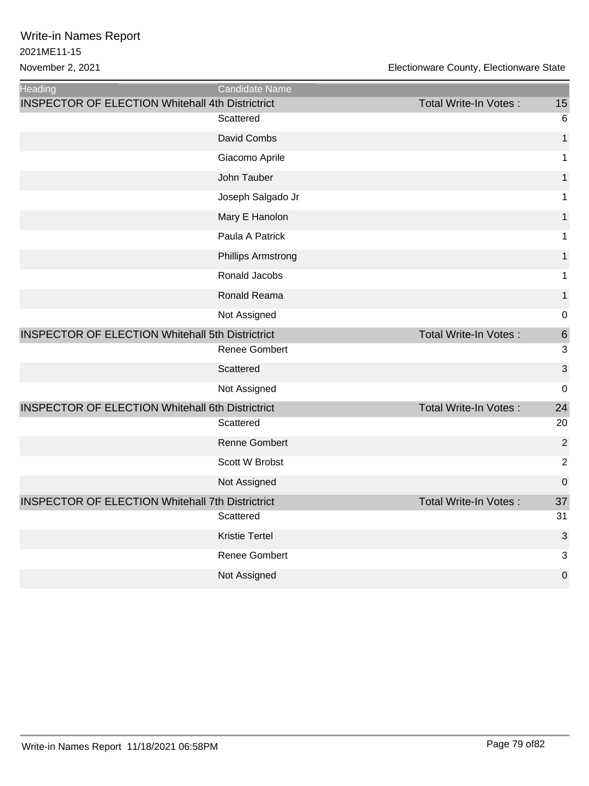| Heading                                                 | Candidate Name            |                              |                 |
|---------------------------------------------------------|---------------------------|------------------------------|-----------------|
| <b>INSPECTOR OF ELECTION Whitehall 4th Districtrict</b> |                           | Total Write-In Votes:        | 15              |
|                                                         | Scattered                 |                              | $6\phantom{1}6$ |
|                                                         | David Combs               |                              | 1               |
|                                                         | Giacomo Aprile            |                              | 1               |
|                                                         | John Tauber               |                              | 1               |
|                                                         | Joseph Salgado Jr         |                              | 1               |
|                                                         | Mary E Hanolon            |                              | 1               |
|                                                         | Paula A Patrick           |                              | 1               |
|                                                         | <b>Phillips Armstrong</b> |                              | 1               |
|                                                         | Ronald Jacobs             |                              | 1               |
|                                                         | Ronald Reama              |                              | 1               |
|                                                         | Not Assigned              |                              | $\mathbf 0$     |
| <b>INSPECTOR OF ELECTION Whitehall 5th Districtrict</b> |                           | <b>Total Write-In Votes:</b> | $6\phantom{1}6$ |
|                                                         | Renee Gombert             |                              | 3               |
|                                                         | Scattered                 |                              | 3               |
|                                                         | Not Assigned              |                              | $\mathbf 0$     |
| <b>INSPECTOR OF ELECTION Whitehall 6th Districtrict</b> |                           | Total Write-In Votes:        | 24              |
|                                                         | Scattered                 |                              | 20              |
|                                                         | Renne Gombert             |                              | $\overline{2}$  |
|                                                         | Scott W Brobst            |                              | $\overline{2}$  |
|                                                         | Not Assigned              |                              | $\mathbf 0$     |
| <b>INSPECTOR OF ELECTION Whitehall 7th Districtrict</b> |                           | Total Write-In Votes:        | 37              |
|                                                         | Scattered                 |                              | 31              |
|                                                         | <b>Kristie Tertel</b>     |                              | 3               |
|                                                         | <b>Renee Gombert</b>      |                              | 3               |
|                                                         | Not Assigned              |                              | $\mathbf 0$     |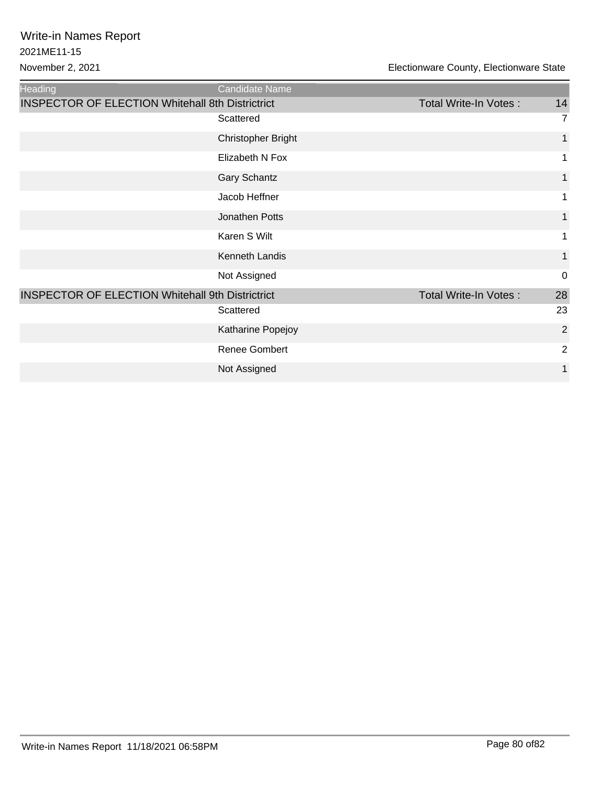| <b>Heading</b>                                          | Candidate Name       |                       |                |
|---------------------------------------------------------|----------------------|-----------------------|----------------|
| <b>INSPECTOR OF ELECTION Whitehall 8th Districtrict</b> |                      | Total Write-In Votes: | 14             |
|                                                         | Scattered            |                       | 7              |
|                                                         | Christopher Bright   |                       | 1              |
|                                                         | Elizabeth N Fox      |                       | 1              |
|                                                         | Gary Schantz         |                       | 1              |
|                                                         | Jacob Heffner        |                       | 1              |
|                                                         | Jonathen Potts       |                       | $\mathbf 1$    |
|                                                         | Karen S Wilt         |                       | 1              |
|                                                         | Kenneth Landis       |                       | 1              |
|                                                         | Not Assigned         |                       | $\mathbf 0$    |
| <b>INSPECTOR OF ELECTION Whitehall 9th Districtrict</b> |                      | Total Write-In Votes: | 28             |
|                                                         | Scattered            |                       | 23             |
|                                                         | Katharine Popejoy    |                       | $\overline{2}$ |
|                                                         | <b>Renee Gombert</b> |                       | $\overline{2}$ |
|                                                         | Not Assigned         |                       | 1              |
|                                                         |                      |                       |                |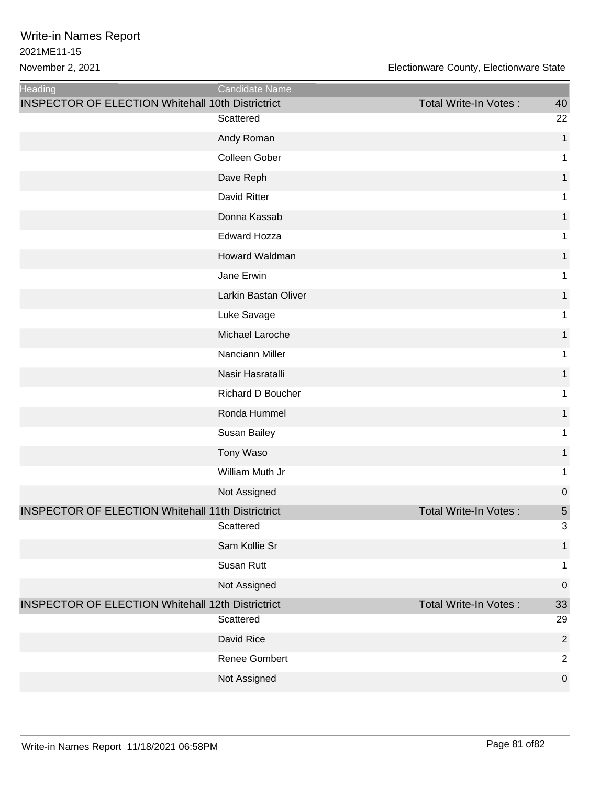| Heading                                                  | Candidate Name           |                       |                  |
|----------------------------------------------------------|--------------------------|-----------------------|------------------|
| <b>INSPECTOR OF ELECTION Whitehall 10th Districtrict</b> |                          | Total Write-In Votes: | 40               |
|                                                          | Scattered                |                       | 22               |
|                                                          | Andy Roman               |                       | 1                |
|                                                          | Colleen Gober            |                       | 1                |
|                                                          | Dave Reph                |                       | 1                |
|                                                          | David Ritter             |                       | 1                |
|                                                          | Donna Kassab             |                       | 1                |
|                                                          | <b>Edward Hozza</b>      |                       | 1                |
|                                                          | Howard Waldman           |                       | 1                |
|                                                          | Jane Erwin               |                       | 1                |
|                                                          | Larkin Bastan Oliver     |                       | 1                |
|                                                          | Luke Savage              |                       | 1                |
|                                                          | Michael Laroche          |                       | 1                |
|                                                          | Nanciann Miller          |                       | 1                |
|                                                          | Nasir Hasratalli         |                       | 1                |
|                                                          | <b>Richard D Boucher</b> |                       | 1                |
|                                                          | Ronda Hummel             |                       | 1                |
|                                                          | Susan Bailey             |                       | 1                |
|                                                          | Tony Waso                |                       | 1                |
|                                                          | William Muth Jr          |                       | 1                |
|                                                          | Not Assigned             |                       | $\mathbf 0$      |
| <b>INSPECTOR OF ELECTION Whitehall 11th Districtrict</b> |                          | Total Write-In Votes: | 5                |
|                                                          | Scattered                |                       | 3                |
|                                                          | Sam Kollie Sr            |                       | 1                |
|                                                          | Susan Rutt               |                       | 1                |
|                                                          | Not Assigned             |                       | $\mathbf 0$      |
| <b>INSPECTOR OF ELECTION Whitehall 12th Districtrict</b> |                          | Total Write-In Votes: | 33               |
|                                                          | Scattered                |                       | 29               |
|                                                          | David Rice               |                       | $\overline{2}$   |
|                                                          | Renee Gombert            |                       | $\overline{2}$   |
|                                                          | Not Assigned             |                       | $\boldsymbol{0}$ |